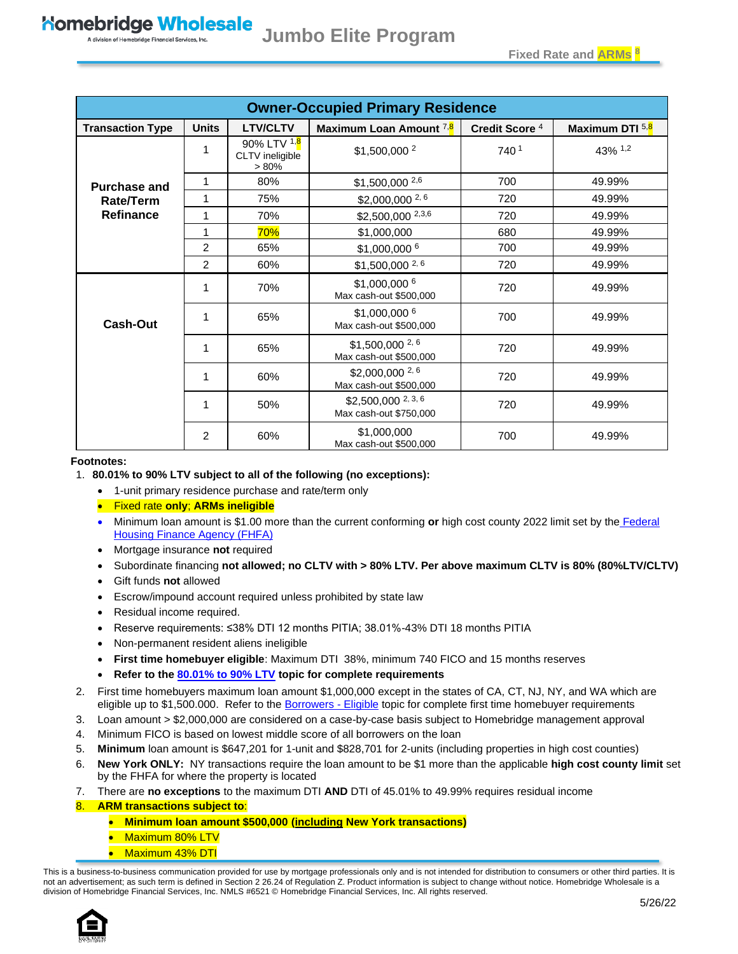<span id="page-0-0"></span>

| <b>Owner-Occupied Primary Residence</b> |                |                                        |                                                        |                           |                 |
|-----------------------------------------|----------------|----------------------------------------|--------------------------------------------------------|---------------------------|-----------------|
| <b>Transaction Type</b>                 | <b>Units</b>   | <b>LTV/CLTV</b>                        | Maximum Loan Amount <sup>7,8</sup>                     | Credit Score <sup>4</sup> | Maximum DTI 5,8 |
|                                         | 1              | 90% LTV 1,8<br>CLTV ineligible<br>>80% | \$1,500,000 <sup>2</sup>                               | 740 <sup>1</sup>          | 43% 1,2         |
| <b>Purchase and</b>                     | 1              | 80%                                    | \$1,500,000 2,6                                        | 700                       | 49.99%          |
| Rate/Term                               | 1              | 75%                                    | $$2,000,000$ <sup>2,6</sup>                            | 720                       | 49.99%          |
| Refinance                               | 1              | 70%                                    | \$2,500,000 2,3,6                                      | 720                       | 49.99%          |
|                                         | 1              | 70%                                    | \$1,000,000                                            | 680                       | 49.99%          |
|                                         | 2              | 65%                                    | \$1,000,000 6                                          | 700                       | 49.99%          |
|                                         | $\overline{c}$ | 60%                                    | $$1,500,000$ <sup>2,6</sup>                            | 720                       | 49.99%          |
| <b>Cash-Out</b>                         | 1              | 70%                                    | \$1,000,000 6<br>Max cash-out \$500,000                | 720                       | 49.99%          |
|                                         | 1              | 65%                                    | \$1,000,000 6<br>Max cash-out \$500,000                | 700                       | 49.99%          |
|                                         | 1              | 65%                                    | $$1,500,000$ <sup>2, 6</sup><br>Max cash-out \$500,000 | 720                       | 49.99%          |
|                                         | 1              | 60%                                    | $$2,000,000$ <sup>2,6</sup><br>Max cash-out \$500,000  | 720                       | 49.99%          |
|                                         | 1              | 50%                                    | $$2,500,000$ $^{2,3,6}$<br>Max cash-out \$750,000      | 720                       | 49.99%          |
|                                         | 2              | 60%                                    | \$1,000,000<br>Max cash-out \$500,000                  | 700                       | 49.99%          |

#### **Footnotes:**

#### 1. **80.01% to 90% LTV subject to all of the following (no exceptions):**

- 1-unit primary residence purchase and rate/term only
- Fixed rate **only**; **ARMs ineligible**
- Minimum loan amount is \$1.00 more than the current conforming **or** high cost county 2022 limit set by the [Federal](https://www.fhfa.gov/DataTools/Downloads/Documents/Conforming-Loan-Limits/FullCountyLoanLimitList2022_HERA-BASED_FINAL_FLAT.pdf)  [Housing Finance Agency \(FHFA\)](https://www.fhfa.gov/DataTools/Downloads/Documents/Conforming-Loan-Limits/FullCountyLoanLimitList2022_HERA-BASED_FINAL_FLAT.pdf)
- Mortgage insurance **not** required
- Subordinate financing **not allowed; no CLTV with > 80% LTV. Per above maximum CLTV is 80% (80%LTV/CLTV)**
- Gift funds **not** allowed
- Escrow/impound account required unless prohibited by state law
- Residual income required.
- Reserve requirements: ≤38% DTI 12 months PITIA; 38.01%-43% DTI 18 months PITIA
- Non-permanent resident aliens ineligible
- **First time homebuyer eligible**: Maximum DTI 38%, minimum 740 FICO and 15 months reserves
- **Refer to the [80.01% to 90% LTV](#page-2-0) topic for complete requirements**
- 2. First time homebuyers maximum loan amount \$1,000,000 except in the states of CA, CT, NJ, NY, and WA which are eligible up to \$1,500.000. Refer to the **Borrowers - Eligible** topic for complete first time homebuyer requirements
- 3. Loan amount > \$2,000,000 are considered on a case-by-case basis subject to Homebridge management approval
- 4. Minimum FICO is based on lowest middle score of all borrowers on the loan
- 5. **Minimum** loan amount is \$647,201 for 1-unit and \$828,701 for 2-units (including properties in high cost counties)
- 6. **New York ONLY:** NY transactions require the loan amount to be \$1 more than the applicable **high cost county limit** set by the FHFA for where the property is located
- 7. There are **no exceptions** to the maximum DTI **AND** DTI of 45.01% to 49.99% requires residual income
- 8. **ARM transactions subject to**:
	- **Minimum loan amount \$500,000 (including New York transactions)**
	- Maximum 80% LTV
	- Maximum 43% DTI

This is a business-to-business communication provided for use by mortgage professionals only and is not intended for distribution to consumers or other third parties. It is not an advertisement; as such term is defined in Section 2 26.24 of Regulation Z. Product information is subject to change without notice. Homebridge Wholesale is a division of Homebridge Financial Services, Inc. NMLS #6521 © Homebridge Financial Services, Inc. All rights reserved.

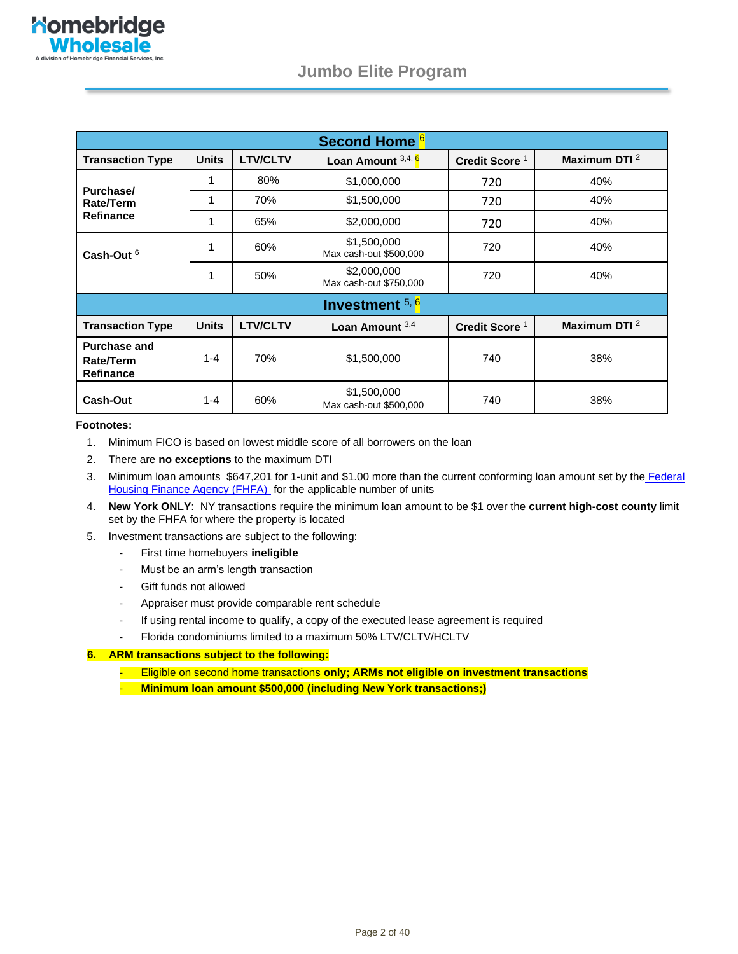| Second Home <sup>6</sup>                             |              |                 |                                       |                           |                          |
|------------------------------------------------------|--------------|-----------------|---------------------------------------|---------------------------|--------------------------|
| <b>Transaction Type</b>                              | <b>Units</b> | <b>LTV/CLTV</b> | Loan Amount 3,4, 6                    | Credit Score <sup>1</sup> | Maximum DTI $^2$         |
|                                                      | 1            | 80%             | \$1,000,000                           | 720                       | 40%                      |
| Purchase/<br>Rate/Term                               | 1            | 70%             | \$1,500,000                           | 720                       | 40%                      |
| <b>Refinance</b>                                     | 1            | 65%             | \$2,000,000                           | 720                       | 40%                      |
| Cash-Out $6$                                         | 1            | 60%             | \$1,500,000<br>Max cash-out \$500,000 | 720                       | 40%                      |
|                                                      | 1            | 50%             | \$2,000,000<br>Max cash-out \$750,000 | 720                       | 40%                      |
| Investment 5, 6                                      |              |                 |                                       |                           |                          |
| <b>Transaction Type</b>                              | <b>Units</b> | <b>LTV/CLTV</b> | Loan Amount $3,4$                     | Credit Score <sup>1</sup> | Maximum DTI <sup>2</sup> |
| <b>Purchase and</b><br>Rate/Term<br><b>Refinance</b> | $1 - 4$      | 70%             | \$1,500,000                           | 740                       | 38%                      |
| Cash-Out                                             | $1 - 4$      | 60%             | \$1,500,000<br>Max cash-out \$500,000 | 740                       | 38%                      |

#### **Footnotes:**

- 1. Minimum FICO is based on lowest middle score of all borrowers on the loan
- 2. There are **no exceptions** to the maximum DTI
- 3. Minimum loan amounts \$647,201 for 1-unit and \$1.00 more than the current conforming loan amount set by the Federal [Housing Finance Agency \(FHFA\)](https://www.fhfa.gov/DataTools/Downloads/Documents/Conforming-Loan-Limits/FullCountyLoanLimitList2022_HERA-BASED_FINAL_FLAT.pdf) for the applicable number of units
- 4. **New York ONLY**: NY transactions require the minimum loan amount to be \$1 over the **current high-cost county** limit set by the FHFA for where the property is located
- 5. Investment transactions are subject to the following:
	- First time homebuyers **ineligible**
	- Must be an arm's length transaction
	- Gift funds not allowed
	- Appraiser must provide comparable rent schedule
	- If using rental income to qualify, a copy of the executed lease agreement is required
	- Florida condominiums limited to a maximum 50% LTV/CLTV/HCLTV

#### **6. ARM transactions subject to the following:**

- Eligible on second home transactions **only; ARMs not eligible on investment transactions**

- **Minimum loan amount \$500,000 (including New York transactions;)**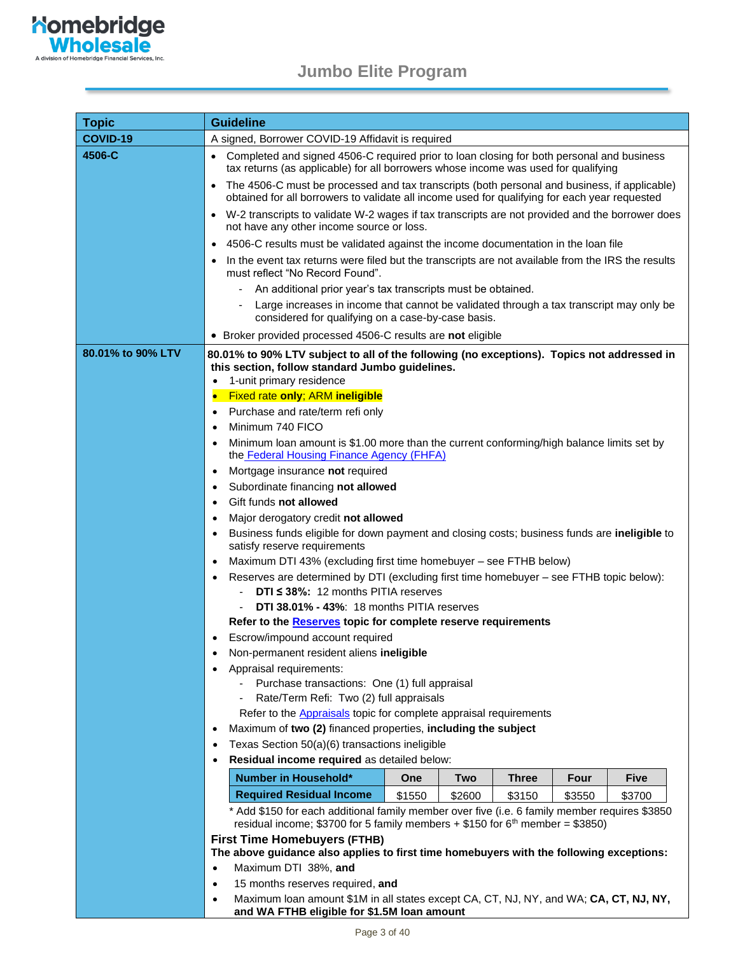**Nomebridge**<br> **Wholesale** 

A division of Homebridge Financial Services, Inc.

<span id="page-2-0"></span>

| <b>Topic</b>      | <b>Guideline</b>                                                                                                                                                                                                                                                                                                                                                                                                                                                                                                                                                                                                                                                                                                                                                                                                                                                                                                                                                                                                                                                                                                                                                                                                                                                                                                                                                                                                                                                                                                                                                                                                         |  |  |  |  |
|-------------------|--------------------------------------------------------------------------------------------------------------------------------------------------------------------------------------------------------------------------------------------------------------------------------------------------------------------------------------------------------------------------------------------------------------------------------------------------------------------------------------------------------------------------------------------------------------------------------------------------------------------------------------------------------------------------------------------------------------------------------------------------------------------------------------------------------------------------------------------------------------------------------------------------------------------------------------------------------------------------------------------------------------------------------------------------------------------------------------------------------------------------------------------------------------------------------------------------------------------------------------------------------------------------------------------------------------------------------------------------------------------------------------------------------------------------------------------------------------------------------------------------------------------------------------------------------------------------------------------------------------------------|--|--|--|--|
| COVID-19          | A signed, Borrower COVID-19 Affidavit is required                                                                                                                                                                                                                                                                                                                                                                                                                                                                                                                                                                                                                                                                                                                                                                                                                                                                                                                                                                                                                                                                                                                                                                                                                                                                                                                                                                                                                                                                                                                                                                        |  |  |  |  |
| 4506-C            | Completed and signed 4506-C required prior to loan closing for both personal and business<br>tax returns (as applicable) for all borrowers whose income was used for qualifying                                                                                                                                                                                                                                                                                                                                                                                                                                                                                                                                                                                                                                                                                                                                                                                                                                                                                                                                                                                                                                                                                                                                                                                                                                                                                                                                                                                                                                          |  |  |  |  |
|                   | The 4506-C must be processed and tax transcripts (both personal and business, if applicable)<br>$\bullet$<br>obtained for all borrowers to validate all income used for qualifying for each year requested                                                                                                                                                                                                                                                                                                                                                                                                                                                                                                                                                                                                                                                                                                                                                                                                                                                                                                                                                                                                                                                                                                                                                                                                                                                                                                                                                                                                               |  |  |  |  |
|                   | • W-2 transcripts to validate W-2 wages if tax transcripts are not provided and the borrower does<br>not have any other income source or loss.                                                                                                                                                                                                                                                                                                                                                                                                                                                                                                                                                                                                                                                                                                                                                                                                                                                                                                                                                                                                                                                                                                                                                                                                                                                                                                                                                                                                                                                                           |  |  |  |  |
|                   | 4506-C results must be validated against the income documentation in the loan file<br>$\bullet$                                                                                                                                                                                                                                                                                                                                                                                                                                                                                                                                                                                                                                                                                                                                                                                                                                                                                                                                                                                                                                                                                                                                                                                                                                                                                                                                                                                                                                                                                                                          |  |  |  |  |
|                   | In the event tax returns were filed but the transcripts are not available from the IRS the results<br>must reflect "No Record Found".                                                                                                                                                                                                                                                                                                                                                                                                                                                                                                                                                                                                                                                                                                                                                                                                                                                                                                                                                                                                                                                                                                                                                                                                                                                                                                                                                                                                                                                                                    |  |  |  |  |
|                   | An additional prior year's tax transcripts must be obtained.                                                                                                                                                                                                                                                                                                                                                                                                                                                                                                                                                                                                                                                                                                                                                                                                                                                                                                                                                                                                                                                                                                                                                                                                                                                                                                                                                                                                                                                                                                                                                             |  |  |  |  |
|                   | Large increases in income that cannot be validated through a tax transcript may only be<br>considered for qualifying on a case-by-case basis.                                                                                                                                                                                                                                                                                                                                                                                                                                                                                                                                                                                                                                                                                                                                                                                                                                                                                                                                                                                                                                                                                                                                                                                                                                                                                                                                                                                                                                                                            |  |  |  |  |
|                   | • Broker provided processed 4506-C results are not eligible                                                                                                                                                                                                                                                                                                                                                                                                                                                                                                                                                                                                                                                                                                                                                                                                                                                                                                                                                                                                                                                                                                                                                                                                                                                                                                                                                                                                                                                                                                                                                              |  |  |  |  |
| 80.01% to 90% LTV | 80.01% to 90% LTV subject to all of the following (no exceptions). Topics not addressed in<br>this section, follow standard Jumbo guidelines.<br>1-unit primary residence<br>٠<br><b>Fixed rate only; ARM ineligible</b><br>Purchase and rate/term refi only<br>$\bullet$<br>Minimum 740 FICO<br>٠<br>Minimum loan amount is \$1.00 more than the current conforming/high balance limits set by<br>$\bullet$<br>the Federal Housing Finance Agency (FHFA)<br>Mortgage insurance not required<br>٠<br>Subordinate financing not allowed<br>٠<br>Gift funds not allowed<br>$\bullet$<br>Major derogatory credit not allowed<br>٠<br>Business funds eligible for down payment and closing costs; business funds are ineligible to<br>$\bullet$<br>satisfy reserve requirements<br>Maximum DTI 43% (excluding first time homebuyer - see FTHB below)<br>$\bullet$<br>Reserves are determined by DTI (excluding first time homebuyer - see FTHB topic below):<br>$\bullet$<br>DTI $\leq$ 38%: 12 months PITIA reserves<br>DTI 38.01% - 43%: 18 months PITIA reserves<br>Refer to the Reserves topic for complete reserve requirements<br>Escrow/impound account required<br>Non-permanent resident aliens ineligible<br>Appraisal requirements:<br>٠<br>Purchase transactions: One (1) full appraisal<br>Rate/Term Refi: Two (2) full appraisals<br>Refer to the <b>Appraisals</b> topic for complete appraisal requirements<br>Maximum of two (2) financed properties, including the subject<br>$\bullet$<br>Texas Section 50(a)(6) transactions ineligible<br>$\bullet$<br>Residual income required as detailed below:<br>٠ |  |  |  |  |
|                   | <b>Number in Household*</b><br><b>Two</b><br><b>Four</b><br><b>Five</b><br>One<br>Three                                                                                                                                                                                                                                                                                                                                                                                                                                                                                                                                                                                                                                                                                                                                                                                                                                                                                                                                                                                                                                                                                                                                                                                                                                                                                                                                                                                                                                                                                                                                  |  |  |  |  |
|                   | <b>Required Residual Income</b><br>\$1550<br>\$3150<br>\$3700<br>\$2600<br>\$3550                                                                                                                                                                                                                                                                                                                                                                                                                                                                                                                                                                                                                                                                                                                                                                                                                                                                                                                                                                                                                                                                                                                                                                                                                                                                                                                                                                                                                                                                                                                                        |  |  |  |  |
|                   | * Add \$150 for each additional family member over five (i.e. 6 family member requires \$3850                                                                                                                                                                                                                                                                                                                                                                                                                                                                                                                                                                                                                                                                                                                                                                                                                                                                                                                                                                                                                                                                                                                                                                                                                                                                                                                                                                                                                                                                                                                            |  |  |  |  |
|                   | residual income; \$3700 for 5 family members + \$150 for $6th$ member = \$3850)<br><b>First Time Homebuyers (FTHB)</b><br>The above guidance also applies to first time homebuyers with the following exceptions:<br>Maximum DTI 38%, and<br>$\bullet$<br>15 months reserves required, and<br>$\bullet$                                                                                                                                                                                                                                                                                                                                                                                                                                                                                                                                                                                                                                                                                                                                                                                                                                                                                                                                                                                                                                                                                                                                                                                                                                                                                                                  |  |  |  |  |

**and WA FTHB eligible for \$1.5M loan amount**

• Maximum loan amount \$1M in all states except CA, CT, NJ, NY, and WA; **CA, CT, NJ, NY,**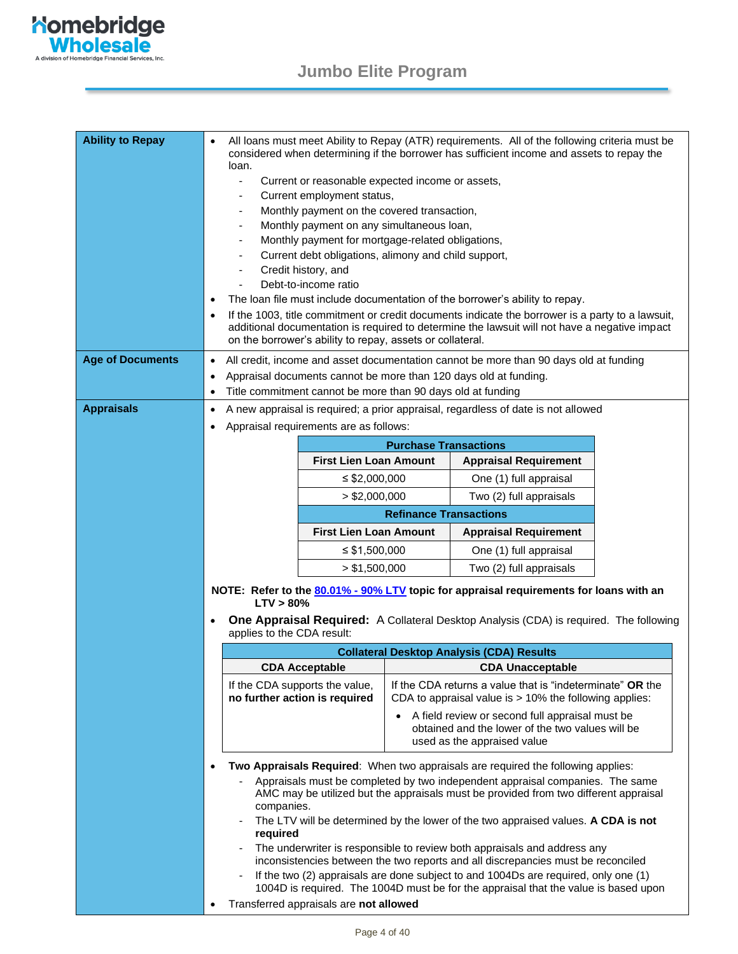

| <b>Ability to Repay</b> | $\bullet$<br>loan.<br>$\overline{\phantom{m}}$<br>٠<br>$\bullet$ | Current or reasonable expected income or assets,<br>Current employment status,<br>Monthly payment on the covered transaction,<br>Monthly payment on any simultaneous loan,<br>Monthly payment for mortgage-related obligations,<br>Current debt obligations, alimony and child support,<br>Credit history, and<br>Debt-to-income ratio<br>on the borrower's ability to repay, assets or collateral. |                                                                                                                        | All loans must meet Ability to Repay (ATR) requirements. All of the following criteria must be<br>considered when determining if the borrower has sufficient income and assets to repay the<br>The loan file must include documentation of the borrower's ability to repay.<br>If the 1003, title commitment or credit documents indicate the borrower is a party to a lawsuit,<br>additional documentation is required to determine the lawsuit will not have a negative impact                                                                                                                                                                                                             |  |
|-------------------------|------------------------------------------------------------------|-----------------------------------------------------------------------------------------------------------------------------------------------------------------------------------------------------------------------------------------------------------------------------------------------------------------------------------------------------------------------------------------------------|------------------------------------------------------------------------------------------------------------------------|----------------------------------------------------------------------------------------------------------------------------------------------------------------------------------------------------------------------------------------------------------------------------------------------------------------------------------------------------------------------------------------------------------------------------------------------------------------------------------------------------------------------------------------------------------------------------------------------------------------------------------------------------------------------------------------------|--|
| <b>Age of Documents</b> | $\bullet$                                                        |                                                                                                                                                                                                                                                                                                                                                                                                     |                                                                                                                        | All credit, income and asset documentation cannot be more than 90 days old at funding                                                                                                                                                                                                                                                                                                                                                                                                                                                                                                                                                                                                        |  |
|                         | ٠                                                                |                                                                                                                                                                                                                                                                                                                                                                                                     |                                                                                                                        | Appraisal documents cannot be more than 120 days old at funding.                                                                                                                                                                                                                                                                                                                                                                                                                                                                                                                                                                                                                             |  |
|                         | $\bullet$                                                        | Title commitment cannot be more than 90 days old at funding                                                                                                                                                                                                                                                                                                                                         |                                                                                                                        |                                                                                                                                                                                                                                                                                                                                                                                                                                                                                                                                                                                                                                                                                              |  |
| <b>Appraisals</b>       | ٠                                                                |                                                                                                                                                                                                                                                                                                                                                                                                     |                                                                                                                        | A new appraisal is required; a prior appraisal, regardless of date is not allowed                                                                                                                                                                                                                                                                                                                                                                                                                                                                                                                                                                                                            |  |
|                         | ٠                                                                | Appraisal requirements are as follows:                                                                                                                                                                                                                                                                                                                                                              |                                                                                                                        |                                                                                                                                                                                                                                                                                                                                                                                                                                                                                                                                                                                                                                                                                              |  |
|                         |                                                                  |                                                                                                                                                                                                                                                                                                                                                                                                     | <b>Purchase Transactions</b>                                                                                           |                                                                                                                                                                                                                                                                                                                                                                                                                                                                                                                                                                                                                                                                                              |  |
|                         |                                                                  | <b>First Lien Loan Amount</b>                                                                                                                                                                                                                                                                                                                                                                       |                                                                                                                        | <b>Appraisal Requirement</b>                                                                                                                                                                                                                                                                                                                                                                                                                                                                                                                                                                                                                                                                 |  |
|                         |                                                                  | $\leq$ \$2,000,000                                                                                                                                                                                                                                                                                                                                                                                  |                                                                                                                        | One (1) full appraisal                                                                                                                                                                                                                                                                                                                                                                                                                                                                                                                                                                                                                                                                       |  |
|                         |                                                                  | $>$ \$2,000,000                                                                                                                                                                                                                                                                                                                                                                                     |                                                                                                                        | Two (2) full appraisals                                                                                                                                                                                                                                                                                                                                                                                                                                                                                                                                                                                                                                                                      |  |
|                         |                                                                  |                                                                                                                                                                                                                                                                                                                                                                                                     | <b>Refinance Transactions</b>                                                                                          |                                                                                                                                                                                                                                                                                                                                                                                                                                                                                                                                                                                                                                                                                              |  |
|                         |                                                                  | <b>First Lien Loan Amount</b>                                                                                                                                                                                                                                                                                                                                                                       |                                                                                                                        | <b>Appraisal Requirement</b>                                                                                                                                                                                                                                                                                                                                                                                                                                                                                                                                                                                                                                                                 |  |
|                         |                                                                  | $\leq$ \$1,500,000                                                                                                                                                                                                                                                                                                                                                                                  |                                                                                                                        | One (1) full appraisal                                                                                                                                                                                                                                                                                                                                                                                                                                                                                                                                                                                                                                                                       |  |
|                         |                                                                  | > \$1,500,000                                                                                                                                                                                                                                                                                                                                                                                       |                                                                                                                        | Two (2) full appraisals                                                                                                                                                                                                                                                                                                                                                                                                                                                                                                                                                                                                                                                                      |  |
|                         | $LTV > 80\%$                                                     |                                                                                                                                                                                                                                                                                                                                                                                                     |                                                                                                                        | NOTE: Refer to the 80.01% - 90% LTV topic for appraisal requirements for loans with an                                                                                                                                                                                                                                                                                                                                                                                                                                                                                                                                                                                                       |  |
|                         | $\bullet$<br>applies to the CDA result:                          |                                                                                                                                                                                                                                                                                                                                                                                                     |                                                                                                                        | <b>One Appraisal Required:</b> A Collateral Desktop Analysis (CDA) is required. The following                                                                                                                                                                                                                                                                                                                                                                                                                                                                                                                                                                                                |  |
|                         |                                                                  |                                                                                                                                                                                                                                                                                                                                                                                                     |                                                                                                                        | <b>Collateral Desktop Analysis (CDA) Results</b>                                                                                                                                                                                                                                                                                                                                                                                                                                                                                                                                                                                                                                             |  |
|                         |                                                                  | <b>CDA Acceptable</b>                                                                                                                                                                                                                                                                                                                                                                               |                                                                                                                        | <b>CDA Unacceptable</b>                                                                                                                                                                                                                                                                                                                                                                                                                                                                                                                                                                                                                                                                      |  |
|                         |                                                                  | If the CDA supports the value,<br>no further action is required                                                                                                                                                                                                                                                                                                                                     | If the CDA returns a value that is "indeterminate" OR the<br>CDA to appraisal value is $> 10\%$ the following applies: |                                                                                                                                                                                                                                                                                                                                                                                                                                                                                                                                                                                                                                                                                              |  |
|                         |                                                                  |                                                                                                                                                                                                                                                                                                                                                                                                     |                                                                                                                        | A field review or second full appraisal must be<br>obtained and the lower of the two values will be<br>used as the appraised value                                                                                                                                                                                                                                                                                                                                                                                                                                                                                                                                                           |  |
|                         | ٠<br>companies.<br>$\overline{a}$<br>required                    | Transferred appraisals are not allowed                                                                                                                                                                                                                                                                                                                                                              |                                                                                                                        | Two Appraisals Required: When two appraisals are required the following applies:<br>Appraisals must be completed by two independent appraisal companies. The same<br>AMC may be utilized but the appraisals must be provided from two different appraisal<br>The LTV will be determined by the lower of the two appraised values. A CDA is not<br>The underwriter is responsible to review both appraisals and address any<br>inconsistencies between the two reports and all discrepancies must be reconciled<br>If the two (2) appraisals are done subject to and 1004Ds are required, only one (1)<br>1004D is required. The 1004D must be for the appraisal that the value is based upon |  |
|                         |                                                                  | Page 4 of 40                                                                                                                                                                                                                                                                                                                                                                                        |                                                                                                                        |                                                                                                                                                                                                                                                                                                                                                                                                                                                                                                                                                                                                                                                                                              |  |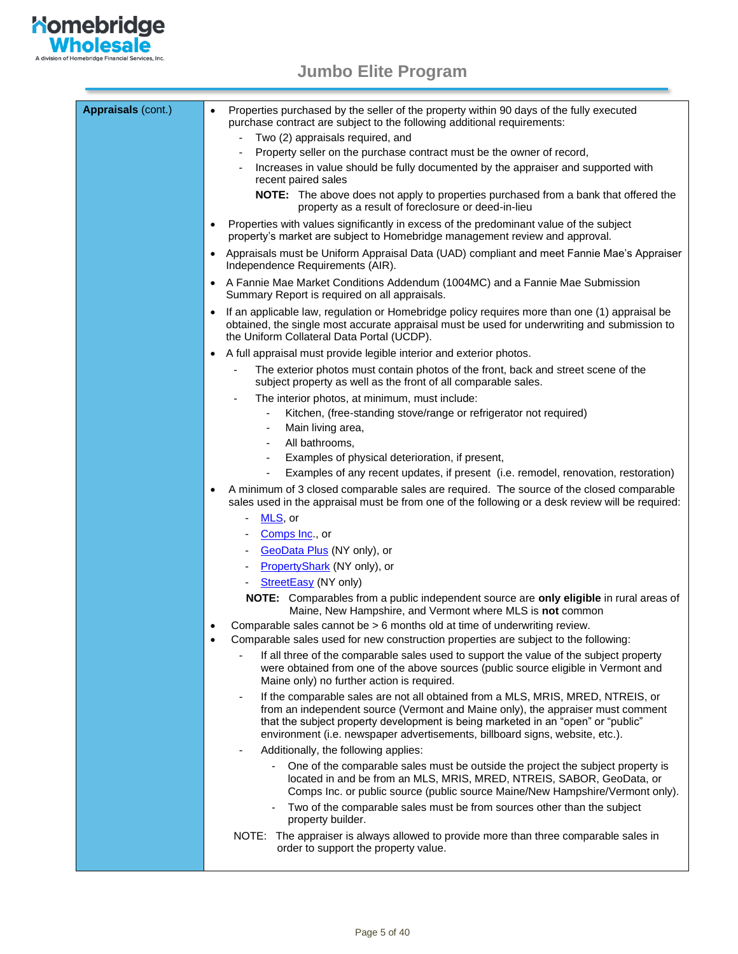<span id="page-4-0"></span>

| <b>Appraisals (cont.)</b> | Properties purchased by the seller of the property within 90 days of the fully executed<br>purchase contract are subject to the following additional requirements:<br>Two (2) appraisals required, and<br>Property seller on the purchase contract must be the owner of record,<br>Increases in value should be fully documented by the appraiser and supported with<br>recent paired sales                                                    |
|---------------------------|------------------------------------------------------------------------------------------------------------------------------------------------------------------------------------------------------------------------------------------------------------------------------------------------------------------------------------------------------------------------------------------------------------------------------------------------|
|                           | NOTE: The above does not apply to properties purchased from a bank that offered the<br>property as a result of foreclosure or deed-in-lieu                                                                                                                                                                                                                                                                                                     |
|                           | Properties with values significantly in excess of the predominant value of the subject<br>٠<br>property's market are subject to Homebridge management review and approval.                                                                                                                                                                                                                                                                     |
|                           | Appraisals must be Uniform Appraisal Data (UAD) compliant and meet Fannie Mae's Appraiser<br>Independence Requirements (AIR).                                                                                                                                                                                                                                                                                                                  |
|                           | • A Fannie Mae Market Conditions Addendum (1004MC) and a Fannie Mae Submission<br>Summary Report is required on all appraisals.                                                                                                                                                                                                                                                                                                                |
|                           | If an applicable law, regulation or Homebridge policy requires more than one (1) appraisal be<br>obtained, the single most accurate appraisal must be used for underwriting and submission to<br>the Uniform Collateral Data Portal (UCDP).                                                                                                                                                                                                    |
|                           | • A full appraisal must provide legible interior and exterior photos.                                                                                                                                                                                                                                                                                                                                                                          |
|                           | The exterior photos must contain photos of the front, back and street scene of the<br>subject property as well as the front of all comparable sales.                                                                                                                                                                                                                                                                                           |
|                           | The interior photos, at minimum, must include:                                                                                                                                                                                                                                                                                                                                                                                                 |
|                           | Kitchen, (free-standing stove/range or refrigerator not required)                                                                                                                                                                                                                                                                                                                                                                              |
|                           | Main living area,                                                                                                                                                                                                                                                                                                                                                                                                                              |
|                           | All bathrooms,                                                                                                                                                                                                                                                                                                                                                                                                                                 |
|                           | Examples of physical deterioration, if present,                                                                                                                                                                                                                                                                                                                                                                                                |
|                           | Examples of any recent updates, if present (i.e. remodel, renovation, restoration)                                                                                                                                                                                                                                                                                                                                                             |
|                           | A minimum of 3 closed comparable sales are required. The source of the closed comparable<br>sales used in the appraisal must be from one of the following or a desk review will be required:                                                                                                                                                                                                                                                   |
|                           | <u>MLS</u> , or<br>$\sim$                                                                                                                                                                                                                                                                                                                                                                                                                      |
|                           | Comps Inc., or                                                                                                                                                                                                                                                                                                                                                                                                                                 |
|                           | GeoData Plus (NY only), or                                                                                                                                                                                                                                                                                                                                                                                                                     |
|                           | PropertyShark (NY only), or                                                                                                                                                                                                                                                                                                                                                                                                                    |
|                           | StreetEasy (NY only)                                                                                                                                                                                                                                                                                                                                                                                                                           |
|                           | NOTE: Comparables from a public independent source are only eligible in rural areas of<br>Maine, New Hampshire, and Vermont where MLS is not common                                                                                                                                                                                                                                                                                            |
|                           | Comparable sales cannot be > 6 months old at time of underwriting review.<br>Comparable sales used for new construction properties are subject to the following:                                                                                                                                                                                                                                                                               |
|                           | If all three of the comparable sales used to support the value of the subject property<br>were obtained from one of the above sources (public source eligible in Vermont and<br>Maine only) no further action is required.                                                                                                                                                                                                                     |
|                           | If the comparable sales are not all obtained from a MLS, MRIS, MRED, NTREIS, or<br>$\qquad \qquad \blacksquare$<br>from an independent source (Vermont and Maine only), the appraiser must comment<br>that the subject property development is being marketed in an "open" or "public"<br>environment (i.e. newspaper advertisements, billboard signs, website, etc.).<br>Additionally, the following applies:<br>$\qquad \qquad \blacksquare$ |
|                           | One of the comparable sales must be outside the project the subject property is                                                                                                                                                                                                                                                                                                                                                                |
|                           | located in and be from an MLS, MRIS, MRED, NTREIS, SABOR, GeoData, or<br>Comps Inc. or public source (public source Maine/New Hampshire/Vermont only).                                                                                                                                                                                                                                                                                         |
|                           | Two of the comparable sales must be from sources other than the subject<br>property builder.                                                                                                                                                                                                                                                                                                                                                   |
|                           | NOTE: The appraiser is always allowed to provide more than three comparable sales in<br>order to support the property value.                                                                                                                                                                                                                                                                                                                   |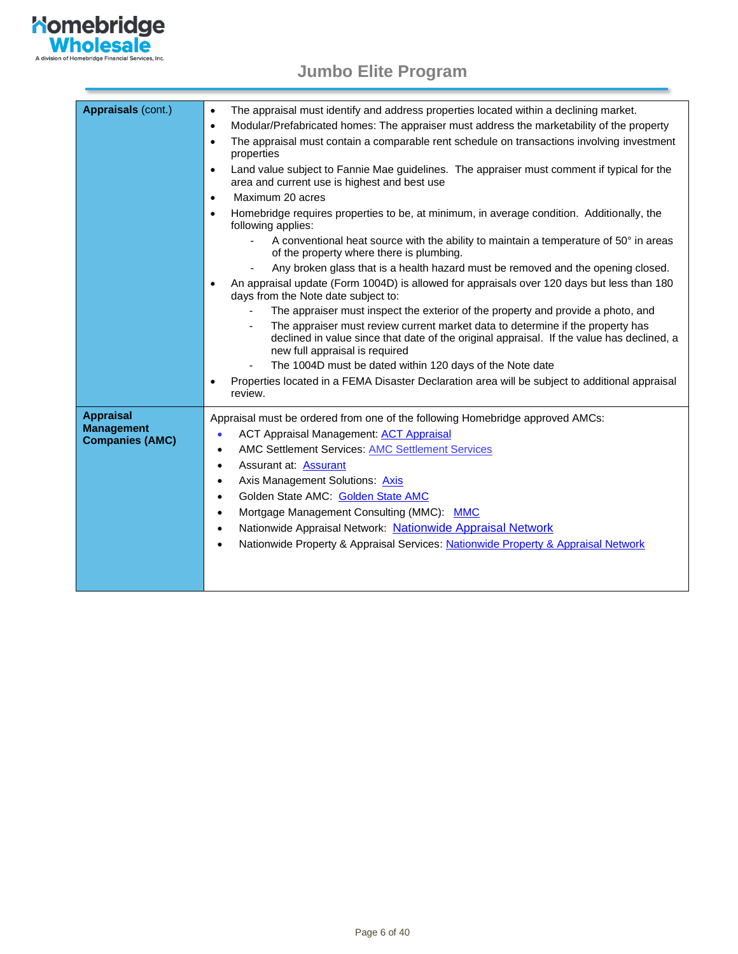

| Appraisals (cont.)                                              | The appraisal must identify and address properties located within a declining market.<br>$\bullet$<br>Modular/Prefabricated homes: The appraiser must address the marketability of the property<br>$\bullet$<br>The appraisal must contain a comparable rent schedule on transactions involving investment<br>$\bullet$<br>properties<br>Land value subject to Fannie Mae guidelines. The appraiser must comment if typical for the<br>area and current use is highest and best use<br>Maximum 20 acres<br>$\bullet$<br>Homebridge requires properties to be, at minimum, in average condition. Additionally, the<br>$\bullet$<br>following applies:<br>A conventional heat source with the ability to maintain a temperature of 50° in areas<br>of the property where there is plumbing.<br>Any broken glass that is a health hazard must be removed and the opening closed.<br>An appraisal update (Form 1004D) is allowed for appraisals over 120 days but less than 180<br>days from the Note date subject to:<br>The appraiser must inspect the exterior of the property and provide a photo, and<br>The appraiser must review current market data to determine if the property has<br>declined in value since that date of the original appraisal. If the value has declined, a<br>new full appraisal is required<br>The 1004D must be dated within 120 days of the Note date<br>Properties located in a FEMA Disaster Declaration area will be subject to additional appraisal<br>review. |
|-----------------------------------------------------------------|--------------------------------------------------------------------------------------------------------------------------------------------------------------------------------------------------------------------------------------------------------------------------------------------------------------------------------------------------------------------------------------------------------------------------------------------------------------------------------------------------------------------------------------------------------------------------------------------------------------------------------------------------------------------------------------------------------------------------------------------------------------------------------------------------------------------------------------------------------------------------------------------------------------------------------------------------------------------------------------------------------------------------------------------------------------------------------------------------------------------------------------------------------------------------------------------------------------------------------------------------------------------------------------------------------------------------------------------------------------------------------------------------------------------------------------------------------------------------------------------------|
| <b>Appraisal</b><br><b>Management</b><br><b>Companies (AMC)</b> | Appraisal must be ordered from one of the following Homebridge approved AMCs:<br><b>ACT Appraisal Management: ACT Appraisal</b><br>$\bullet$<br><b>AMC Settlement Services: AMC Settlement Services</b><br>$\bullet$<br>Assurant at: Assurant<br>$\bullet$<br>Axis Management Solutions: Axis<br>$\bullet$<br>Golden State AMC: Golden State AMC<br>٠<br>Mortgage Management Consulting (MMC): MMC<br>$\bullet$<br>Nationwide Appraisal Network: Nationwide Appraisal Network<br>Nationwide Property & Appraisal Services: Nationwide Property & Appraisal Network                                                                                                                                                                                                                                                                                                                                                                                                                                                                                                                                                                                                                                                                                                                                                                                                                                                                                                                               |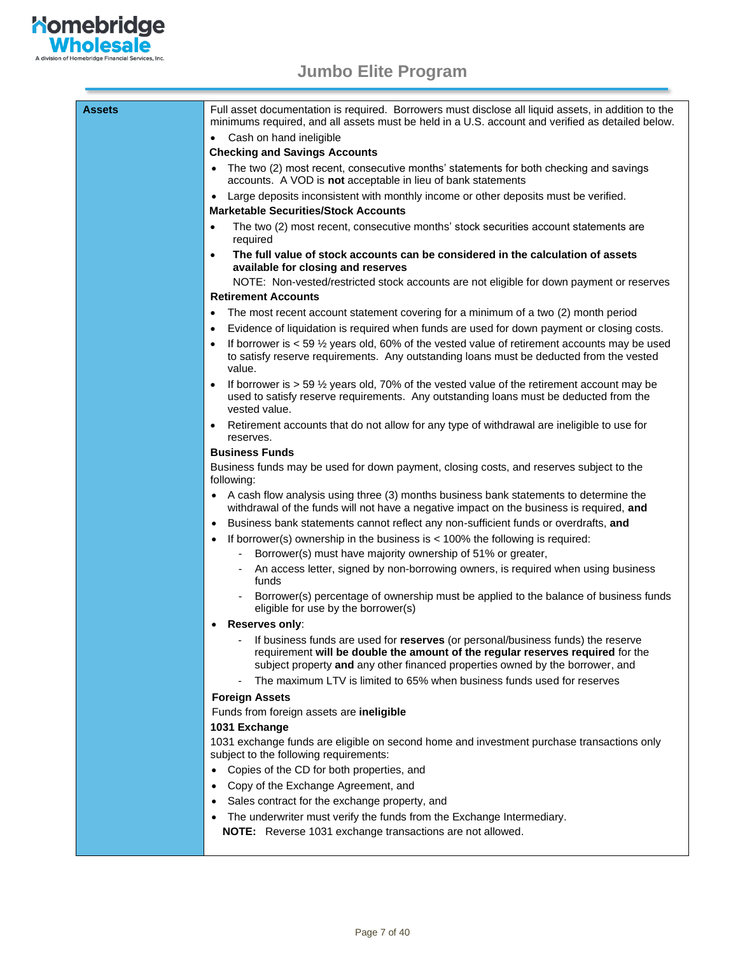

| Assets | Full asset documentation is required. Borrowers must disclose all liquid assets, in addition to the<br>minimums required, and all assets must be held in a U.S. account and verified as detailed below.                                             |
|--------|-----------------------------------------------------------------------------------------------------------------------------------------------------------------------------------------------------------------------------------------------------|
|        | • Cash on hand ineligible                                                                                                                                                                                                                           |
|        | <b>Checking and Savings Accounts</b>                                                                                                                                                                                                                |
|        | The two (2) most recent, consecutive months' statements for both checking and savings<br>$\bullet$<br>accounts. A VOD is <b>not</b> acceptable in lieu of bank statements                                                                           |
|        | Large deposits inconsistent with monthly income or other deposits must be verified.<br>$\bullet$<br><b>Marketable Securities/Stock Accounts</b>                                                                                                     |
|        | The two (2) most recent, consecutive months' stock securities account statements are<br>$\bullet$<br>required                                                                                                                                       |
|        | The full value of stock accounts can be considered in the calculation of assets<br>$\bullet$<br>available for closing and reserves                                                                                                                  |
|        | NOTE: Non-vested/restricted stock accounts are not eligible for down payment or reserves                                                                                                                                                            |
|        | <b>Retirement Accounts</b>                                                                                                                                                                                                                          |
|        | The most recent account statement covering for a minimum of a two (2) month period<br>٠                                                                                                                                                             |
|        | Evidence of liquidation is required when funds are used for down payment or closing costs.<br>$\bullet$                                                                                                                                             |
|        | If borrower is $<$ 59 $\frac{1}{2}$ years old, 60% of the vested value of retirement accounts may be used<br>$\bullet$<br>to satisfy reserve requirements. Any outstanding loans must be deducted from the vested<br>value.                         |
|        | If borrower is $> 59$ $\frac{1}{2}$ years old, 70% of the vested value of the retirement account may be<br>used to satisfy reserve requirements. Any outstanding loans must be deducted from the<br>vested value.                                   |
|        | Retirement accounts that do not allow for any type of withdrawal are ineligible to use for<br>٠<br>reserves.                                                                                                                                        |
|        | <b>Business Funds</b>                                                                                                                                                                                                                               |
|        | Business funds may be used for down payment, closing costs, and reserves subject to the<br>following:                                                                                                                                               |
|        | A cash flow analysis using three (3) months business bank statements to determine the<br>$\bullet$<br>withdrawal of the funds will not have a negative impact on the business is required, and                                                      |
|        | Business bank statements cannot reflect any non-sufficient funds or overdrafts, and<br>$\bullet$                                                                                                                                                    |
|        | If borrower(s) ownership in the business is $<$ 100% the following is required:<br>$\bullet$                                                                                                                                                        |
|        | Borrower(s) must have majority ownership of 51% or greater,                                                                                                                                                                                         |
|        | An access letter, signed by non-borrowing owners, is required when using business<br>funds                                                                                                                                                          |
|        | Borrower(s) percentage of ownership must be applied to the balance of business funds<br>$\blacksquare$<br>eligible for use by the borrower(s)                                                                                                       |
|        | Reserves only:                                                                                                                                                                                                                                      |
|        | If business funds are used for reserves (or personal/business funds) the reserve<br>requirement will be double the amount of the regular reserves required for the<br>subject property and any other financed properties owned by the borrower, and |
|        | The maximum LTV is limited to 65% when business funds used for reserves                                                                                                                                                                             |
|        | <b>Foreign Assets</b>                                                                                                                                                                                                                               |
|        | Funds from foreign assets are ineligible                                                                                                                                                                                                            |
|        | 1031 Exchange                                                                                                                                                                                                                                       |
|        | 1031 exchange funds are eligible on second home and investment purchase transactions only<br>subject to the following requirements:                                                                                                                 |
|        | Copies of the CD for both properties, and<br>$\bullet$                                                                                                                                                                                              |
|        | Copy of the Exchange Agreement, and<br>$\bullet$                                                                                                                                                                                                    |
|        | Sales contract for the exchange property, and<br>$\bullet$                                                                                                                                                                                          |
|        | The underwriter must verify the funds from the Exchange Intermediary.<br>$\bullet$                                                                                                                                                                  |
|        | NOTE: Reverse 1031 exchange transactions are not allowed.                                                                                                                                                                                           |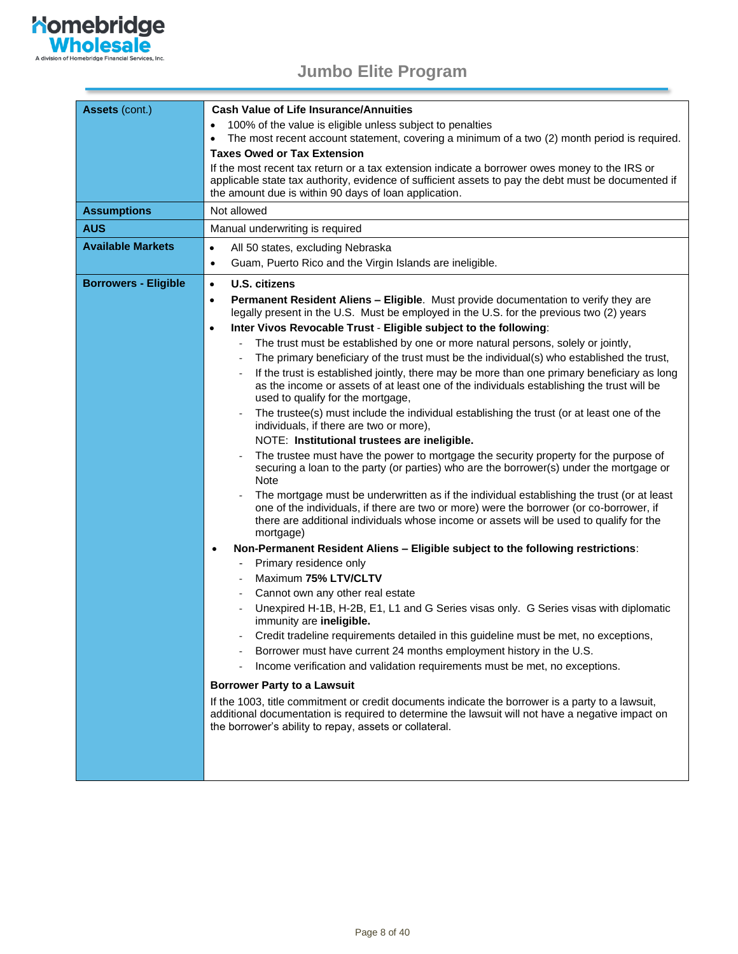

| Assets (cont.)              | <b>Cash Value of Life Insurance/Annuities</b>                                                                                                                                                                                                                                                 |  |  |  |  |  |
|-----------------------------|-----------------------------------------------------------------------------------------------------------------------------------------------------------------------------------------------------------------------------------------------------------------------------------------------|--|--|--|--|--|
|                             | 100% of the value is eligible unless subject to penalties                                                                                                                                                                                                                                     |  |  |  |  |  |
|                             | The most recent account statement, covering a minimum of a two (2) month period is required.<br>$\bullet$                                                                                                                                                                                     |  |  |  |  |  |
|                             | <b>Taxes Owed or Tax Extension</b>                                                                                                                                                                                                                                                            |  |  |  |  |  |
|                             | If the most recent tax return or a tax extension indicate a borrower owes money to the IRS or<br>applicable state tax authority, evidence of sufficient assets to pay the debt must be documented if<br>the amount due is within 90 days of loan application.                                 |  |  |  |  |  |
| <b>Assumptions</b>          | Not allowed                                                                                                                                                                                                                                                                                   |  |  |  |  |  |
| <b>AUS</b>                  | Manual underwriting is required                                                                                                                                                                                                                                                               |  |  |  |  |  |
| <b>Available Markets</b>    | All 50 states, excluding Nebraska<br>$\bullet$                                                                                                                                                                                                                                                |  |  |  |  |  |
|                             | Guam, Puerto Rico and the Virgin Islands are ineligible.<br>$\bullet$                                                                                                                                                                                                                         |  |  |  |  |  |
| <b>Borrowers - Eligible</b> | <b>U.S. citizens</b><br>$\bullet$                                                                                                                                                                                                                                                             |  |  |  |  |  |
|                             | Permanent Resident Aliens - Eligible. Must provide documentation to verify they are<br>$\bullet$<br>legally present in the U.S. Must be employed in the U.S. for the previous two (2) years                                                                                                   |  |  |  |  |  |
|                             | Inter Vivos Revocable Trust - Eligible subject to the following:<br>$\bullet$                                                                                                                                                                                                                 |  |  |  |  |  |
|                             | The trust must be established by one or more natural persons, solely or jointly,                                                                                                                                                                                                              |  |  |  |  |  |
|                             | The primary beneficiary of the trust must be the individual(s) who established the trust,                                                                                                                                                                                                     |  |  |  |  |  |
|                             | If the trust is established jointly, there may be more than one primary beneficiary as long<br>as the income or assets of at least one of the individuals establishing the trust will be<br>used to qualify for the mortgage,                                                                 |  |  |  |  |  |
|                             | The trustee(s) must include the individual establishing the trust (or at least one of the<br>individuals, if there are two or more),                                                                                                                                                          |  |  |  |  |  |
|                             | NOTE: Institutional trustees are ineligible.                                                                                                                                                                                                                                                  |  |  |  |  |  |
|                             | The trustee must have the power to mortgage the security property for the purpose of<br>securing a loan to the party (or parties) who are the borrower(s) under the mortgage or<br><b>Note</b>                                                                                                |  |  |  |  |  |
|                             | The mortgage must be underwritten as if the individual establishing the trust (or at least<br>one of the individuals, if there are two or more) were the borrower (or co-borrower, if<br>there are additional individuals whose income or assets will be used to qualify for the<br>mortgage) |  |  |  |  |  |
|                             | Non-Permanent Resident Aliens - Eligible subject to the following restrictions:<br>$\bullet$                                                                                                                                                                                                  |  |  |  |  |  |
|                             | Primary residence only<br>$\sim$                                                                                                                                                                                                                                                              |  |  |  |  |  |
|                             | Maximum 75% LTV/CLTV                                                                                                                                                                                                                                                                          |  |  |  |  |  |
|                             | Cannot own any other real estate                                                                                                                                                                                                                                                              |  |  |  |  |  |
|                             | Unexpired H-1B, H-2B, E1, L1 and G Series visas only. G Series visas with diplomatic<br>immunity are ineligible.                                                                                                                                                                              |  |  |  |  |  |
|                             | Credit tradeline requirements detailed in this guideline must be met, no exceptions.                                                                                                                                                                                                          |  |  |  |  |  |
|                             | Borrower must have current 24 months employment history in the U.S.                                                                                                                                                                                                                           |  |  |  |  |  |
|                             | Income verification and validation requirements must be met, no exceptions.                                                                                                                                                                                                                   |  |  |  |  |  |
|                             | <b>Borrower Party to a Lawsuit</b>                                                                                                                                                                                                                                                            |  |  |  |  |  |
|                             | If the 1003, title commitment or credit documents indicate the borrower is a party to a lawsuit,<br>additional documentation is required to determine the lawsuit will not have a negative impact on<br>the borrower's ability to repay, assets or collateral.                                |  |  |  |  |  |
|                             |                                                                                                                                                                                                                                                                                               |  |  |  |  |  |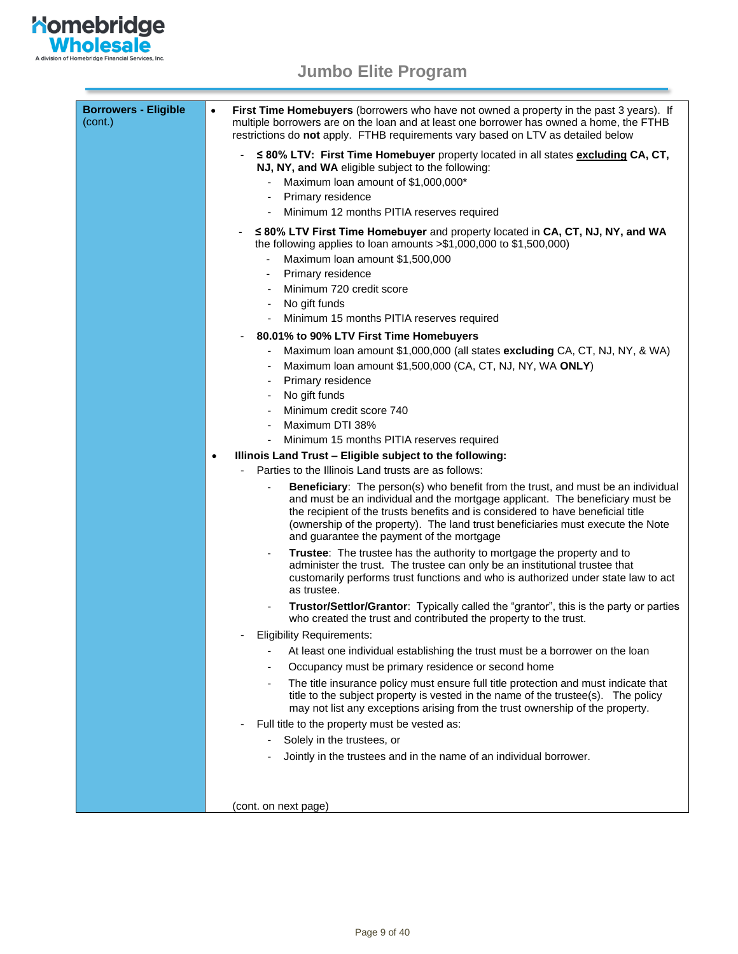

| <b>Borrowers - Eligible</b><br>(cont.) | First Time Homebuyers (borrowers who have not owned a property in the past 3 years). If<br>$\bullet$<br>multiple borrowers are on the loan and at least one borrower has owned a home, the FTHB<br>restrictions do not apply. FTHB requirements vary based on LTV as detailed below                                                                                                  |
|----------------------------------------|--------------------------------------------------------------------------------------------------------------------------------------------------------------------------------------------------------------------------------------------------------------------------------------------------------------------------------------------------------------------------------------|
|                                        | ≤ 80% LTV: First Time Homebuyer property located in all states excluding CA, CT,<br>NJ, NY, and WA eligible subject to the following:<br>Maximum loan amount of \$1,000,000*                                                                                                                                                                                                         |
|                                        | Primary residence                                                                                                                                                                                                                                                                                                                                                                    |
|                                        | Minimum 12 months PITIA reserves required<br>۰                                                                                                                                                                                                                                                                                                                                       |
|                                        |                                                                                                                                                                                                                                                                                                                                                                                      |
|                                        | ≤ 80% LTV First Time Homebuyer and property located in CA, CT, NJ, NY, and WA<br>the following applies to loan amounts $> $1,000,000$ to $$1,500,000$ )                                                                                                                                                                                                                              |
|                                        | Maximum loan amount \$1,500,000                                                                                                                                                                                                                                                                                                                                                      |
|                                        | Primary residence                                                                                                                                                                                                                                                                                                                                                                    |
|                                        | Minimum 720 credit score                                                                                                                                                                                                                                                                                                                                                             |
|                                        | No gift funds<br>$\qquad \qquad \blacksquare$                                                                                                                                                                                                                                                                                                                                        |
|                                        | Minimum 15 months PITIA reserves required                                                                                                                                                                                                                                                                                                                                            |
|                                        | 80.01% to 90% LTV First Time Homebuyers                                                                                                                                                                                                                                                                                                                                              |
|                                        | Maximum loan amount \$1,000,000 (all states excluding CA, CT, NJ, NY, & WA)<br>Maximum loan amount \$1,500,000 (CA, CT, NJ, NY, WA ONLY)                                                                                                                                                                                                                                             |
|                                        | Primary residence                                                                                                                                                                                                                                                                                                                                                                    |
|                                        | No gift funds                                                                                                                                                                                                                                                                                                                                                                        |
|                                        | Minimum credit score 740                                                                                                                                                                                                                                                                                                                                                             |
|                                        | Maximum DTI 38%                                                                                                                                                                                                                                                                                                                                                                      |
|                                        | Minimum 15 months PITIA reserves required                                                                                                                                                                                                                                                                                                                                            |
|                                        | Illinois Land Trust - Eligible subject to the following:<br>$\bullet$                                                                                                                                                                                                                                                                                                                |
|                                        | Parties to the Illinois Land trusts are as follows:                                                                                                                                                                                                                                                                                                                                  |
|                                        | Beneficiary: The person(s) who benefit from the trust, and must be an individual<br>and must be an individual and the mortgage applicant. The beneficiary must be<br>the recipient of the trusts benefits and is considered to have beneficial title<br>(ownership of the property). The land trust beneficiaries must execute the Note<br>and guarantee the payment of the mortgage |
|                                        | Trustee: The trustee has the authority to mortgage the property and to<br>$\overline{\phantom{a}}$<br>administer the trust. The trustee can only be an institutional trustee that<br>customarily performs trust functions and who is authorized under state law to act<br>as trustee.                                                                                                |
|                                        | Trustor/Settlor/Grantor: Typically called the "grantor", this is the party or parties<br>who created the trust and contributed the property to the trust.                                                                                                                                                                                                                            |
|                                        | <b>Eligibility Requirements:</b>                                                                                                                                                                                                                                                                                                                                                     |
|                                        | At least one individual establishing the trust must be a borrower on the loan                                                                                                                                                                                                                                                                                                        |
|                                        | Occupancy must be primary residence or second home<br>÷                                                                                                                                                                                                                                                                                                                              |
|                                        | The title insurance policy must ensure full title protection and must indicate that<br>$\qquad \qquad \blacksquare$                                                                                                                                                                                                                                                                  |
|                                        | title to the subject property is vested in the name of the trustee(s). The policy<br>may not list any exceptions arising from the trust ownership of the property.                                                                                                                                                                                                                   |
|                                        | Full title to the property must be vested as:                                                                                                                                                                                                                                                                                                                                        |
|                                        | Solely in the trustees, or                                                                                                                                                                                                                                                                                                                                                           |
|                                        | Jointly in the trustees and in the name of an individual borrower.                                                                                                                                                                                                                                                                                                                   |
|                                        |                                                                                                                                                                                                                                                                                                                                                                                      |
|                                        |                                                                                                                                                                                                                                                                                                                                                                                      |
|                                        |                                                                                                                                                                                                                                                                                                                                                                                      |
|                                        | (cont. on next page)                                                                                                                                                                                                                                                                                                                                                                 |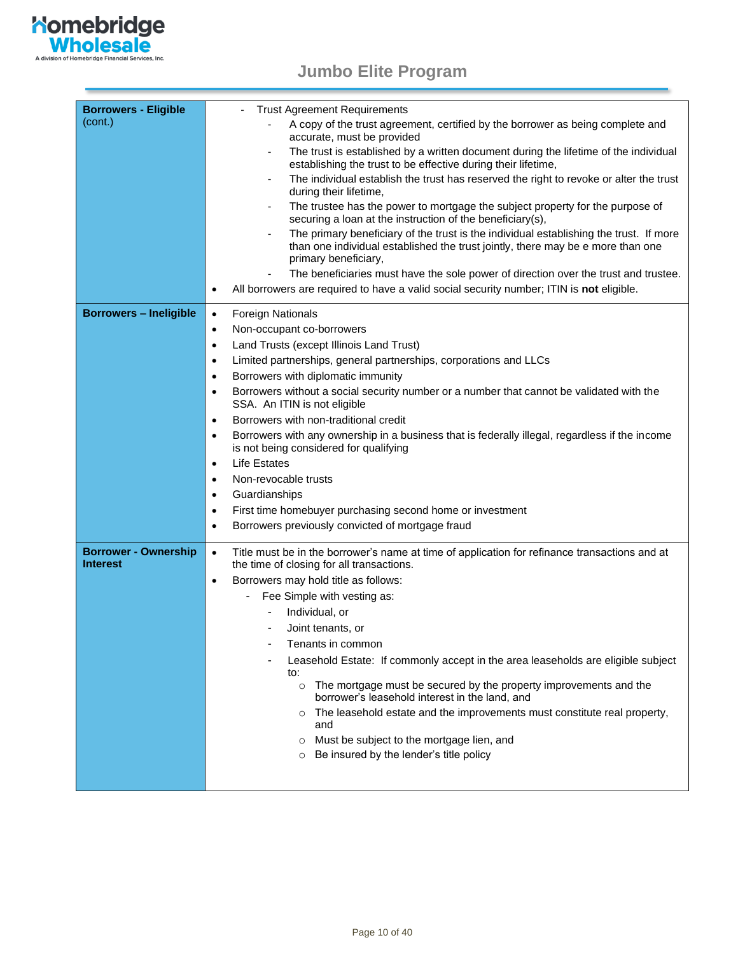

| <b>Borrowers - Eligible</b>                    | <b>Trust Agreement Requirements</b>                                                                                                                                                               |
|------------------------------------------------|---------------------------------------------------------------------------------------------------------------------------------------------------------------------------------------------------|
| (cont.)                                        | A copy of the trust agreement, certified by the borrower as being complete and<br>accurate, must be provided                                                                                      |
|                                                | The trust is established by a written document during the lifetime of the individual                                                                                                              |
|                                                | establishing the trust to be effective during their lifetime,                                                                                                                                     |
|                                                | The individual establish the trust has reserved the right to revoke or alter the trust<br>$\overline{\phantom{a}}$<br>during their lifetime,                                                      |
|                                                | The trustee has the power to mortgage the subject property for the purpose of<br>securing a loan at the instruction of the beneficiary(s),                                                        |
|                                                | The primary beneficiary of the trust is the individual establishing the trust. If more<br>than one individual established the trust jointly, there may be e more than one<br>primary beneficiary, |
|                                                | The beneficiaries must have the sole power of direction over the trust and trustee.                                                                                                               |
|                                                | All borrowers are required to have a valid social security number; ITIN is not eligible.<br>$\bullet$                                                                                             |
| <b>Borrowers - Ineligible</b>                  | <b>Foreign Nationals</b><br>$\bullet$                                                                                                                                                             |
|                                                | Non-occupant co-borrowers<br>$\bullet$                                                                                                                                                            |
|                                                | Land Trusts (except Illinois Land Trust)<br>$\bullet$                                                                                                                                             |
|                                                | Limited partnerships, general partnerships, corporations and LLCs<br>$\bullet$                                                                                                                    |
|                                                | Borrowers with diplomatic immunity<br>$\bullet$                                                                                                                                                   |
|                                                | Borrowers without a social security number or a number that cannot be validated with the<br>SSA. An ITIN is not eligible                                                                          |
|                                                | Borrowers with non-traditional credit<br>$\bullet$                                                                                                                                                |
|                                                | Borrowers with any ownership in a business that is federally illegal, regardless if the income                                                                                                    |
|                                                | is not being considered for qualifying                                                                                                                                                            |
|                                                | <b>Life Estates</b><br>$\bullet$                                                                                                                                                                  |
|                                                | Non-revocable trusts<br>$\bullet$                                                                                                                                                                 |
|                                                | Guardianships<br>$\bullet$                                                                                                                                                                        |
|                                                | First time homebuyer purchasing second home or investment<br>٠                                                                                                                                    |
|                                                | Borrowers previously convicted of mortgage fraud<br>$\bullet$                                                                                                                                     |
| <b>Borrower - Ownership</b><br><b>Interest</b> | Title must be in the borrower's name at time of application for refinance transactions and at<br>$\bullet$<br>the time of closing for all transactions.                                           |
|                                                | Borrowers may hold title as follows:<br>$\bullet$                                                                                                                                                 |
|                                                | Fee Simple with vesting as:                                                                                                                                                                       |
|                                                | Individual, or                                                                                                                                                                                    |
|                                                | Joint tenants, or                                                                                                                                                                                 |
|                                                | Tenants in common                                                                                                                                                                                 |
|                                                | Leasehold Estate: If commonly accept in the area leaseholds are eligible subject                                                                                                                  |
|                                                | to:                                                                                                                                                                                               |
|                                                | The mortgage must be secured by the property improvements and the<br>$\circ$<br>borrower's leasehold interest in the land, and                                                                    |
|                                                | The leasehold estate and the improvements must constitute real property,<br>$\circ$<br>and                                                                                                        |
|                                                | Must be subject to the mortgage lien, and<br>$\circ$                                                                                                                                              |
|                                                | Be insured by the lender's title policy<br>$\circ$                                                                                                                                                |
|                                                |                                                                                                                                                                                                   |
|                                                |                                                                                                                                                                                                   |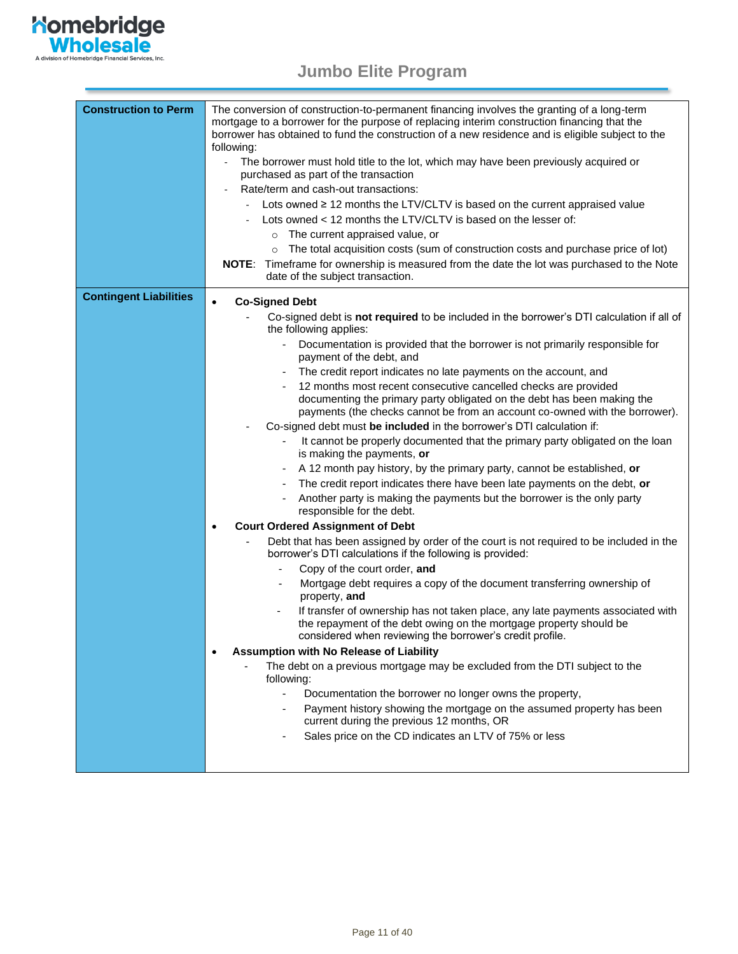

| <b>Construction to Perm</b>   | The conversion of construction-to-permanent financing involves the granting of a long-term<br>mortgage to a borrower for the purpose of replacing interim construction financing that the<br>borrower has obtained to fund the construction of a new residence and is eligible subject to the<br>following: |  |  |
|-------------------------------|-------------------------------------------------------------------------------------------------------------------------------------------------------------------------------------------------------------------------------------------------------------------------------------------------------------|--|--|
|                               | The borrower must hold title to the lot, which may have been previously acquired or<br>$\overline{\phantom{a}}$                                                                                                                                                                                             |  |  |
|                               | purchased as part of the transaction                                                                                                                                                                                                                                                                        |  |  |
|                               | Rate/term and cash-out transactions:<br>Lots owned ≥ 12 months the LTV/CLTV is based on the current appraised value                                                                                                                                                                                         |  |  |
|                               | Lots owned < 12 months the LTV/CLTV is based on the lesser of:                                                                                                                                                                                                                                              |  |  |
|                               | The current appraised value, or                                                                                                                                                                                                                                                                             |  |  |
|                               | $\circ$<br>The total acquisition costs (sum of construction costs and purchase price of lot)                                                                                                                                                                                                                |  |  |
|                               | $\circ$<br>NOTE: Timeframe for ownership is measured from the date the lot was purchased to the Note                                                                                                                                                                                                        |  |  |
|                               | date of the subject transaction.                                                                                                                                                                                                                                                                            |  |  |
| <b>Contingent Liabilities</b> | <b>Co-Signed Debt</b><br>$\bullet$                                                                                                                                                                                                                                                                          |  |  |
|                               | Co-signed debt is not required to be included in the borrower's DTI calculation if all of<br>the following applies:                                                                                                                                                                                         |  |  |
|                               | Documentation is provided that the borrower is not primarily responsible for<br>payment of the debt, and                                                                                                                                                                                                    |  |  |
|                               | The credit report indicates no late payments on the account, and                                                                                                                                                                                                                                            |  |  |
|                               | 12 months most recent consecutive cancelled checks are provided                                                                                                                                                                                                                                             |  |  |
|                               | documenting the primary party obligated on the debt has been making the                                                                                                                                                                                                                                     |  |  |
|                               | payments (the checks cannot be from an account co-owned with the borrower).<br>Co-signed debt must be included in the borrower's DTI calculation if:                                                                                                                                                        |  |  |
|                               | It cannot be properly documented that the primary party obligated on the loan                                                                                                                                                                                                                               |  |  |
|                               | is making the payments, or                                                                                                                                                                                                                                                                                  |  |  |
|                               | A 12 month pay history, by the primary party, cannot be established, or<br>$\overline{\phantom{a}}$                                                                                                                                                                                                         |  |  |
|                               | The credit report indicates there have been late payments on the debt, or                                                                                                                                                                                                                                   |  |  |
|                               | Another party is making the payments but the borrower is the only party<br>responsible for the debt.                                                                                                                                                                                                        |  |  |
|                               | <b>Court Ordered Assignment of Debt</b><br>٠                                                                                                                                                                                                                                                                |  |  |
|                               | Debt that has been assigned by order of the court is not required to be included in the<br>borrower's DTI calculations if the following is provided:                                                                                                                                                        |  |  |
|                               | Copy of the court order, and                                                                                                                                                                                                                                                                                |  |  |
|                               | Mortgage debt requires a copy of the document transferring ownership of<br>$\overline{\phantom{a}}$<br>property, and                                                                                                                                                                                        |  |  |
|                               | If transfer of ownership has not taken place, any late payments associated with<br>the repayment of the debt owing on the mortgage property should be<br>considered when reviewing the borrower's credit profile.                                                                                           |  |  |
|                               | Assumption with No Release of Liability                                                                                                                                                                                                                                                                     |  |  |
|                               | The debt on a previous mortgage may be excluded from the DTI subject to the<br>following:                                                                                                                                                                                                                   |  |  |
|                               | Documentation the borrower no longer owns the property,<br>÷,                                                                                                                                                                                                                                               |  |  |
|                               | Payment history showing the mortgage on the assumed property has been<br>current during the previous 12 months, OR                                                                                                                                                                                          |  |  |
|                               | Sales price on the CD indicates an LTV of 75% or less                                                                                                                                                                                                                                                       |  |  |
|                               |                                                                                                                                                                                                                                                                                                             |  |  |
|                               |                                                                                                                                                                                                                                                                                                             |  |  |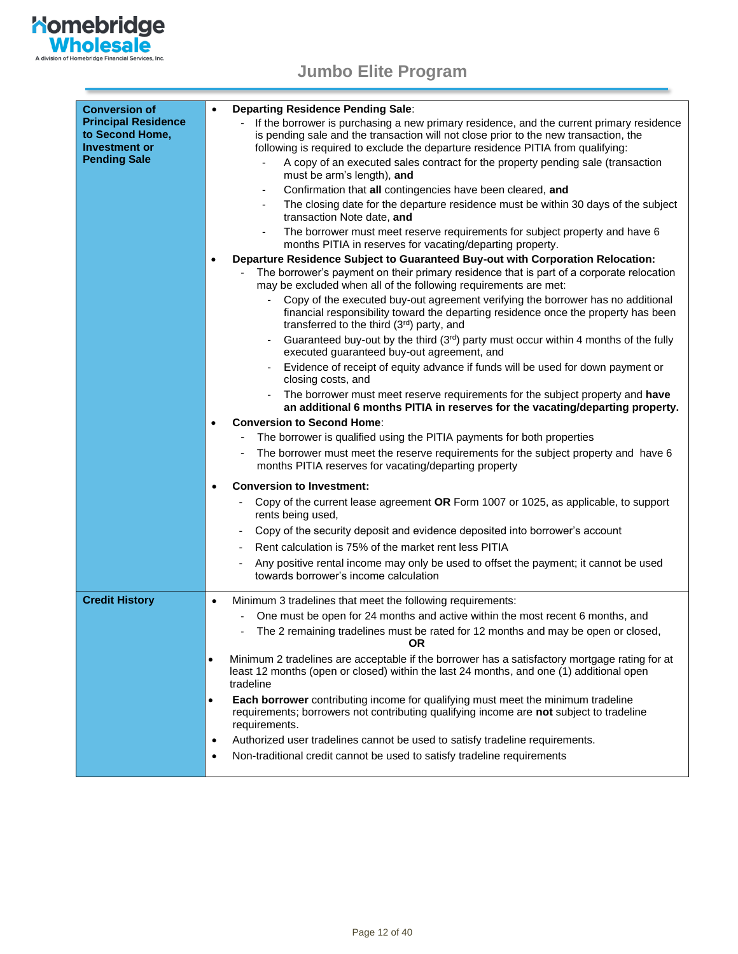

<span id="page-11-0"></span>

| <b>Conversion of</b><br><b>Principal Residence</b><br>to Second Home, | Departing Residence Pending Sale:<br>$\bullet$<br>If the borrower is purchasing a new primary residence, and the current primary residence<br>is pending sale and the transaction will not close prior to the new transaction, the |
|-----------------------------------------------------------------------|------------------------------------------------------------------------------------------------------------------------------------------------------------------------------------------------------------------------------------|
| <b>Investment or</b>                                                  | following is required to exclude the departure residence PITIA from qualifying:                                                                                                                                                    |
| <b>Pending Sale</b>                                                   | A copy of an executed sales contract for the property pending sale (transaction<br>must be arm's length), and                                                                                                                      |
|                                                                       | Confirmation that all contingencies have been cleared, and<br>$\overline{\phantom{a}}$                                                                                                                                             |
|                                                                       | The closing date for the departure residence must be within 30 days of the subject<br>transaction Note date, and                                                                                                                   |
|                                                                       | The borrower must meet reserve requirements for subject property and have 6<br>months PITIA in reserves for vacating/departing property.                                                                                           |
|                                                                       | Departure Residence Subject to Guaranteed Buy-out with Corporation Relocation:<br>$\bullet$                                                                                                                                        |
|                                                                       | The borrower's payment on their primary residence that is part of a corporate relocation<br>may be excluded when all of the following requirements are met:                                                                        |
|                                                                       | Copy of the executed buy-out agreement verifying the borrower has no additional<br>financial responsibility toward the departing residence once the property has been<br>transferred to the third (3rd) party, and                 |
|                                                                       | Guaranteed buy-out by the third (3rd) party must occur within 4 months of the fully<br>executed guaranteed buy-out agreement, and                                                                                                  |
|                                                                       | Evidence of receipt of equity advance if funds will be used for down payment or<br>closing costs, and                                                                                                                              |
|                                                                       | The borrower must meet reserve requirements for the subject property and have<br>an additional 6 months PITIA in reserves for the vacating/departing property.                                                                     |
|                                                                       | <b>Conversion to Second Home:</b>                                                                                                                                                                                                  |
|                                                                       | The borrower is qualified using the PITIA payments for both properties                                                                                                                                                             |
|                                                                       | The borrower must meet the reserve requirements for the subject property and have 6<br>٠<br>months PITIA reserves for vacating/departing property                                                                                  |
|                                                                       | <b>Conversion to Investment:</b><br>$\bullet$                                                                                                                                                                                      |
|                                                                       | Copy of the current lease agreement OR Form 1007 or 1025, as applicable, to support<br>rents being used,                                                                                                                           |
|                                                                       | Copy of the security deposit and evidence deposited into borrower's account                                                                                                                                                        |
|                                                                       | Rent calculation is 75% of the market rent less PITIA                                                                                                                                                                              |
|                                                                       | Any positive rental income may only be used to offset the payment; it cannot be used<br>towards borrower's income calculation                                                                                                      |
| <b>Credit History</b>                                                 | Minimum 3 tradelines that meet the following requirements:<br>$\bullet$                                                                                                                                                            |
|                                                                       | One must be open for 24 months and active within the most recent 6 months, and                                                                                                                                                     |
|                                                                       | The 2 remaining tradelines must be rated for 12 months and may be open or closed,<br><b>OR</b>                                                                                                                                     |
|                                                                       | Minimum 2 tradelines are acceptable if the borrower has a satisfactory mortgage rating for at<br>$\bullet$<br>least 12 months (open or closed) within the last 24 months, and one (1) additional open<br>tradeline                 |
|                                                                       | Each borrower contributing income for qualifying must meet the minimum tradeline<br>$\bullet$<br>requirements; borrowers not contributing qualifying income are not subject to tradeline<br>requirements.                          |
|                                                                       | Authorized user tradelines cannot be used to satisfy tradeline requirements.<br>$\bullet$                                                                                                                                          |
|                                                                       | Non-traditional credit cannot be used to satisfy tradeline requirements<br>٠                                                                                                                                                       |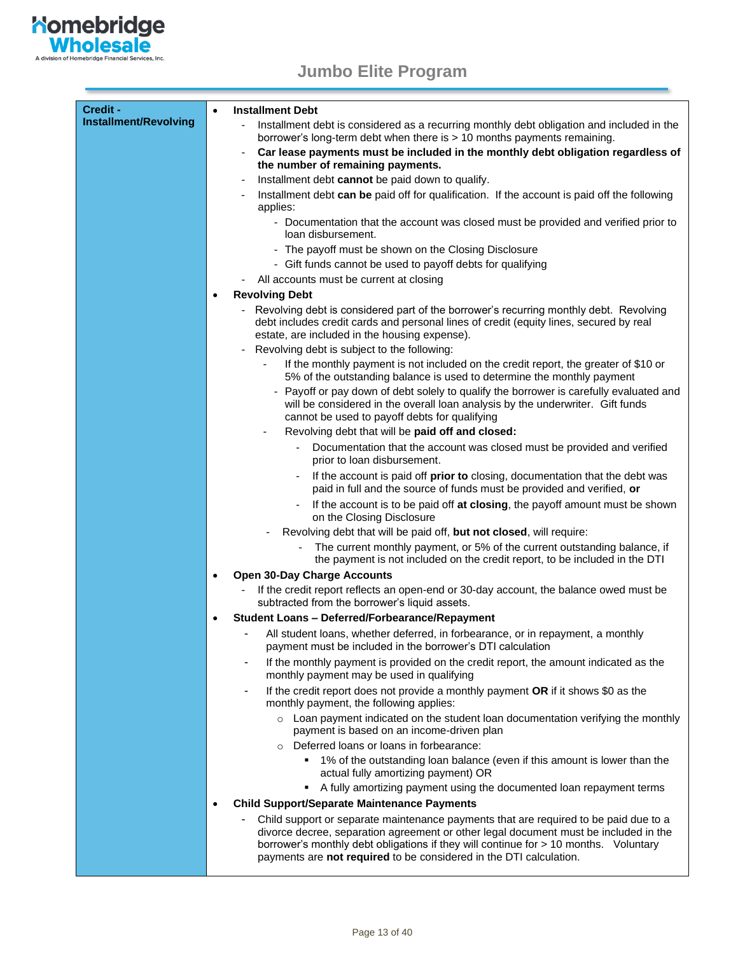

| Credit -              | <b>Installment Debt</b><br>$\bullet$                                                                                                                                                                                                                                                                                                       |  |
|-----------------------|--------------------------------------------------------------------------------------------------------------------------------------------------------------------------------------------------------------------------------------------------------------------------------------------------------------------------------------------|--|
| Installment/Revolving | Installment debt is considered as a recurring monthly debt obligation and included in the<br>borrower's long-term debt when there is > 10 months payments remaining.                                                                                                                                                                       |  |
|                       | Car lease payments must be included in the monthly debt obligation regardless of<br>$\overline{\phantom{a}}$<br>the number of remaining payments.                                                                                                                                                                                          |  |
|                       | Installment debt cannot be paid down to qualify.<br>-                                                                                                                                                                                                                                                                                      |  |
|                       | Installment debt can be paid off for qualification. If the account is paid off the following<br>applies:                                                                                                                                                                                                                                   |  |
|                       | - Documentation that the account was closed must be provided and verified prior to<br>loan disbursement.                                                                                                                                                                                                                                   |  |
|                       | - The payoff must be shown on the Closing Disclosure                                                                                                                                                                                                                                                                                       |  |
|                       | - Gift funds cannot be used to payoff debts for qualifying                                                                                                                                                                                                                                                                                 |  |
|                       | All accounts must be current at closing                                                                                                                                                                                                                                                                                                    |  |
|                       | <b>Revolving Debt</b>                                                                                                                                                                                                                                                                                                                      |  |
|                       | - Revolving debt is considered part of the borrower's recurring monthly debt. Revolving<br>debt includes credit cards and personal lines of credit (equity lines, secured by real<br>estate, are included in the housing expense).                                                                                                         |  |
|                       | Revolving debt is subject to the following:<br>$\overline{\phantom{a}}$                                                                                                                                                                                                                                                                    |  |
|                       | If the monthly payment is not included on the credit report, the greater of \$10 or<br>5% of the outstanding balance is used to determine the monthly payment                                                                                                                                                                              |  |
|                       | - Payoff or pay down of debt solely to qualify the borrower is carefully evaluated and<br>will be considered in the overall loan analysis by the underwriter. Gift funds<br>cannot be used to payoff debts for qualifying                                                                                                                  |  |
|                       | Revolving debt that will be paid off and closed:                                                                                                                                                                                                                                                                                           |  |
|                       | Documentation that the account was closed must be provided and verified<br>prior to loan disbursement.                                                                                                                                                                                                                                     |  |
|                       | If the account is paid off prior to closing, documentation that the debt was<br>paid in full and the source of funds must be provided and verified, or                                                                                                                                                                                     |  |
|                       | If the account is to be paid off at closing, the payoff amount must be shown<br>on the Closing Disclosure                                                                                                                                                                                                                                  |  |
|                       | Revolving debt that will be paid off, but not closed, will require:                                                                                                                                                                                                                                                                        |  |
|                       | The current monthly payment, or 5% of the current outstanding balance, if<br>the payment is not included on the credit report, to be included in the DTI                                                                                                                                                                                   |  |
|                       | <b>Open 30-Day Charge Accounts</b><br>$\bullet$                                                                                                                                                                                                                                                                                            |  |
|                       | If the credit report reflects an open-end or 30-day account, the balance owed must be<br>subtracted from the borrower's liquid assets.                                                                                                                                                                                                     |  |
|                       | <b>Student Loans - Deferred/Forbearance/Repayment</b>                                                                                                                                                                                                                                                                                      |  |
|                       | All student loans, whether deferred, in forbearance, or in repayment, a monthly<br>payment must be included in the borrower's DTI calculation                                                                                                                                                                                              |  |
|                       | If the monthly payment is provided on the credit report, the amount indicated as the<br>monthly payment may be used in qualifying                                                                                                                                                                                                          |  |
|                       | If the credit report does not provide a monthly payment OR if it shows \$0 as the<br>monthly payment, the following applies:                                                                                                                                                                                                               |  |
|                       | $\circ$ Loan payment indicated on the student loan documentation verifying the monthly<br>payment is based on an income-driven plan                                                                                                                                                                                                        |  |
|                       | Deferred loans or loans in forbearance:                                                                                                                                                                                                                                                                                                    |  |
|                       | 1% of the outstanding loan balance (even if this amount is lower than the<br>٠<br>actual fully amortizing payment) OR                                                                                                                                                                                                                      |  |
|                       | A fully amortizing payment using the documented loan repayment terms<br>٠                                                                                                                                                                                                                                                                  |  |
|                       | <b>Child Support/Separate Maintenance Payments</b>                                                                                                                                                                                                                                                                                         |  |
|                       | Child support or separate maintenance payments that are required to be paid due to a<br>divorce decree, separation agreement or other legal document must be included in the<br>borrower's monthly debt obligations if they will continue for > 10 months. Voluntary<br>payments are not required to be considered in the DTI calculation. |  |
|                       |                                                                                                                                                                                                                                                                                                                                            |  |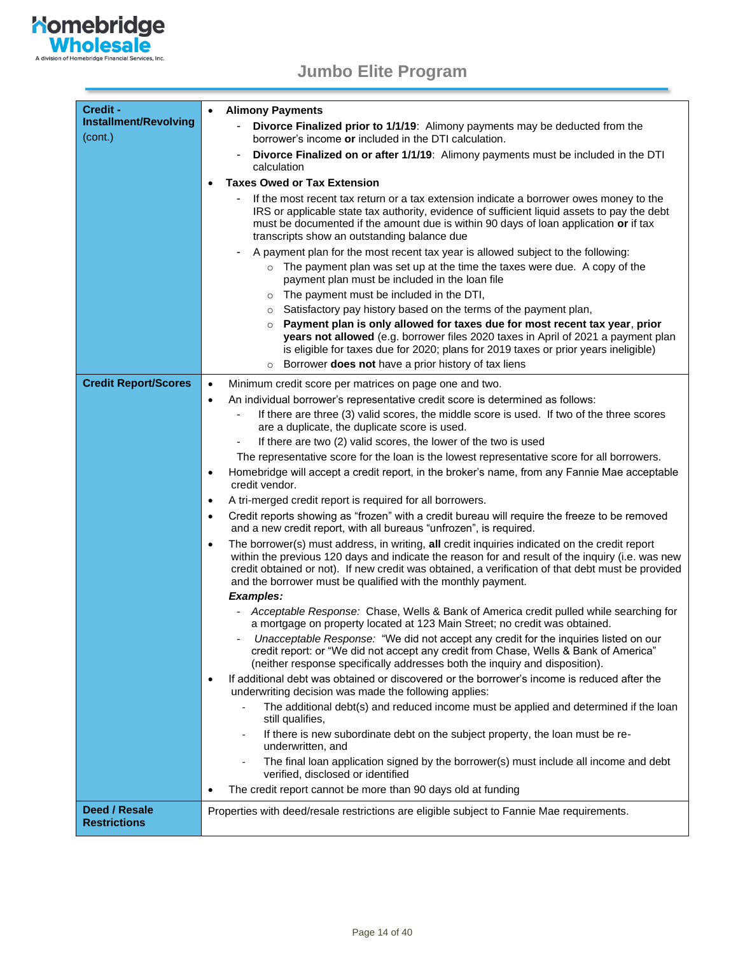

| Credit -                             | <b>Alimony Payments</b><br>$\bullet$                                                                                                                                                                                                                                                                                                                                                |  |  |
|--------------------------------------|-------------------------------------------------------------------------------------------------------------------------------------------------------------------------------------------------------------------------------------------------------------------------------------------------------------------------------------------------------------------------------------|--|--|
| Installment/Revolving                | Divorce Finalized prior to 1/1/19: Alimony payments may be deducted from the                                                                                                                                                                                                                                                                                                        |  |  |
| (cont.)                              | borrower's income or included in the DTI calculation.                                                                                                                                                                                                                                                                                                                               |  |  |
|                                      | Divorce Finalized on or after 1/1/19: Alimony payments must be included in the DTI<br>calculation                                                                                                                                                                                                                                                                                   |  |  |
|                                      | <b>Taxes Owed or Tax Extension</b>                                                                                                                                                                                                                                                                                                                                                  |  |  |
|                                      | If the most recent tax return or a tax extension indicate a borrower owes money to the<br>IRS or applicable state tax authority, evidence of sufficient liquid assets to pay the debt<br>must be documented if the amount due is within 90 days of loan application or if tax<br>transcripts show an outstanding balance due                                                        |  |  |
|                                      | A payment plan for the most recent tax year is allowed subject to the following:                                                                                                                                                                                                                                                                                                    |  |  |
|                                      | The payment plan was set up at the time the taxes were due. A copy of the<br>$\circ$<br>payment plan must be included in the loan file                                                                                                                                                                                                                                              |  |  |
|                                      | The payment must be included in the DTI,<br>$\circ$                                                                                                                                                                                                                                                                                                                                 |  |  |
|                                      | Satisfactory pay history based on the terms of the payment plan,<br>$\circ$                                                                                                                                                                                                                                                                                                         |  |  |
|                                      | Payment plan is only allowed for taxes due for most recent tax year, prior<br>years not allowed (e.g. borrower files 2020 taxes in April of 2021 a payment plan<br>is eligible for taxes due for 2020; plans for 2019 taxes or prior years ineligible)<br>Borrower does not have a prior history of tax liens                                                                       |  |  |
| <b>Credit Report/Scores</b>          | Minimum credit score per matrices on page one and two.<br>$\bullet$                                                                                                                                                                                                                                                                                                                 |  |  |
|                                      | An individual borrower's representative credit score is determined as follows:<br>$\bullet$                                                                                                                                                                                                                                                                                         |  |  |
|                                      | If there are three (3) valid scores, the middle score is used. If two of the three scores<br>are a duplicate, the duplicate score is used.                                                                                                                                                                                                                                          |  |  |
|                                      | If there are two (2) valid scores, the lower of the two is used<br>$\overline{\phantom{a}}$                                                                                                                                                                                                                                                                                         |  |  |
|                                      | The representative score for the loan is the lowest representative score for all borrowers.                                                                                                                                                                                                                                                                                         |  |  |
|                                      | Homebridge will accept a credit report, in the broker's name, from any Fannie Mae acceptable<br>$\bullet$<br>credit vendor.                                                                                                                                                                                                                                                         |  |  |
|                                      | A tri-merged credit report is required for all borrowers.<br>$\bullet$                                                                                                                                                                                                                                                                                                              |  |  |
|                                      | Credit reports showing as "frozen" with a credit bureau will require the freeze to be removed<br>$\bullet$<br>and a new credit report, with all bureaus "unfrozen", is required.                                                                                                                                                                                                    |  |  |
|                                      | The borrower(s) must address, in writing, all credit inquiries indicated on the credit report<br>$\bullet$<br>within the previous 120 days and indicate the reason for and result of the inquiry (i.e. was new<br>credit obtained or not). If new credit was obtained, a verification of that debt must be provided<br>and the borrower must be qualified with the monthly payment. |  |  |
|                                      | <b>Examples:</b>                                                                                                                                                                                                                                                                                                                                                                    |  |  |
|                                      | Acceptable Response: Chase, Wells & Bank of America credit pulled while searching for<br>a mortgage on property located at 123 Main Street; no credit was obtained.                                                                                                                                                                                                                 |  |  |
|                                      | Unacceptable Response: "We did not accept any credit for the inquiries listed on our<br>credit report: or "We did not accept any credit from Chase, Wells & Bank of America"<br>(neither response specifically addresses both the inquiry and disposition).                                                                                                                         |  |  |
|                                      | If additional debt was obtained or discovered or the borrower's income is reduced after the<br>$\bullet$<br>underwriting decision was made the following applies:                                                                                                                                                                                                                   |  |  |
|                                      | The additional debt(s) and reduced income must be applied and determined if the loan<br>still qualifies,                                                                                                                                                                                                                                                                            |  |  |
|                                      | If there is new subordinate debt on the subject property, the loan must be re-<br>underwritten, and                                                                                                                                                                                                                                                                                 |  |  |
|                                      | The final loan application signed by the borrower(s) must include all income and debt<br>verified, disclosed or identified                                                                                                                                                                                                                                                          |  |  |
|                                      | The credit report cannot be more than 90 days old at funding<br>$\bullet$                                                                                                                                                                                                                                                                                                           |  |  |
| Deed / Resale<br><b>Restrictions</b> | Properties with deed/resale restrictions are eligible subject to Fannie Mae requirements.                                                                                                                                                                                                                                                                                           |  |  |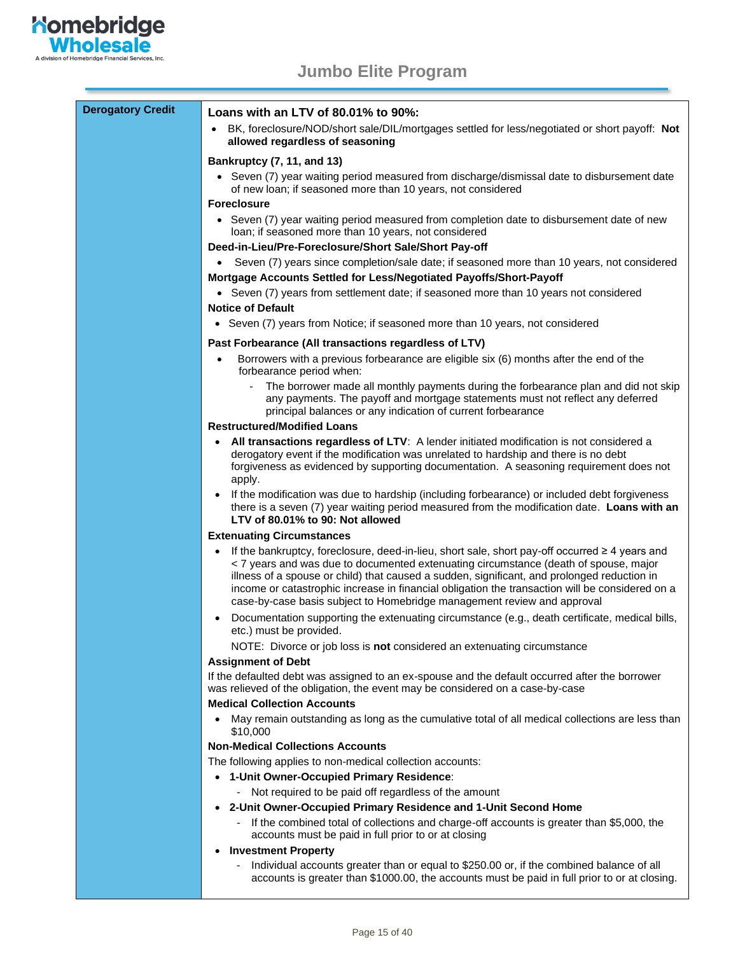

**Nomebridge**<br> **Wholesale** 

A division of Homebridge Financial Services, Inc.

| <b>Derogatory Credit</b> | Loans with an LTV of 80.01% to 90%:                                                                                                                                                                                                                                                                                                                                                                                                                                                   |  |  |  |
|--------------------------|---------------------------------------------------------------------------------------------------------------------------------------------------------------------------------------------------------------------------------------------------------------------------------------------------------------------------------------------------------------------------------------------------------------------------------------------------------------------------------------|--|--|--|
|                          | BK, foreclosure/NOD/short sale/DIL/mortgages settled for less/negotiated or short payoff: Not<br>allowed regardless of seasoning                                                                                                                                                                                                                                                                                                                                                      |  |  |  |
|                          | Bankruptcy (7, 11, and 13)                                                                                                                                                                                                                                                                                                                                                                                                                                                            |  |  |  |
|                          | • Seven (7) year waiting period measured from discharge/dismissal date to disbursement date<br>of new loan; if seasoned more than 10 years, not considered                                                                                                                                                                                                                                                                                                                            |  |  |  |
|                          | <b>Foreclosure</b>                                                                                                                                                                                                                                                                                                                                                                                                                                                                    |  |  |  |
|                          | • Seven (7) year waiting period measured from completion date to disbursement date of new<br>loan; if seasoned more than 10 years, not considered                                                                                                                                                                                                                                                                                                                                     |  |  |  |
|                          | Deed-in-Lieu/Pre-Foreclosure/Short Sale/Short Pay-off                                                                                                                                                                                                                                                                                                                                                                                                                                 |  |  |  |
|                          | Seven (7) years since completion/sale date; if seasoned more than 10 years, not considered<br>$\bullet$                                                                                                                                                                                                                                                                                                                                                                               |  |  |  |
|                          | Mortgage Accounts Settled for Less/Negotiated Payoffs/Short-Payoff<br>• Seven (7) years from settlement date; if seasoned more than 10 years not considered                                                                                                                                                                                                                                                                                                                           |  |  |  |
|                          | <b>Notice of Default</b>                                                                                                                                                                                                                                                                                                                                                                                                                                                              |  |  |  |
|                          | • Seven (7) years from Notice; if seasoned more than 10 years, not considered                                                                                                                                                                                                                                                                                                                                                                                                         |  |  |  |
|                          | Past Forbearance (All transactions regardless of LTV)                                                                                                                                                                                                                                                                                                                                                                                                                                 |  |  |  |
|                          | Borrowers with a previous forbearance are eligible six (6) months after the end of the                                                                                                                                                                                                                                                                                                                                                                                                |  |  |  |
|                          | forbearance period when:                                                                                                                                                                                                                                                                                                                                                                                                                                                              |  |  |  |
|                          | The borrower made all monthly payments during the forbearance plan and did not skip<br>any payments. The payoff and mortgage statements must not reflect any deferred<br>principal balances or any indication of current forbearance                                                                                                                                                                                                                                                  |  |  |  |
|                          | <b>Restructured/Modified Loans</b>                                                                                                                                                                                                                                                                                                                                                                                                                                                    |  |  |  |
|                          | All transactions regardless of LTV: A lender initiated modification is not considered a<br>$\bullet$<br>derogatory event if the modification was unrelated to hardship and there is no debt<br>forgiveness as evidenced by supporting documentation. A seasoning requirement does not<br>apply.                                                                                                                                                                                       |  |  |  |
|                          | If the modification was due to hardship (including forbearance) or included debt forgiveness<br>there is a seven (7) year waiting period measured from the modification date. Loans with an<br>LTV of 80.01% to 90: Not allowed                                                                                                                                                                                                                                                       |  |  |  |
|                          | <b>Extenuating Circumstances</b>                                                                                                                                                                                                                                                                                                                                                                                                                                                      |  |  |  |
|                          | If the bankruptcy, foreclosure, deed-in-lieu, short sale, short pay-off occurred $\geq 4$ years and<br>$\bullet$<br>< 7 years and was due to documented extenuating circumstance (death of spouse, major<br>illness of a spouse or child) that caused a sudden, significant, and prolonged reduction in<br>income or catastrophic increase in financial obligation the transaction will be considered on a<br>case-by-case basis subject to Homebridge management review and approval |  |  |  |
|                          | Documentation supporting the extenuating circumstance (e.g., death certificate, medical bills,<br>etc.) must be provided.                                                                                                                                                                                                                                                                                                                                                             |  |  |  |
|                          | NOTE: Divorce or job loss is not considered an extenuating circumstance                                                                                                                                                                                                                                                                                                                                                                                                               |  |  |  |
|                          | <b>Assignment of Debt</b>                                                                                                                                                                                                                                                                                                                                                                                                                                                             |  |  |  |
|                          | If the defaulted debt was assigned to an ex-spouse and the default occurred after the borrower<br>was relieved of the obligation, the event may be considered on a case-by-case                                                                                                                                                                                                                                                                                                       |  |  |  |
|                          | <b>Medical Collection Accounts</b>                                                                                                                                                                                                                                                                                                                                                                                                                                                    |  |  |  |
|                          | • May remain outstanding as long as the cumulative total of all medical collections are less than<br>\$10,000                                                                                                                                                                                                                                                                                                                                                                         |  |  |  |
|                          | <b>Non-Medical Collections Accounts</b>                                                                                                                                                                                                                                                                                                                                                                                                                                               |  |  |  |
|                          | The following applies to non-medical collection accounts:                                                                                                                                                                                                                                                                                                                                                                                                                             |  |  |  |
|                          | • 1-Unit Owner-Occupied Primary Residence:                                                                                                                                                                                                                                                                                                                                                                                                                                            |  |  |  |
|                          | Not required to be paid off regardless of the amount                                                                                                                                                                                                                                                                                                                                                                                                                                  |  |  |  |
|                          | 2-Unit Owner-Occupied Primary Residence and 1-Unit Second Home<br>If the combined total of collections and charge-off accounts is greater than \$5,000, the<br>accounts must be paid in full prior to or at closing                                                                                                                                                                                                                                                                   |  |  |  |
|                          | <b>Investment Property</b><br>٠                                                                                                                                                                                                                                                                                                                                                                                                                                                       |  |  |  |

- Individual accounts greater than or equal to \$250.00 or, if the combined balance of all accounts is greater than \$1000.00, the accounts must be paid in full prior to or at closing.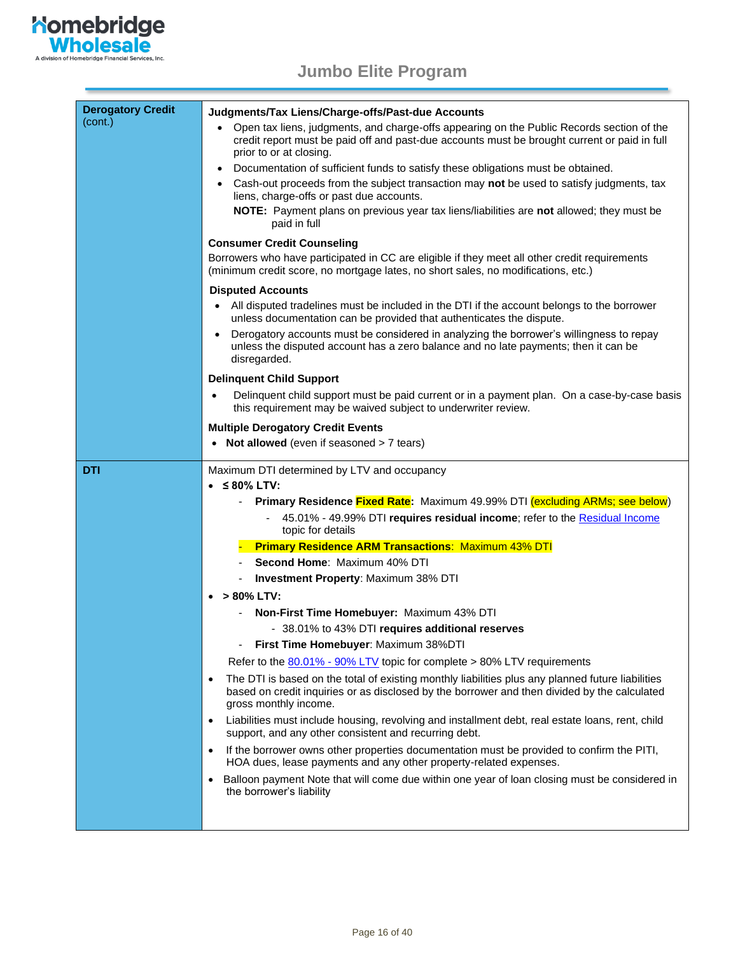

| <b>Derogatory Credit</b> | Judgments/Tax Liens/Charge-offs/Past-due Accounts                                                                                                                                                                                       |  |  |  |
|--------------------------|-----------------------------------------------------------------------------------------------------------------------------------------------------------------------------------------------------------------------------------------|--|--|--|
| (cont.)                  | • Open tax liens, judgments, and charge-offs appearing on the Public Records section of the                                                                                                                                             |  |  |  |
|                          | credit report must be paid off and past-due accounts must be brought current or paid in full<br>prior to or at closing.                                                                                                                 |  |  |  |
|                          | Documentation of sufficient funds to satisfy these obligations must be obtained.<br>$\bullet$                                                                                                                                           |  |  |  |
|                          | • Cash-out proceeds from the subject transaction may not be used to satisfy judgments, tax                                                                                                                                              |  |  |  |
|                          | liens, charge-offs or past due accounts.                                                                                                                                                                                                |  |  |  |
|                          | NOTE: Payment plans on previous year tax liens/liabilities are not allowed; they must be<br>paid in full                                                                                                                                |  |  |  |
|                          | <b>Consumer Credit Counseling</b>                                                                                                                                                                                                       |  |  |  |
|                          | Borrowers who have participated in CC are eligible if they meet all other credit requirements<br>(minimum credit score, no mortgage lates, no short sales, no modifications, etc.)                                                      |  |  |  |
|                          | <b>Disputed Accounts</b>                                                                                                                                                                                                                |  |  |  |
|                          | All disputed tradelines must be included in the DTI if the account belongs to the borrower<br>$\bullet$<br>unless documentation can be provided that authenticates the dispute.                                                         |  |  |  |
|                          | Derogatory accounts must be considered in analyzing the borrower's willingness to repay<br>$\bullet$<br>unless the disputed account has a zero balance and no late payments; then it can be<br>disregarded.                             |  |  |  |
|                          | <b>Delinquent Child Support</b>                                                                                                                                                                                                         |  |  |  |
|                          | Delinquent child support must be paid current or in a payment plan. On a case-by-case basis<br>this requirement may be waived subject to underwriter review.                                                                            |  |  |  |
|                          | <b>Multiple Derogatory Credit Events</b>                                                                                                                                                                                                |  |  |  |
|                          | • Not allowed (even if seasoned > 7 tears)                                                                                                                                                                                              |  |  |  |
| <b>DTI</b>               | Maximum DTI determined by LTV and occupancy                                                                                                                                                                                             |  |  |  |
|                          | $\bullet$ $\leq$ 80% LTV:                                                                                                                                                                                                               |  |  |  |
|                          | <b>Primary Residence Fixed Rate:</b> Maximum 49.99% DTI (excluding ARMs; see below)                                                                                                                                                     |  |  |  |
|                          | 45.01% - 49.99% DTI requires residual income; refer to the Residual Income<br>topic for details                                                                                                                                         |  |  |  |
|                          | <b>Primary Residence ARM Transactions: Maximum 43% DTI</b>                                                                                                                                                                              |  |  |  |
|                          | Second Home: Maximum 40% DTI                                                                                                                                                                                                            |  |  |  |
|                          | <b>Investment Property: Maximum 38% DTI</b><br>$\overline{\phantom{a}}$                                                                                                                                                                 |  |  |  |
|                          | > 80% LTV:                                                                                                                                                                                                                              |  |  |  |
|                          | Non-First Time Homebuyer: Maximum 43% DTI                                                                                                                                                                                               |  |  |  |
|                          | - 38.01% to 43% DTI requires additional reserves                                                                                                                                                                                        |  |  |  |
|                          | First Time Homebuyer: Maximum 38%DTI                                                                                                                                                                                                    |  |  |  |
|                          | Refer to the 80.01% - 90% LTV topic for complete > 80% LTV requirements                                                                                                                                                                 |  |  |  |
|                          | The DTI is based on the total of existing monthly liabilities plus any planned future liabilities<br>$\bullet$<br>based on credit inquiries or as disclosed by the borrower and then divided by the calculated<br>gross monthly income. |  |  |  |
|                          | Liabilities must include housing, revolving and installment debt, real estate loans, rent, child<br>$\bullet$<br>support, and any other consistent and recurring debt.                                                                  |  |  |  |
|                          | If the borrower owns other properties documentation must be provided to confirm the PITI,<br>$\bullet$<br>HOA dues, lease payments and any other property-related expenses.                                                             |  |  |  |
|                          | Balloon payment Note that will come due within one year of loan closing must be considered in<br>$\bullet$<br>the borrower's liability                                                                                                  |  |  |  |
|                          |                                                                                                                                                                                                                                         |  |  |  |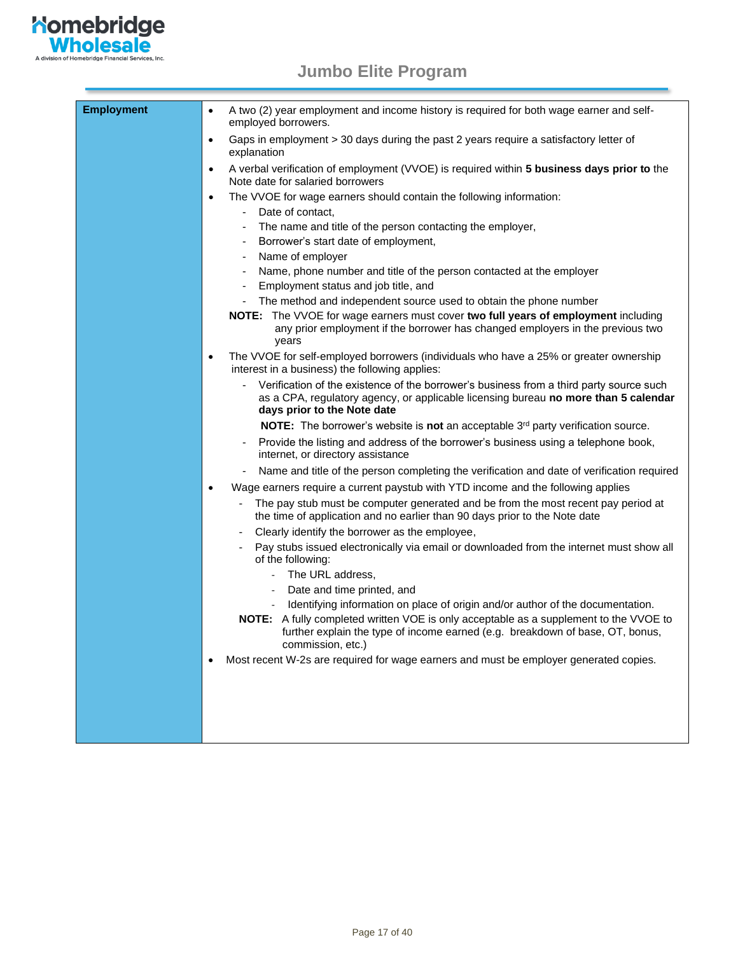

| <b>Employment</b> | A two (2) year employment and income history is required for both wage earner and self-<br>employed borrowers.                                                                                                |
|-------------------|---------------------------------------------------------------------------------------------------------------------------------------------------------------------------------------------------------------|
|                   | Gaps in employment > 30 days during the past 2 years require a satisfactory letter of<br>$\bullet$<br>explanation                                                                                             |
|                   | A verbal verification of employment (VVOE) is required within 5 business days prior to the<br>Note date for salaried borrowers                                                                                |
|                   | The VVOE for wage earners should contain the following information:<br>$\bullet$<br>Date of contact,                                                                                                          |
|                   | The name and title of the person contacting the employer,                                                                                                                                                     |
|                   | Borrower's start date of employment,                                                                                                                                                                          |
|                   | Name of employer                                                                                                                                                                                              |
|                   | Name, phone number and title of the person contacted at the employer                                                                                                                                          |
|                   | Employment status and job title, and                                                                                                                                                                          |
|                   | The method and independent source used to obtain the phone number                                                                                                                                             |
|                   | NOTE: The VVOE for wage earners must cover two full years of employment including<br>any prior employment if the borrower has changed employers in the previous two<br>years                                  |
|                   | The VVOE for self-employed borrowers (individuals who have a 25% or greater ownership<br>interest in a business) the following applies:                                                                       |
|                   | Verification of the existence of the borrower's business from a third party source such<br>as a CPA, regulatory agency, or applicable licensing bureau no more than 5 calendar<br>days prior to the Note date |
|                   | NOTE: The borrower's website is not an acceptable 3rd party verification source.                                                                                                                              |
|                   | Provide the listing and address of the borrower's business using a telephone book,<br>internet, or directory assistance                                                                                       |
|                   | Name and title of the person completing the verification and date of verification required                                                                                                                    |
|                   | Wage earners require a current paystub with YTD income and the following applies<br>$\bullet$                                                                                                                 |
|                   | The pay stub must be computer generated and be from the most recent pay period at<br>the time of application and no earlier than 90 days prior to the Note date                                               |
|                   | Clearly identify the borrower as the employee,                                                                                                                                                                |
|                   | Pay stubs issued electronically via email or downloaded from the internet must show all<br>of the following:                                                                                                  |
|                   | The URL address,                                                                                                                                                                                              |
|                   | Date and time printed, and                                                                                                                                                                                    |
|                   | Identifying information on place of origin and/or author of the documentation.                                                                                                                                |
|                   | NOTE: A fully completed written VOE is only acceptable as a supplement to the VVOE to<br>further explain the type of income earned (e.g. breakdown of base, OT, bonus,<br>commission, etc.)                   |
|                   | Most recent W-2s are required for wage earners and must be employer generated copies.                                                                                                                         |
|                   |                                                                                                                                                                                                               |
|                   |                                                                                                                                                                                                               |
|                   |                                                                                                                                                                                                               |
|                   |                                                                                                                                                                                                               |
|                   |                                                                                                                                                                                                               |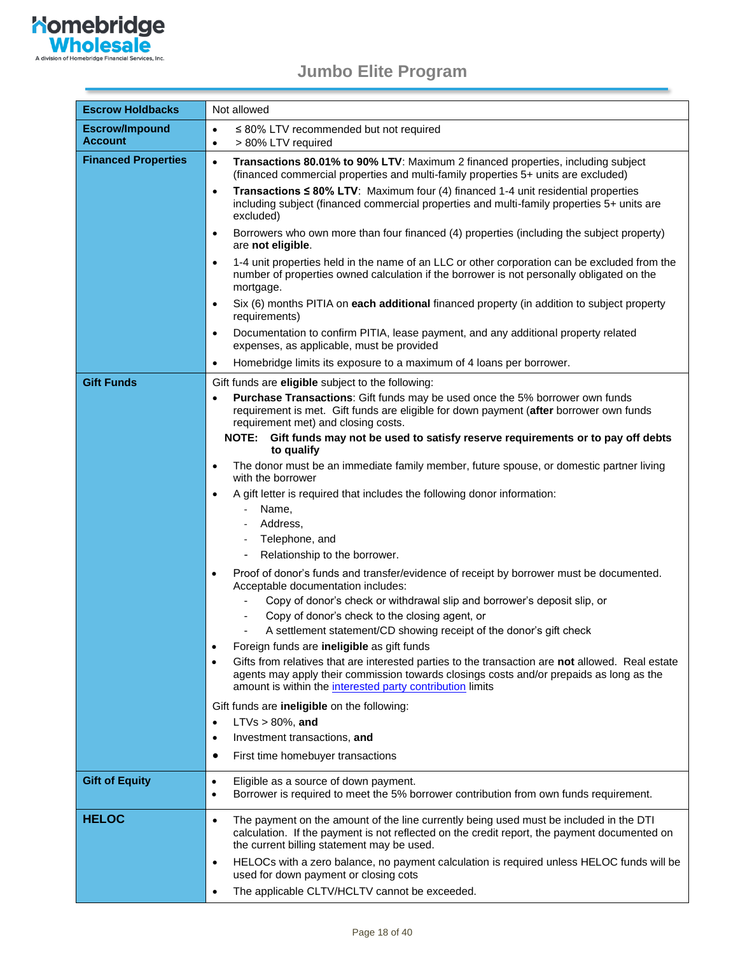

<span id="page-17-0"></span>

| <b>Escrow Holdbacks</b>                 | Not allowed                                                                                                                                                                                                                                              |  |  |
|-----------------------------------------|----------------------------------------------------------------------------------------------------------------------------------------------------------------------------------------------------------------------------------------------------------|--|--|
| <b>Escrow/Impound</b><br><b>Account</b> | $\leq$ 80% LTV recommended but not required<br>$\bullet$<br>> 80% LTV required<br>$\bullet$                                                                                                                                                              |  |  |
| <b>Financed Properties</b>              | Transactions 80.01% to 90% LTV: Maximum 2 financed properties, including subject<br>$\bullet$<br>(financed commercial properties and multi-family properties 5+ units are excluded)                                                                      |  |  |
|                                         | Transactions $\leq 80\%$ LTV: Maximum four (4) financed 1-4 unit residential properties<br>$\bullet$<br>including subject (financed commercial properties and multi-family properties 5+ units are<br>excluded)                                          |  |  |
|                                         | Borrowers who own more than four financed (4) properties (including the subject property)<br>$\bullet$<br>are not eligible.                                                                                                                              |  |  |
|                                         | 1-4 unit properties held in the name of an LLC or other corporation can be excluded from the<br>$\bullet$<br>number of properties owned calculation if the borrower is not personally obligated on the<br>mortgage.                                      |  |  |
|                                         | Six (6) months PITIA on each additional financed property (in addition to subject property<br>$\bullet$<br>requirements)                                                                                                                                 |  |  |
|                                         | Documentation to confirm PITIA, lease payment, and any additional property related<br>$\bullet$<br>expenses, as applicable, must be provided                                                                                                             |  |  |
|                                         | Homebridge limits its exposure to a maximum of 4 loans per borrower.<br>$\bullet$                                                                                                                                                                        |  |  |
| <b>Gift Funds</b>                       | Gift funds are eligible subject to the following:                                                                                                                                                                                                        |  |  |
|                                         | Purchase Transactions: Gift funds may be used once the 5% borrower own funds<br>requirement is met. Gift funds are eligible for down payment (after borrower own funds<br>requirement met) and closing costs.                                            |  |  |
|                                         | NOTE: Gift funds may not be used to satisfy reserve requirements or to pay off debts<br>to qualify                                                                                                                                                       |  |  |
|                                         | The donor must be an immediate family member, future spouse, or domestic partner living<br>$\bullet$<br>with the borrower                                                                                                                                |  |  |
|                                         | A gift letter is required that includes the following donor information:<br>$\bullet$                                                                                                                                                                    |  |  |
|                                         | Name,                                                                                                                                                                                                                                                    |  |  |
|                                         | Address,                                                                                                                                                                                                                                                 |  |  |
|                                         | Telephone, and                                                                                                                                                                                                                                           |  |  |
|                                         | Relationship to the borrower.                                                                                                                                                                                                                            |  |  |
|                                         | Proof of donor's funds and transfer/evidence of receipt by borrower must be documented.<br>$\bullet$<br>Acceptable documentation includes:                                                                                                               |  |  |
|                                         | Copy of donor's check or withdrawal slip and borrower's deposit slip, or                                                                                                                                                                                 |  |  |
|                                         | Copy of donor's check to the closing agent, or                                                                                                                                                                                                           |  |  |
|                                         | A settlement statement/CD showing receipt of the donor's gift check                                                                                                                                                                                      |  |  |
|                                         | Foreign funds are ineligible as gift funds<br>$\bullet$                                                                                                                                                                                                  |  |  |
|                                         | Gifts from relatives that are interested parties to the transaction are not allowed. Real estate<br>agents may apply their commission towards closings costs and/or prepaids as long as the<br>amount is within the interested party contribution limits |  |  |
|                                         | Gift funds are <b>ineligible</b> on the following:                                                                                                                                                                                                       |  |  |
|                                         | $LTVs > 80\%$ , and<br>$\bullet$                                                                                                                                                                                                                         |  |  |
|                                         | Investment transactions, and<br>$\bullet$                                                                                                                                                                                                                |  |  |
|                                         | First time homebuyer transactions                                                                                                                                                                                                                        |  |  |
| <b>Gift of Equity</b>                   | Eligible as a source of down payment.<br>$\bullet$<br>Borrower is required to meet the 5% borrower contribution from own funds requirement.<br>$\bullet$                                                                                                 |  |  |
| <b>HELOC</b>                            | The payment on the amount of the line currently being used must be included in the DTI<br>$\bullet$<br>calculation. If the payment is not reflected on the credit report, the payment documented on<br>the current billing statement may be used.        |  |  |
|                                         | HELOCs with a zero balance, no payment calculation is required unless HELOC funds will be<br>$\bullet$<br>used for down payment or closing cots                                                                                                          |  |  |
|                                         | The applicable CLTV/HCLTV cannot be exceeded.<br>$\bullet$                                                                                                                                                                                               |  |  |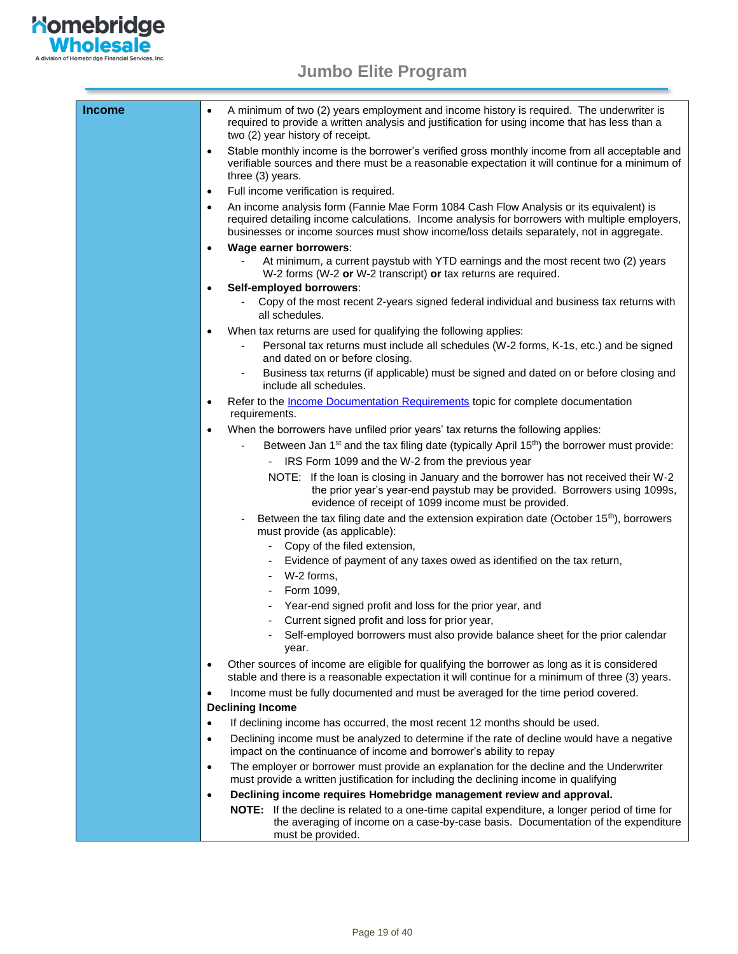

| <b>Income</b> | A minimum of two (2) years employment and income history is required. The underwriter is<br>$\bullet$<br>required to provide a written analysis and justification for using income that has less than a<br>two (2) year history of receipt.                                                       |
|---------------|---------------------------------------------------------------------------------------------------------------------------------------------------------------------------------------------------------------------------------------------------------------------------------------------------|
|               | Stable monthly income is the borrower's verified gross monthly income from all acceptable and<br>$\bullet$<br>verifiable sources and there must be a reasonable expectation it will continue for a minimum of<br>three (3) years.                                                                 |
|               | Full income verification is required.<br>$\bullet$                                                                                                                                                                                                                                                |
|               | An income analysis form (Fannie Mae Form 1084 Cash Flow Analysis or its equivalent) is<br>$\bullet$<br>required detailing income calculations. Income analysis for borrowers with multiple employers,<br>businesses or income sources must show income/loss details separately, not in aggregate. |
|               | Wage earner borrowers:<br>$\bullet$                                                                                                                                                                                                                                                               |
|               | At minimum, a current paystub with YTD earnings and the most recent two (2) years<br>W-2 forms (W-2 or W-2 transcript) or tax returns are required.                                                                                                                                               |
|               | Self-employed borrowers:<br>$\bullet$                                                                                                                                                                                                                                                             |
|               | Copy of the most recent 2-years signed federal individual and business tax returns with<br>all schedules.                                                                                                                                                                                         |
|               | When tax returns are used for qualifying the following applies:<br>٠                                                                                                                                                                                                                              |
|               | Personal tax returns must include all schedules (W-2 forms, K-1s, etc.) and be signed<br>and dated on or before closing.                                                                                                                                                                          |
|               | Business tax returns (if applicable) must be signed and dated on or before closing and<br>include all schedules.                                                                                                                                                                                  |
|               | Refer to the <i>Income Documentation Requirements</i> topic for complete documentation<br>$\bullet$<br>requirements.                                                                                                                                                                              |
|               | When the borrowers have unfiled prior years' tax returns the following applies:<br>$\bullet$                                                                                                                                                                                                      |
|               | Between Jan 1 <sup>st</sup> and the tax filing date (typically April 15 <sup>th</sup> ) the borrower must provide:                                                                                                                                                                                |
|               | IRS Form 1099 and the W-2 from the previous year                                                                                                                                                                                                                                                  |
|               | NOTE: If the loan is closing in January and the borrower has not received their W-2<br>the prior year's year-end paystub may be provided. Borrowers using 1099s,<br>evidence of receipt of 1099 income must be provided.                                                                          |
|               | Between the tax filing date and the extension expiration date (October 15 <sup>th</sup> ), borrowers<br>must provide (as applicable):                                                                                                                                                             |
|               | Copy of the filed extension,                                                                                                                                                                                                                                                                      |
|               | Evidence of payment of any taxes owed as identified on the tax return,                                                                                                                                                                                                                            |
|               | W-2 forms,<br>$\blacksquare$                                                                                                                                                                                                                                                                      |
|               | Form 1099,                                                                                                                                                                                                                                                                                        |
|               | Year-end signed profit and loss for the prior year, and                                                                                                                                                                                                                                           |
|               | Current signed profit and loss for prior year,                                                                                                                                                                                                                                                    |
|               | Self-employed borrowers must also provide balance sheet for the prior calendar<br>year.                                                                                                                                                                                                           |
|               | Other sources of income are eligible for qualifying the borrower as long as it is considered<br>$\bullet$<br>stable and there is a reasonable expectation it will continue for a minimum of three (3) years.                                                                                      |
|               | Income must be fully documented and must be averaged for the time period covered.<br>$\bullet$                                                                                                                                                                                                    |
|               | <b>Declining Income</b>                                                                                                                                                                                                                                                                           |
|               | If declining income has occurred, the most recent 12 months should be used.<br>$\bullet$                                                                                                                                                                                                          |
|               | Declining income must be analyzed to determine if the rate of decline would have a negative<br>$\bullet$<br>impact on the continuance of income and borrower's ability to repay                                                                                                                   |
|               | The employer or borrower must provide an explanation for the decline and the Underwriter<br>$\bullet$<br>must provide a written justification for including the declining income in qualifying                                                                                                    |
|               | Declining income requires Homebridge management review and approval.<br>$\bullet$                                                                                                                                                                                                                 |
|               | NOTE: If the decline is related to a one-time capital expenditure, a longer period of time for<br>the averaging of income on a case-by-case basis. Documentation of the expenditure<br>must be provided.                                                                                          |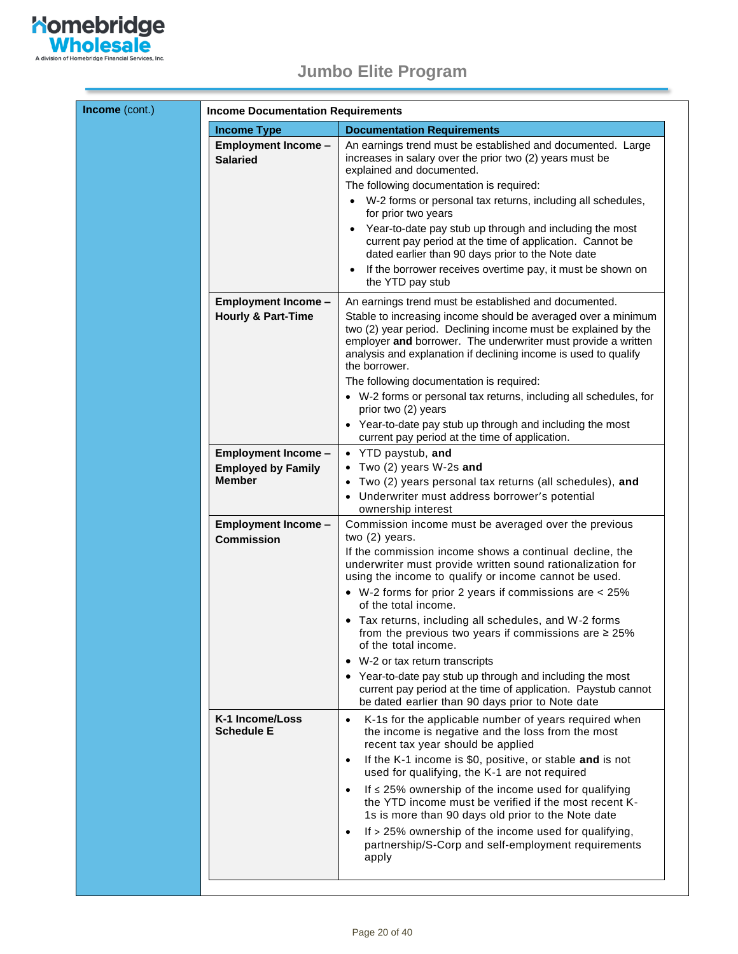

<span id="page-19-0"></span>

| Income (cont.) | <b>Income Documentation Requirements</b>                                 |                                                                                                                                                                                                                                                                                                                                               |  |
|----------------|--------------------------------------------------------------------------|-----------------------------------------------------------------------------------------------------------------------------------------------------------------------------------------------------------------------------------------------------------------------------------------------------------------------------------------------|--|
|                | <b>Income Type</b>                                                       | <b>Documentation Requirements</b>                                                                                                                                                                                                                                                                                                             |  |
|                | <b>Employment Income -</b><br><b>Salaried</b>                            | An earnings trend must be established and documented. Large<br>increases in salary over the prior two (2) years must be<br>explained and documented.<br>The following documentation is required:<br>W-2 forms or personal tax returns, including all schedules,<br>$\bullet$                                                                  |  |
|                |                                                                          | for prior two years<br>Year-to-date pay stub up through and including the most<br>$\bullet$<br>current pay period at the time of application. Cannot be<br>dated earlier than 90 days prior to the Note date<br>If the borrower receives overtime pay, it must be shown on                                                                    |  |
|                |                                                                          | $\bullet$<br>the YTD pay stub                                                                                                                                                                                                                                                                                                                 |  |
|                | <b>Employment Income -</b><br><b>Hourly &amp; Part-Time</b>              | An earnings trend must be established and documented.<br>Stable to increasing income should be averaged over a minimum<br>two (2) year period. Declining income must be explained by the<br>employer and borrower. The underwriter must provide a written<br>analysis and explanation if declining income is used to qualify<br>the borrower. |  |
|                |                                                                          | The following documentation is required:<br>• W-2 forms or personal tax returns, including all schedules, for<br>prior two (2) years                                                                                                                                                                                                          |  |
|                |                                                                          | • Year-to-date pay stub up through and including the most<br>current pay period at the time of application.                                                                                                                                                                                                                                   |  |
|                | <b>Employment Income -</b><br><b>Employed by Family</b><br><b>Member</b> | • YTD paystub, and<br>• Two (2) years W-2s and<br>Two (2) years personal tax returns (all schedules), and<br>• Underwriter must address borrower's potential<br>ownership interest                                                                                                                                                            |  |
|                | <b>Employment Income -</b>                                               | Commission income must be averaged over the previous<br>two (2) years.                                                                                                                                                                                                                                                                        |  |
|                | <b>Commission</b>                                                        | If the commission income shows a continual decline, the<br>underwriter must provide written sound rationalization for<br>using the income to qualify or income cannot be used.                                                                                                                                                                |  |
|                |                                                                          | • W-2 forms for prior 2 years if commissions are < 25%<br>of the total income.                                                                                                                                                                                                                                                                |  |
|                |                                                                          | Tax returns, including all schedules, and W-2 forms<br>from the previous two years if commissions are $\geq 25\%$<br>of the total income.                                                                                                                                                                                                     |  |
|                |                                                                          | • W-2 or tax return transcripts                                                                                                                                                                                                                                                                                                               |  |
|                |                                                                          | • Year-to-date pay stub up through and including the most<br>current pay period at the time of application. Paystub cannot<br>be dated earlier than 90 days prior to Note date                                                                                                                                                                |  |
|                | K-1 Income/Loss<br><b>Schedule E</b>                                     | K-1s for the applicable number of years required when<br>$\bullet$<br>the income is negative and the loss from the most<br>recent tax year should be applied                                                                                                                                                                                  |  |
|                |                                                                          | If the K-1 income is \$0, positive, or stable and is not<br>$\bullet$<br>used for qualifying, the K-1 are not required                                                                                                                                                                                                                        |  |
|                |                                                                          | If $\leq$ 25% ownership of the income used for qualifying<br>$\bullet$<br>the YTD income must be verified if the most recent K-<br>1s is more than 90 days old prior to the Note date                                                                                                                                                         |  |
|                |                                                                          | If > 25% ownership of the income used for qualifying,<br>$\bullet$<br>partnership/S-Corp and self-employment requirements<br>apply                                                                                                                                                                                                            |  |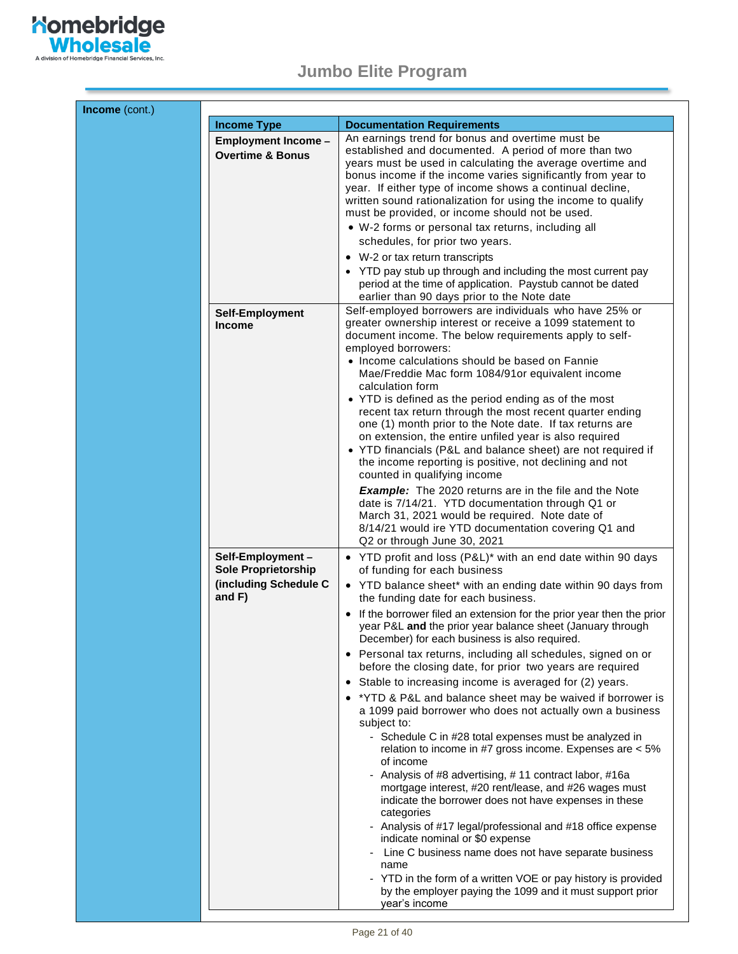

| <b>Income Type</b>                                                      | <b>Documentation Requirements</b>                                                                                                                                                                                                                                                                                                                                                                 |
|-------------------------------------------------------------------------|---------------------------------------------------------------------------------------------------------------------------------------------------------------------------------------------------------------------------------------------------------------------------------------------------------------------------------------------------------------------------------------------------|
| <b>Employment Income -</b>                                              | An earnings trend for bonus and overtime must be                                                                                                                                                                                                                                                                                                                                                  |
| <b>Overtime &amp; Bonus</b>                                             | established and documented. A period of more than two                                                                                                                                                                                                                                                                                                                                             |
|                                                                         | years must be used in calculating the average overtime and<br>bonus income if the income varies significantly from year to<br>year. If either type of income shows a continual decline,<br>written sound rationalization for using the income to qualify                                                                                                                                          |
|                                                                         | must be provided, or income should not be used.                                                                                                                                                                                                                                                                                                                                                   |
|                                                                         | • W-2 forms or personal tax returns, including all                                                                                                                                                                                                                                                                                                                                                |
|                                                                         | schedules, for prior two years.                                                                                                                                                                                                                                                                                                                                                                   |
|                                                                         | • W-2 or tax return transcripts                                                                                                                                                                                                                                                                                                                                                                   |
|                                                                         | • YTD pay stub up through and including the most current pay<br>period at the time of application. Paystub cannot be dated<br>earlier than 90 days prior to the Note date                                                                                                                                                                                                                         |
| Self-Employment<br><b>Income</b>                                        | Self-employed borrowers are individuals who have 25% or<br>greater ownership interest or receive a 1099 statement to<br>document income. The below requirements apply to self-<br>employed borrowers:                                                                                                                                                                                             |
|                                                                         | • Income calculations should be based on Fannie<br>Mae/Freddie Mac form 1084/91or equivalent income<br>calculation form                                                                                                                                                                                                                                                                           |
|                                                                         | • YTD is defined as the period ending as of the most<br>recent tax return through the most recent quarter ending<br>one (1) month prior to the Note date. If tax returns are<br>on extension, the entire unfiled year is also required<br>• YTD financials (P&L and balance sheet) are not required if<br>the income reporting is positive, not declining and not<br>counted in qualifying income |
|                                                                         | <b>Example:</b> The 2020 returns are in the file and the Note<br>date is 7/14/21. YTD documentation through Q1 or<br>March 31, 2021 would be required. Note date of<br>8/14/21 would ire YTD documentation covering Q1 and<br>Q2 or through June 30, 2021                                                                                                                                         |
| Self-Employment-<br><b>Sole Proprietorship</b><br>(including Schedule C | • YTD profit and loss (P&L)* with an end date within 90 days<br>of funding for each business<br>• YTD balance sheet* with an ending date within 90 days from                                                                                                                                                                                                                                      |
| and $F$ )                                                               | the funding date for each business.                                                                                                                                                                                                                                                                                                                                                               |
|                                                                         | • If the borrower filed an extension for the prior year then the prior<br>year P&L and the prior year balance sheet (January through<br>December) for each business is also required.                                                                                                                                                                                                             |
|                                                                         | • Personal tax returns, including all schedules, signed on or<br>before the closing date, for prior two years are required                                                                                                                                                                                                                                                                        |
|                                                                         | Stable to increasing income is averaged for (2) years.<br>$\bullet$                                                                                                                                                                                                                                                                                                                               |
|                                                                         | • *YTD & P&L and balance sheet may be waived if borrower is<br>a 1099 paid borrower who does not actually own a business<br>subject to:                                                                                                                                                                                                                                                           |
|                                                                         | - Schedule C in #28 total expenses must be analyzed in<br>relation to income in #7 gross income. Expenses are < 5%<br>of income                                                                                                                                                                                                                                                                   |
|                                                                         | Analysis of #8 advertising, #11 contract labor, #16a<br>mortgage interest, #20 rent/lease, and #26 wages must<br>indicate the borrower does not have expenses in these<br>categories                                                                                                                                                                                                              |
|                                                                         | - Analysis of #17 legal/professional and #18 office expense<br>indicate nominal or \$0 expense                                                                                                                                                                                                                                                                                                    |
|                                                                         | Line C business name does not have separate business<br>name<br>- YTD in the form of a written VOE or pay history is provided                                                                                                                                                                                                                                                                     |
|                                                                         | by the employer paying the 1099 and it must support prior<br>year's income                                                                                                                                                                                                                                                                                                                        |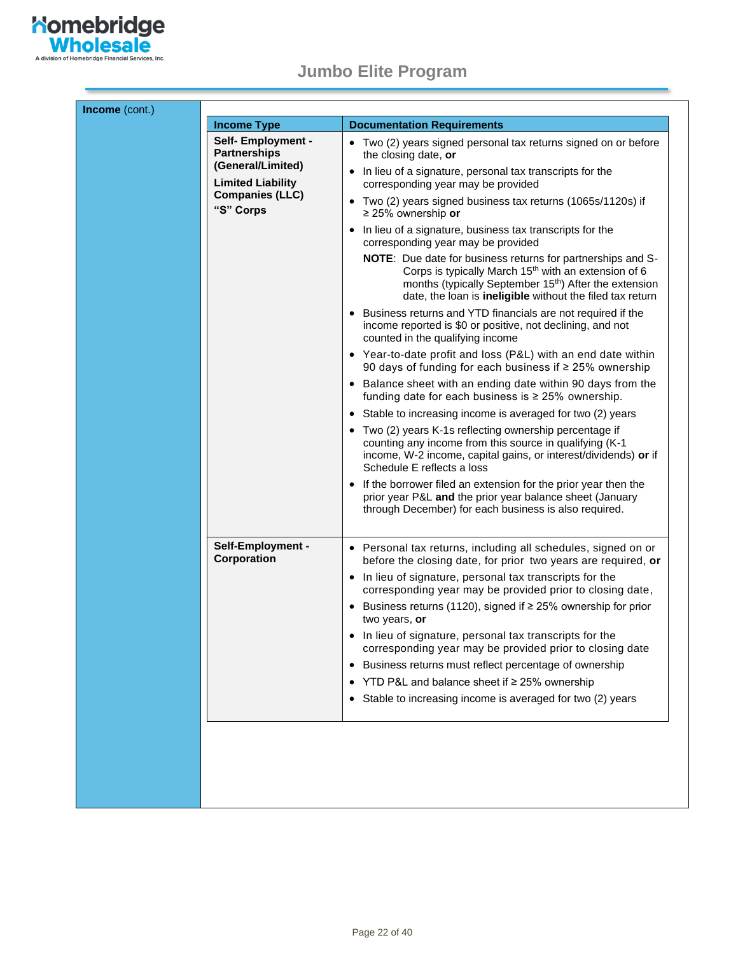

| Income (cont.) |                                                                |                                                                                                                                                                                                                                                                    |
|----------------|----------------------------------------------------------------|--------------------------------------------------------------------------------------------------------------------------------------------------------------------------------------------------------------------------------------------------------------------|
|                | <b>Income Type</b>                                             | <b>Documentation Requirements</b>                                                                                                                                                                                                                                  |
|                | Self- Employment -<br><b>Partnerships</b><br>(General/Limited) | • Two (2) years signed personal tax returns signed on or before<br>the closing date, or                                                                                                                                                                            |
|                | <b>Limited Liability</b>                                       | In lieu of a signature, personal tax transcripts for the<br>$\bullet$<br>corresponding year may be provided                                                                                                                                                        |
|                | <b>Companies (LLC)</b><br>"S" Corps                            | • Two (2) years signed business tax returns (1065s/1120s) if<br>$\geq$ 25% ownership or                                                                                                                                                                            |
|                |                                                                | • In lieu of a signature, business tax transcripts for the<br>corresponding year may be provided                                                                                                                                                                   |
|                |                                                                | NOTE: Due date for business returns for partnerships and S-<br>Corps is typically March 15 <sup>th</sup> with an extension of 6<br>months (typically September 15 <sup>th</sup> ) After the extension<br>date, the loan is ineligible without the filed tax return |
|                |                                                                | • Business returns and YTD financials are not required if the<br>income reported is \$0 or positive, not declining, and not<br>counted in the qualifying income                                                                                                    |
|                |                                                                | • Year-to-date profit and loss (P&L) with an end date within<br>90 days of funding for each business if ≥ 25% ownership                                                                                                                                            |
|                |                                                                | • Balance sheet with an ending date within 90 days from the<br>funding date for each business is ≥ 25% ownership.                                                                                                                                                  |
|                |                                                                | • Stable to increasing income is averaged for two (2) years                                                                                                                                                                                                        |
|                |                                                                | • Two (2) years K-1s reflecting ownership percentage if<br>counting any income from this source in qualifying (K-1<br>income, W-2 income, capital gains, or interest/dividends) or if<br>Schedule E reflects a loss                                                |
|                |                                                                | • If the borrower filed an extension for the prior year then the<br>prior year P&L and the prior year balance sheet (January<br>through December) for each business is also required.                                                                              |
|                | Self-Employment -<br>Corporation                               | • Personal tax returns, including all schedules, signed on or<br>before the closing date, for prior two years are required, or                                                                                                                                     |
|                |                                                                | • In lieu of signature, personal tax transcripts for the<br>corresponding year may be provided prior to closing date,                                                                                                                                              |
|                |                                                                | • Business returns (1120), signed if $\geq$ 25% ownership for prior<br>two years, or                                                                                                                                                                               |
|                |                                                                | • In lieu of signature, personal tax transcripts for the<br>corresponding year may be provided prior to closing date                                                                                                                                               |
|                |                                                                | Business returns must reflect percentage of ownership                                                                                                                                                                                                              |
|                |                                                                | YTD P&L and balance sheet if ≥ 25% ownership                                                                                                                                                                                                                       |
|                |                                                                | Stable to increasing income is averaged for two (2) years                                                                                                                                                                                                          |
|                |                                                                |                                                                                                                                                                                                                                                                    |
|                |                                                                |                                                                                                                                                                                                                                                                    |
|                |                                                                |                                                                                                                                                                                                                                                                    |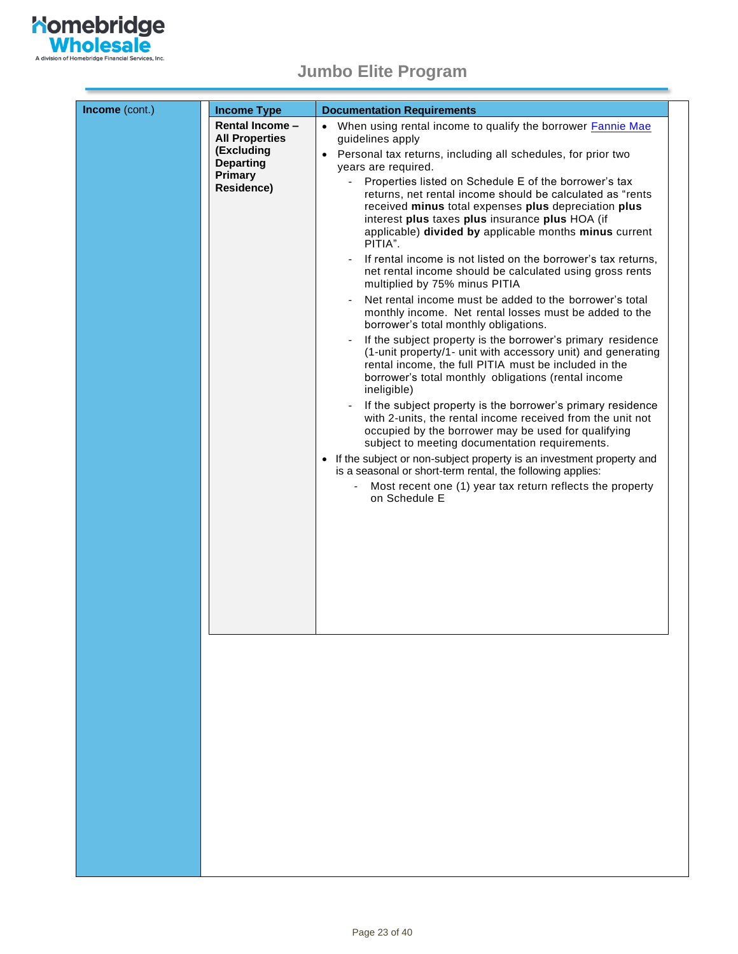

| Income (cont.) | <b>Income Type</b>                                                                                                | <b>Documentation Requirements</b>                                                                                                                                                                                                                                                                                                                                                                                                                                                                                                                                                                                                                                                                                                                                                                                                                                                                                                                                                                                                                                                                                                                                                                                                                                                                                                                                                                                                                                                                                                                                |
|----------------|-------------------------------------------------------------------------------------------------------------------|------------------------------------------------------------------------------------------------------------------------------------------------------------------------------------------------------------------------------------------------------------------------------------------------------------------------------------------------------------------------------------------------------------------------------------------------------------------------------------------------------------------------------------------------------------------------------------------------------------------------------------------------------------------------------------------------------------------------------------------------------------------------------------------------------------------------------------------------------------------------------------------------------------------------------------------------------------------------------------------------------------------------------------------------------------------------------------------------------------------------------------------------------------------------------------------------------------------------------------------------------------------------------------------------------------------------------------------------------------------------------------------------------------------------------------------------------------------------------------------------------------------------------------------------------------------|
|                | <b>Rental Income -</b><br><b>All Properties</b><br>(Excluding<br><b>Departing</b><br><b>Primary</b><br>Residence) | • When using rental income to qualify the borrower <b>Fannie Mae</b><br>guidelines apply<br>Personal tax returns, including all schedules, for prior two<br>years are required.<br>Properties listed on Schedule E of the borrower's tax<br>$\sim$<br>returns, net rental income should be calculated as "rents<br>received minus total expenses plus depreciation plus<br>interest plus taxes plus insurance plus HOA (if<br>applicable) divided by applicable months minus current<br>PITIA".<br>If rental income is not listed on the borrower's tax returns,<br>net rental income should be calculated using gross rents<br>multiplied by 75% minus PITIA<br>Net rental income must be added to the borrower's total<br>monthly income. Net rental losses must be added to the<br>borrower's total monthly obligations.<br>If the subject property is the borrower's primary residence<br>(1-unit property/1- unit with accessory unit) and generating<br>rental income, the full PITIA must be included in the<br>borrower's total monthly obligations (rental income<br>ineligible)<br>If the subject property is the borrower's primary residence<br>with 2-units, the rental income received from the unit not<br>occupied by the borrower may be used for qualifying<br>subject to meeting documentation requirements.<br>If the subject or non-subject property is an investment property and<br>$\bullet$<br>is a seasonal or short-term rental, the following applies:<br>Most recent one (1) year tax return reflects the property<br>on Schedule E |
|                |                                                                                                                   |                                                                                                                                                                                                                                                                                                                                                                                                                                                                                                                                                                                                                                                                                                                                                                                                                                                                                                                                                                                                                                                                                                                                                                                                                                                                                                                                                                                                                                                                                                                                                                  |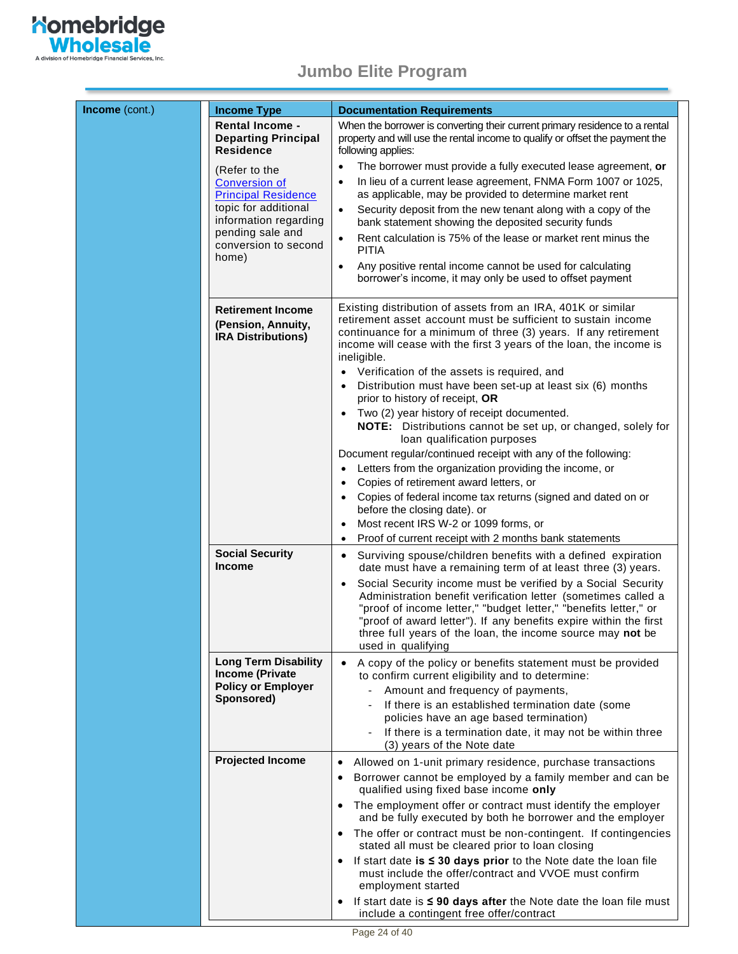

| Income (cont.)       | <b>Income Type</b>                                                                               | <b>Documentation Requirements</b>                                                                                                                                                                                                                                                                                                                                                                                                                                                                                                                         |
|----------------------|--------------------------------------------------------------------------------------------------|-----------------------------------------------------------------------------------------------------------------------------------------------------------------------------------------------------------------------------------------------------------------------------------------------------------------------------------------------------------------------------------------------------------------------------------------------------------------------------------------------------------------------------------------------------------|
|                      | <b>Rental Income -</b><br><b>Departing Principal</b><br><b>Residence</b>                         | When the borrower is converting their current primary residence to a rental<br>property and will use the rental income to qualify or offset the payment the<br>following applies:                                                                                                                                                                                                                                                                                                                                                                         |
|                      | (Refer to the                                                                                    | The borrower must provide a fully executed lease agreement, or<br>$\bullet$                                                                                                                                                                                                                                                                                                                                                                                                                                                                               |
|                      | <b>Conversion of</b><br><b>Principal Residence</b>                                               | In lieu of a current lease agreement, FNMA Form 1007 or 1025,<br>as applicable, may be provided to determine market rent                                                                                                                                                                                                                                                                                                                                                                                                                                  |
| topic for additional | information regarding                                                                            | Security deposit from the new tenant along with a copy of the<br>$\bullet$<br>bank statement showing the deposited security funds                                                                                                                                                                                                                                                                                                                                                                                                                         |
|                      | pending sale and<br>conversion to second                                                         | Rent calculation is 75% of the lease or market rent minus the<br>$\bullet$<br><b>PITIA</b>                                                                                                                                                                                                                                                                                                                                                                                                                                                                |
|                      | home)                                                                                            | Any positive rental income cannot be used for calculating<br>$\bullet$<br>borrower's income, it may only be used to offset payment                                                                                                                                                                                                                                                                                                                                                                                                                        |
|                      | <b>Retirement Income</b><br>(Pension, Annuity,<br><b>IRA Distributions)</b>                      | Existing distribution of assets from an IRA, 401K or similar<br>retirement asset account must be sufficient to sustain income<br>continuance for a minimum of three (3) years. If any retirement<br>income will cease with the first 3 years of the loan, the income is<br>ineligible.<br>• Verification of the assets is required, and<br>• Distribution must have been set-up at least six (6) months<br>prior to history of receipt, OR<br>Two (2) year history of receipt documented.<br>NOTE: Distributions cannot be set up, or changed, solely for |
|                      |                                                                                                  | loan qualification purposes<br>Document regular/continued receipt with any of the following:<br>Letters from the organization providing the income, or<br>Copies of retirement award letters, or<br>Copies of federal income tax returns (signed and dated on or<br>$\bullet$<br>before the closing date). or<br>Most recent IRS W-2 or 1099 forms, or<br>$\bullet$<br>Proof of current receipt with 2 months bank statements<br>$\bullet$                                                                                                                |
|                      | <b>Social Security</b><br><b>Income</b>                                                          | Surviving spouse/children benefits with a defined expiration<br>٠<br>date must have a remaining term of at least three (3) years.<br>Social Security income must be verified by a Social Security<br>$\bullet$<br>Administration benefit verification letter (sometimes called a<br>"proof of income letter," "budget letter," "benefits letter," or<br>"proof of award letter"). If any benefits expire within the first<br>three full years of the loan, the income source may not be<br>used in qualifying                                             |
|                      | <b>Long Term Disability</b><br><b>Income (Private</b><br><b>Policy or Employer</b><br>Sponsored) | A copy of the policy or benefits statement must be provided<br>to confirm current eligibility and to determine:<br>Amount and frequency of payments,<br>If there is an established termination date (some<br>policies have an age based termination)<br>If there is a termination date, it may not be within three                                                                                                                                                                                                                                        |
|                      | <b>Projected Income</b>                                                                          | (3) years of the Note date                                                                                                                                                                                                                                                                                                                                                                                                                                                                                                                                |
|                      |                                                                                                  | Allowed on 1-unit primary residence, purchase transactions<br>Borrower cannot be employed by a family member and can be<br>qualified using fixed base income only                                                                                                                                                                                                                                                                                                                                                                                         |
|                      |                                                                                                  | The employment offer or contract must identify the employer<br>$\bullet$<br>and be fully executed by both he borrower and the employer                                                                                                                                                                                                                                                                                                                                                                                                                    |
|                      |                                                                                                  | The offer or contract must be non-contingent. If contingencies<br>stated all must be cleared prior to loan closing                                                                                                                                                                                                                                                                                                                                                                                                                                        |
|                      |                                                                                                  | If start date is $\leq$ 30 days prior to the Note date the loan file<br>must include the offer/contract and VVOE must confirm                                                                                                                                                                                                                                                                                                                                                                                                                             |
|                      |                                                                                                  | employment started<br>If start date is $\leq 90$ days after the Note date the loan file must<br>$\bullet$<br>include a contingent free offer/contract                                                                                                                                                                                                                                                                                                                                                                                                     |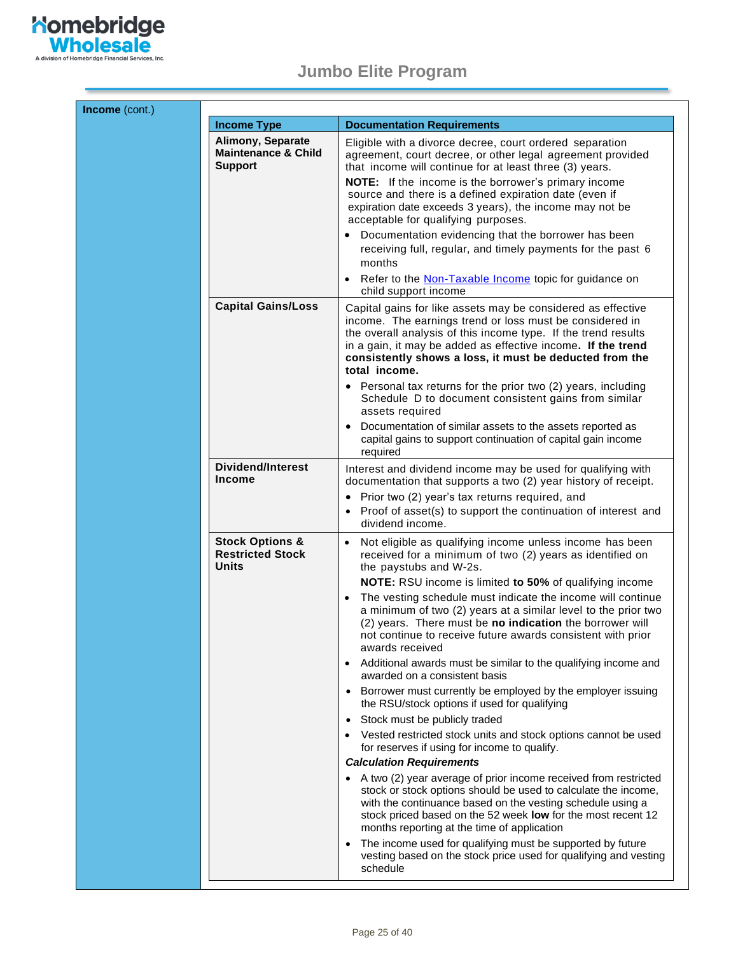

 $\overline{\phantom{a}}$ 

| <b>Income Type</b>                                                           | <b>Documentation Requirements</b>                                                                                                                                                                                                                                                                                                                   |
|------------------------------------------------------------------------------|-----------------------------------------------------------------------------------------------------------------------------------------------------------------------------------------------------------------------------------------------------------------------------------------------------------------------------------------------------|
| <b>Alimony, Separate</b><br><b>Maintenance &amp; Child</b><br><b>Support</b> | Eligible with a divorce decree, court ordered separation<br>agreement, court decree, or other legal agreement provided<br>that income will continue for at least three (3) years.                                                                                                                                                                   |
|                                                                              | <b>NOTE:</b> If the income is the borrower's primary income<br>source and there is a defined expiration date (even if<br>expiration date exceeds 3 years), the income may not be<br>acceptable for qualifying purposes.                                                                                                                             |
|                                                                              | Documentation evidencing that the borrower has been<br>receiving full, regular, and timely payments for the past 6<br>months                                                                                                                                                                                                                        |
|                                                                              | Refer to the <b>Non-Taxable Income</b> topic for guidance on<br>child support income                                                                                                                                                                                                                                                                |
| <b>Capital Gains/Loss</b>                                                    | Capital gains for like assets may be considered as effective<br>income. The earnings trend or loss must be considered in<br>the overall analysis of this income type. If the trend results<br>in a gain, it may be added as effective income. If the trend<br>consistently shows a loss, it must be deducted from the<br>total income.              |
|                                                                              | • Personal tax returns for the prior two (2) years, including<br>Schedule D to document consistent gains from similar<br>assets required                                                                                                                                                                                                            |
|                                                                              | Documentation of similar assets to the assets reported as<br>capital gains to support continuation of capital gain income<br>required                                                                                                                                                                                                               |
| <b>Dividend/Interest</b><br><b>Income</b>                                    | Interest and dividend income may be used for qualifying with<br>documentation that supports a two (2) year history of receipt.                                                                                                                                                                                                                      |
|                                                                              | Prior two (2) year's tax returns required, and<br>$\bullet$<br>Proof of asset(s) to support the continuation of interest and<br>dividend income.                                                                                                                                                                                                    |
| <b>Stock Options &amp;</b><br><b>Restricted Stock</b><br>Units               | Not eligible as qualifying income unless income has been<br>received for a minimum of two (2) years as identified on<br>the paystubs and W-2s.<br>NOTE: RSU income is limited to 50% of qualifying income                                                                                                                                           |
|                                                                              | The vesting schedule must indicate the income will continue<br>$\bullet$<br>a minimum of two (2) years at a similar level to the prior two<br>(2) years. There must be no indication the borrower will<br>not continue to receive future awards consistent with prior<br>awards received                                                            |
|                                                                              | Additional awards must be similar to the qualifying income and<br>$\bullet$<br>awarded on a consistent basis                                                                                                                                                                                                                                        |
|                                                                              | • Borrower must currently be employed by the employer issuing<br>the RSU/stock options if used for qualifying                                                                                                                                                                                                                                       |
|                                                                              | Stock must be publicly traded<br>$\bullet$<br>Vested restricted stock units and stock options cannot be used<br>$\bullet$                                                                                                                                                                                                                           |
|                                                                              | for reserves if using for income to qualify.                                                                                                                                                                                                                                                                                                        |
|                                                                              | <b>Calculation Requirements</b><br>• A two (2) year average of prior income received from restricted<br>stock or stock options should be used to calculate the income,<br>with the continuance based on the vesting schedule using a<br>stock priced based on the 52 week low for the most recent 12<br>months reporting at the time of application |
|                                                                              | The income used for qualifying must be supported by future<br>$\bullet$<br>vesting based on the stock price used for qualifying and vesting<br>schedule                                                                                                                                                                                             |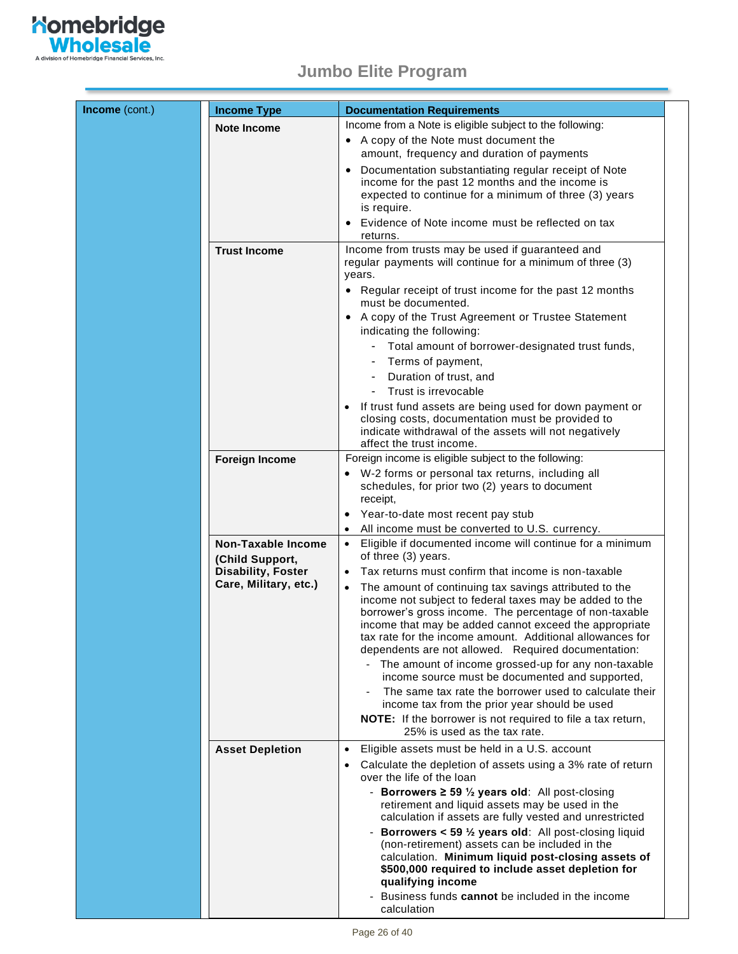

<span id="page-25-0"></span>

| Income (cont.) | <b>Income Type</b>        | <b>Documentation Requirements</b>                                                                                                                                                                                                                                                                                                                         |
|----------------|---------------------------|-----------------------------------------------------------------------------------------------------------------------------------------------------------------------------------------------------------------------------------------------------------------------------------------------------------------------------------------------------------|
|                | <b>Note Income</b>        | Income from a Note is eligible subject to the following:                                                                                                                                                                                                                                                                                                  |
|                |                           | • A copy of the Note must document the                                                                                                                                                                                                                                                                                                                    |
|                |                           | amount, frequency and duration of payments                                                                                                                                                                                                                                                                                                                |
|                |                           | Documentation substantiating regular receipt of Note<br>$\bullet$<br>income for the past 12 months and the income is                                                                                                                                                                                                                                      |
|                |                           | expected to continue for a minimum of three (3) years                                                                                                                                                                                                                                                                                                     |
|                |                           | is require.                                                                                                                                                                                                                                                                                                                                               |
|                |                           | Evidence of Note income must be reflected on tax                                                                                                                                                                                                                                                                                                          |
|                | <b>Trust Income</b>       | returns.<br>Income from trusts may be used if guaranteed and                                                                                                                                                                                                                                                                                              |
|                |                           | regular payments will continue for a minimum of three (3)<br>years.                                                                                                                                                                                                                                                                                       |
|                |                           | • Regular receipt of trust income for the past 12 months<br>must be documented.                                                                                                                                                                                                                                                                           |
|                |                           | • A copy of the Trust Agreement or Trustee Statement<br>indicating the following:                                                                                                                                                                                                                                                                         |
|                |                           | Total amount of borrower-designated trust funds,                                                                                                                                                                                                                                                                                                          |
|                |                           | Terms of payment,                                                                                                                                                                                                                                                                                                                                         |
|                |                           | Duration of trust, and<br>Trust is irrevocable                                                                                                                                                                                                                                                                                                            |
|                |                           | If trust fund assets are being used for down payment or                                                                                                                                                                                                                                                                                                   |
|                |                           | closing costs, documentation must be provided to                                                                                                                                                                                                                                                                                                          |
|                |                           | indicate withdrawal of the assets will not negatively<br>affect the trust income.                                                                                                                                                                                                                                                                         |
|                | <b>Foreign Income</b>     | Foreign income is eligible subject to the following:                                                                                                                                                                                                                                                                                                      |
|                |                           | W-2 forms or personal tax returns, including all                                                                                                                                                                                                                                                                                                          |
|                |                           | schedules, for prior two (2) years to document                                                                                                                                                                                                                                                                                                            |
|                |                           | receipt,                                                                                                                                                                                                                                                                                                                                                  |
|                |                           | Year-to-date most recent pay stub<br>All income must be converted to U.S. currency.                                                                                                                                                                                                                                                                       |
|                | <b>Non-Taxable Income</b> | Eligible if documented income will continue for a minimum<br>$\bullet$                                                                                                                                                                                                                                                                                    |
|                | (Child Support,           | of three (3) years.                                                                                                                                                                                                                                                                                                                                       |
|                | <b>Disability, Foster</b> | Tax returns must confirm that income is non-taxable                                                                                                                                                                                                                                                                                                       |
|                | Care, Military, etc.)     | The amount of continuing tax savings attributed to the<br>income not subject to federal taxes may be added to the<br>borrower's gross income. The percentage of non-taxable<br>income that may be added cannot exceed the appropriate<br>tax rate for the income amount. Additional allowances for<br>dependents are not allowed. Required documentation: |
|                |                           | - The amount of income grossed-up for any non-taxable<br>income source must be documented and supported,                                                                                                                                                                                                                                                  |
|                |                           | The same tax rate the borrower used to calculate their<br>income tax from the prior year should be used                                                                                                                                                                                                                                                   |
|                |                           | <b>NOTE:</b> If the borrower is not required to file a tax return,<br>25% is used as the tax rate.                                                                                                                                                                                                                                                        |
|                | <b>Asset Depletion</b>    | Eligible assets must be held in a U.S. account<br>$\bullet$                                                                                                                                                                                                                                                                                               |
|                |                           | Calculate the depletion of assets using a 3% rate of return<br>over the life of the loan                                                                                                                                                                                                                                                                  |
|                |                           | - Borrowers $\geq$ 59 $\frac{1}{2}$ years old: All post-closing<br>retirement and liquid assets may be used in the<br>calculation if assets are fully vested and unrestricted                                                                                                                                                                             |
|                |                           | - Borrowers < 59 1/2 years old: All post-closing liquid<br>(non-retirement) assets can be included in the<br>calculation. Minimum liquid post-closing assets of<br>\$500,000 required to include asset depletion for<br>qualifying income<br>- Business funds cannot be included in the income<br>calculation                                             |
|                |                           |                                                                                                                                                                                                                                                                                                                                                           |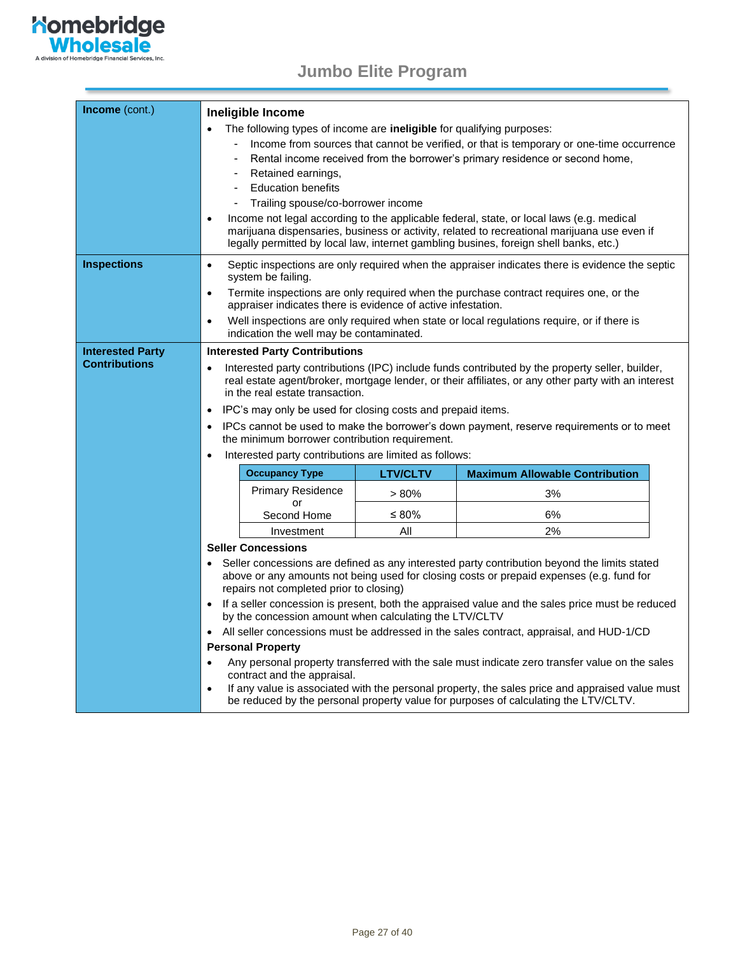

<span id="page-26-0"></span>

| Income (cont.)          |                                                                                                                                                                                                                                                                                                                       |                                                                       |                 |                                                                                                                                                                                                                                                                                  |
|-------------------------|-----------------------------------------------------------------------------------------------------------------------------------------------------------------------------------------------------------------------------------------------------------------------------------------------------------------------|-----------------------------------------------------------------------|-----------------|----------------------------------------------------------------------------------------------------------------------------------------------------------------------------------------------------------------------------------------------------------------------------------|
|                         |                                                                                                                                                                                                                                                                                                                       | Ineligible Income                                                     |                 |                                                                                                                                                                                                                                                                                  |
|                         |                                                                                                                                                                                                                                                                                                                       | The following types of income are ineligible for qualifying purposes: |                 |                                                                                                                                                                                                                                                                                  |
|                         |                                                                                                                                                                                                                                                                                                                       |                                                                       |                 | Income from sources that cannot be verified, or that is temporary or one-time occurrence                                                                                                                                                                                         |
|                         |                                                                                                                                                                                                                                                                                                                       |                                                                       |                 | Rental income received from the borrower's primary residence or second home,                                                                                                                                                                                                     |
|                         |                                                                                                                                                                                                                                                                                                                       | Retained earnings,                                                    |                 |                                                                                                                                                                                                                                                                                  |
|                         |                                                                                                                                                                                                                                                                                                                       | <b>Education benefits</b>                                             |                 |                                                                                                                                                                                                                                                                                  |
|                         |                                                                                                                                                                                                                                                                                                                       | Trailing spouse/co-borrower income                                    |                 |                                                                                                                                                                                                                                                                                  |
|                         | $\bullet$                                                                                                                                                                                                                                                                                                             |                                                                       |                 | Income not legal according to the applicable federal, state, or local laws (e.g. medical<br>marijuana dispensaries, business or activity, related to recreational marijuana use even if<br>legally permitted by local law, internet gambling busines, foreign shell banks, etc.) |
| <b>Inspections</b>      | $\bullet$                                                                                                                                                                                                                                                                                                             | system be failing.                                                    |                 | Septic inspections are only required when the appraiser indicates there is evidence the septic                                                                                                                                                                                   |
|                         | Termite inspections are only required when the purchase contract requires one, or the<br>$\bullet$<br>appraiser indicates there is evidence of active infestation.                                                                                                                                                    |                                                                       |                 |                                                                                                                                                                                                                                                                                  |
|                         | Well inspections are only required when state or local regulations require, or if there is<br>$\bullet$<br>indication the well may be contaminated.                                                                                                                                                                   |                                                                       |                 |                                                                                                                                                                                                                                                                                  |
| <b>Interested Party</b> |                                                                                                                                                                                                                                                                                                                       | <b>Interested Party Contributions</b>                                 |                 |                                                                                                                                                                                                                                                                                  |
| <b>Contributions</b>    | Interested party contributions (IPC) include funds contributed by the property seller, builder,<br>real estate agent/broker, mortgage lender, or their affiliates, or any other party with an interest<br>in the real estate transaction.<br>IPC's may only be used for closing costs and prepaid items.<br>$\bullet$ |                                                                       |                 |                                                                                                                                                                                                                                                                                  |
|                         | IPCs cannot be used to make the borrower's down payment, reserve requirements or to meet<br>the minimum borrower contribution requirement.<br>Interested party contributions are limited as follows:<br>$\bullet$                                                                                                     |                                                                       |                 |                                                                                                                                                                                                                                                                                  |
|                         |                                                                                                                                                                                                                                                                                                                       |                                                                       |                 |                                                                                                                                                                                                                                                                                  |
|                         |                                                                                                                                                                                                                                                                                                                       | <b>Occupancy Type</b>                                                 | <b>LTV/CLTV</b> | <b>Maximum Allowable Contribution</b>                                                                                                                                                                                                                                            |
|                         |                                                                                                                                                                                                                                                                                                                       | <b>Primary Residence</b>                                              | >80%            | 3%                                                                                                                                                                                                                                                                               |
|                         |                                                                                                                                                                                                                                                                                                                       | or<br>Second Home                                                     | ≤ 80%           | 6%                                                                                                                                                                                                                                                                               |
|                         |                                                                                                                                                                                                                                                                                                                       | Investment                                                            | All             | 2%                                                                                                                                                                                                                                                                               |
|                         |                                                                                                                                                                                                                                                                                                                       | <b>Seller Concessions</b>                                             |                 |                                                                                                                                                                                                                                                                                  |
|                         | Seller concessions are defined as any interested party contribution beyond the limits stated<br>above or any amounts not being used for closing costs or prepaid expenses (e.g. fund for<br>repairs not completed prior to closing)                                                                                   |                                                                       |                 |                                                                                                                                                                                                                                                                                  |
|                         | If a seller concession is present, both the appraised value and the sales price must be reduced<br>by the concession amount when calculating the LTV/CLTV                                                                                                                                                             |                                                                       |                 |                                                                                                                                                                                                                                                                                  |
|                         | All seller concessions must be addressed in the sales contract, appraisal, and HUD-1/CD<br>$\bullet$                                                                                                                                                                                                                  |                                                                       |                 |                                                                                                                                                                                                                                                                                  |
|                         |                                                                                                                                                                                                                                                                                                                       | <b>Personal Property</b>                                              |                 |                                                                                                                                                                                                                                                                                  |
|                         | $\bullet$                                                                                                                                                                                                                                                                                                             | contract and the appraisal.                                           |                 | Any personal property transferred with the sale must indicate zero transfer value on the sales                                                                                                                                                                                   |
|                         | $\bullet$                                                                                                                                                                                                                                                                                                             |                                                                       |                 | If any value is associated with the personal property, the sales price and appraised value must<br>be reduced by the personal property value for purposes of calculating the LTV/CLTV.                                                                                           |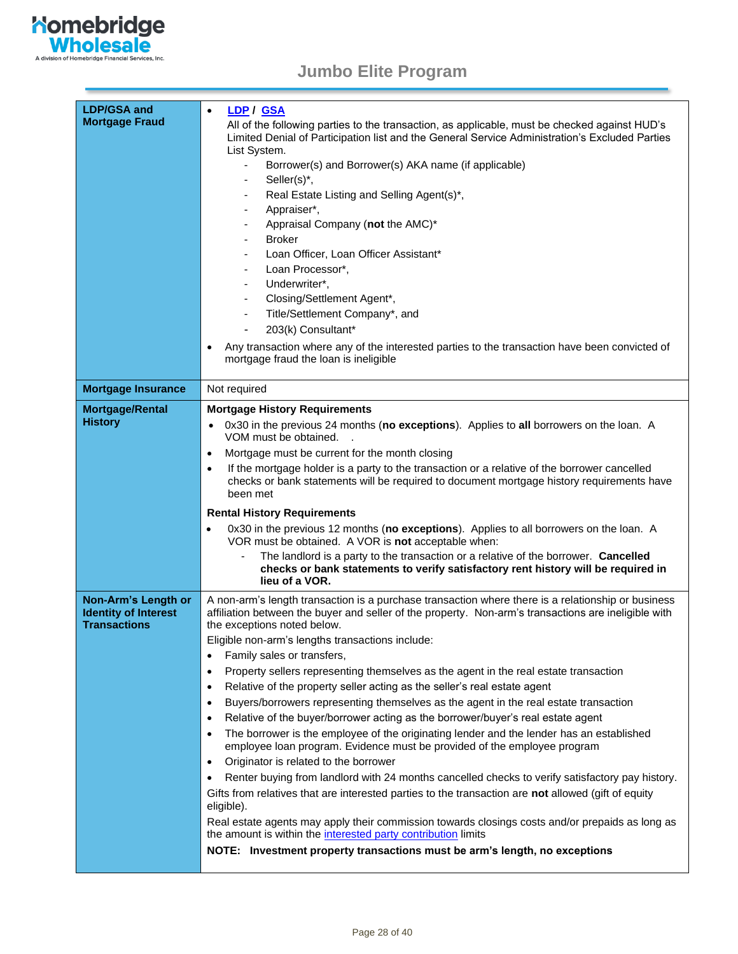

| <b>LDP/GSA and</b><br><b>Mortgage Fraud</b>                               | LDP / GSA<br>$\bullet$<br>All of the following parties to the transaction, as applicable, must be checked against HUD's<br>Limited Denial of Participation list and the General Service Administration's Excluded Parties<br>List System.<br>Borrower(s) and Borrower(s) AKA name (if applicable)<br>Seller(s)*,<br>$\overline{\phantom{a}}$<br>Real Estate Listing and Selling Agent(s)*,<br>۰<br>Appraiser*,<br>۰<br>Appraisal Company (not the AMC)*<br><b>Broker</b><br>Loan Officer, Loan Officer Assistant*<br>٠<br>Loan Processor*,<br>-<br>Underwriter*,<br>Closing/Settlement Agent*,<br>-<br>Title/Settlement Company*, and<br>$\overline{\phantom{a}}$<br>203(k) Consultant*<br>۰<br>Any transaction where any of the interested parties to the transaction have been convicted of<br>$\bullet$<br>mortgage fraud the loan is ineligible                                                                                                                                                                                                                                                                                                                                                                                                                                                                                                                                                                                                                   |
|---------------------------------------------------------------------------|-----------------------------------------------------------------------------------------------------------------------------------------------------------------------------------------------------------------------------------------------------------------------------------------------------------------------------------------------------------------------------------------------------------------------------------------------------------------------------------------------------------------------------------------------------------------------------------------------------------------------------------------------------------------------------------------------------------------------------------------------------------------------------------------------------------------------------------------------------------------------------------------------------------------------------------------------------------------------------------------------------------------------------------------------------------------------------------------------------------------------------------------------------------------------------------------------------------------------------------------------------------------------------------------------------------------------------------------------------------------------------------------------------------------------------------------------------------------------|
| <b>Mortgage Insurance</b>                                                 | Not required                                                                                                                                                                                                                                                                                                                                                                                                                                                                                                                                                                                                                                                                                                                                                                                                                                                                                                                                                                                                                                                                                                                                                                                                                                                                                                                                                                                                                                                          |
| <b>Mortgage/Rental</b><br><b>History</b>                                  | <b>Mortgage History Requirements</b><br>0x30 in the previous 24 months (no exceptions). Applies to all borrowers on the loan. A<br>VOM must be obtained.<br>Mortgage must be current for the month closing<br>$\bullet$<br>If the mortgage holder is a party to the transaction or a relative of the borrower cancelled<br>$\bullet$<br>checks or bank statements will be required to document mortgage history requirements have<br>been met<br><b>Rental History Requirements</b><br>0x30 in the previous 12 months (no exceptions). Applies to all borrowers on the loan. A<br>$\bullet$<br>VOR must be obtained. A VOR is <b>not</b> acceptable when:<br>The landlord is a party to the transaction or a relative of the borrower. Cancelled<br>checks or bank statements to verify satisfactory rent history will be required in<br>lieu of a VOR.                                                                                                                                                                                                                                                                                                                                                                                                                                                                                                                                                                                                               |
| Non-Arm's Length or<br><b>Identity of Interest</b><br><b>Transactions</b> | A non-arm's length transaction is a purchase transaction where there is a relationship or business<br>affiliation between the buyer and seller of the property. Non-arm's transactions are ineligible with<br>the exceptions noted below.<br>Eligible non-arm's lengths transactions include:<br>Family sales or transfers,<br>$\bullet$<br>Property sellers representing themselves as the agent in the real estate transaction<br>$\bullet$<br>Relative of the property seller acting as the seller's real estate agent<br>$\bullet$<br>Buyers/borrowers representing themselves as the agent in the real estate transaction<br>$\bullet$<br>Relative of the buyer/borrower acting as the borrower/buyer's real estate agent<br>$\bullet$<br>The borrower is the employee of the originating lender and the lender has an established<br>$\bullet$<br>employee loan program. Evidence must be provided of the employee program<br>Originator is related to the borrower<br>$\bullet$<br>Renter buying from landlord with 24 months cancelled checks to verify satisfactory pay history.<br>٠<br>Gifts from relatives that are interested parties to the transaction are not allowed (gift of equity<br>eligible).<br>Real estate agents may apply their commission towards closings costs and/or prepaids as long as<br>the amount is within the interested party contribution limits<br>NOTE: Investment property transactions must be arm's length, no exceptions |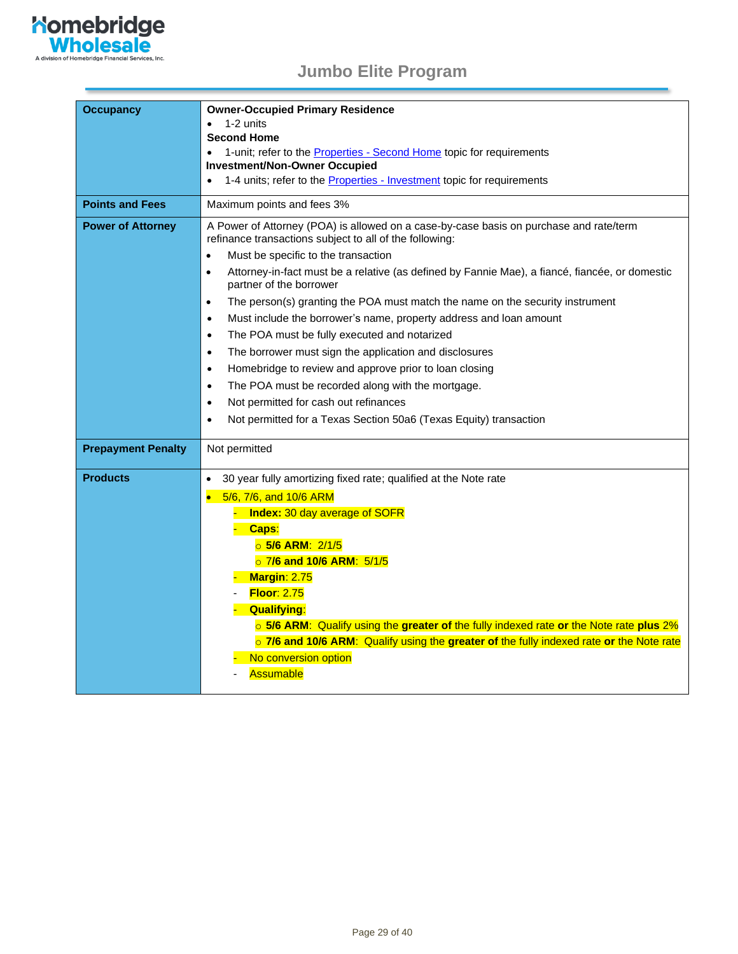

| <b>Occupancy</b>          | <b>Owner-Occupied Primary Residence</b><br>1-2 units<br><b>Second Home</b><br>1-unit; refer to the <b>Properties - Second Home</b> topic for requirements<br><b>Investment/Non-Owner Occupied</b><br>1-4 units; refer to the <b>Properties</b> - Investment topic for requirements                                                                                                                                                                                                                                                                                                                                                                                                                                                                                                                                                                                                                                                                    |
|---------------------------|-------------------------------------------------------------------------------------------------------------------------------------------------------------------------------------------------------------------------------------------------------------------------------------------------------------------------------------------------------------------------------------------------------------------------------------------------------------------------------------------------------------------------------------------------------------------------------------------------------------------------------------------------------------------------------------------------------------------------------------------------------------------------------------------------------------------------------------------------------------------------------------------------------------------------------------------------------|
| <b>Points and Fees</b>    | Maximum points and fees 3%                                                                                                                                                                                                                                                                                                                                                                                                                                                                                                                                                                                                                                                                                                                                                                                                                                                                                                                            |
| <b>Power of Attorney</b>  | A Power of Attorney (POA) is allowed on a case-by-case basis on purchase and rate/term<br>refinance transactions subject to all of the following:<br>Must be specific to the transaction<br>$\bullet$<br>Attorney-in-fact must be a relative (as defined by Fannie Mae), a fiancé, fiancée, or domestic<br>$\bullet$<br>partner of the borrower<br>The person(s) granting the POA must match the name on the security instrument<br>$\bullet$<br>Must include the borrower's name, property address and loan amount<br>$\bullet$<br>The POA must be fully executed and notarized<br>$\bullet$<br>The borrower must sign the application and disclosures<br>$\bullet$<br>Homebridge to review and approve prior to loan closing<br>$\bullet$<br>The POA must be recorded along with the mortgage.<br>$\bullet$<br>Not permitted for cash out refinances<br>$\bullet$<br>Not permitted for a Texas Section 50a6 (Texas Equity) transaction<br>$\bullet$ |
| <b>Prepayment Penalty</b> | Not permitted                                                                                                                                                                                                                                                                                                                                                                                                                                                                                                                                                                                                                                                                                                                                                                                                                                                                                                                                         |
| <b>Products</b>           | 30 year fully amortizing fixed rate; qualified at the Note rate<br>$\bullet$<br>5/6, 7/6, and 10/6 ARM<br><b>Index:</b> 30 day average of SOFR<br>- Caps:<br><b>5/6 ARM: 2/1/5</b><br>⊙ 7/6 and 10/6 ARM: 5/1/5<br>Margin: 2.75<br><b>Floor: 2.75</b><br>- Qualifying:<br>o 5/6 ARM: Qualify using the greater of the fully indexed rate or the Note rate plus 2%<br>o 7/6 and 10/6 ARM: Qualify using the greater of the fully indexed rate or the Note rate<br>No conversion option<br>Assumable                                                                                                                                                                                                                                                                                                                                                                                                                                                    |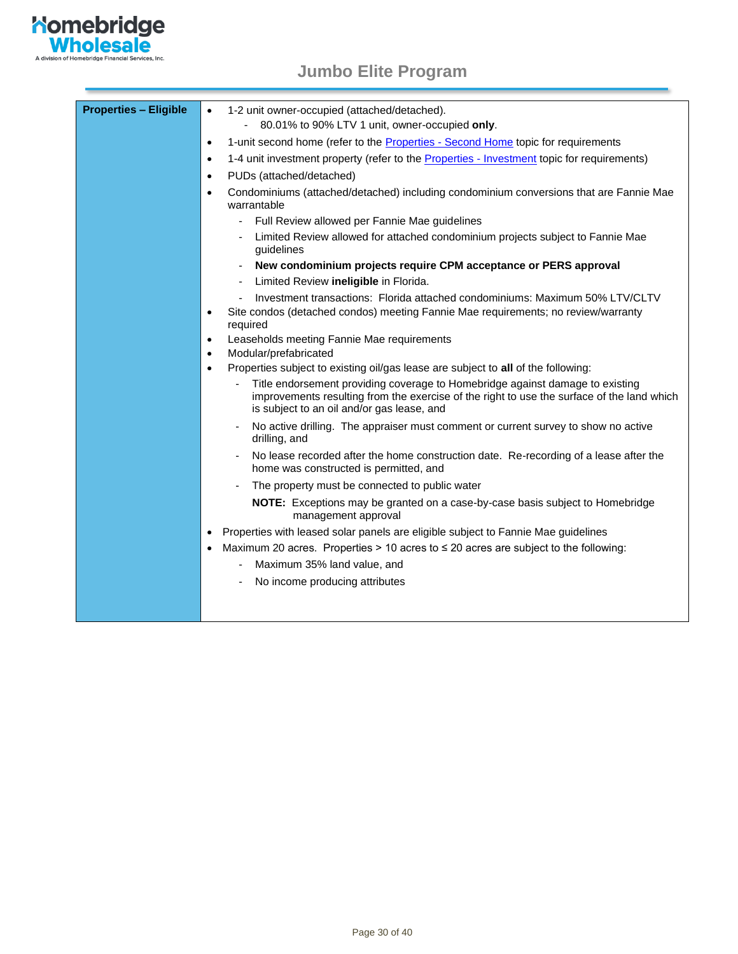

| <b>Properties - Eligible</b> | 1-2 unit owner-occupied (attached/detached).<br>$\bullet$<br>80.01% to 90% LTV 1 unit, owner-occupied only.                                                                                                               |
|------------------------------|---------------------------------------------------------------------------------------------------------------------------------------------------------------------------------------------------------------------------|
|                              | 1-unit second home (refer to the Properties - Second Home topic for requirements<br>$\bullet$                                                                                                                             |
|                              | 1-4 unit investment property (refer to the Properties - Investment topic for requirements)<br>$\bullet$                                                                                                                   |
|                              | PUDs (attached/detached)<br>$\bullet$                                                                                                                                                                                     |
|                              | Condominiums (attached/detached) including condominium conversions that are Fannie Mae<br>$\bullet$<br>warrantable                                                                                                        |
|                              | Full Review allowed per Fannie Mae guidelines                                                                                                                                                                             |
|                              | Limited Review allowed for attached condominium projects subject to Fannie Mae<br>guidelines                                                                                                                              |
|                              | New condominium projects require CPM acceptance or PERS approval                                                                                                                                                          |
|                              | Limited Review ineligible in Florida.                                                                                                                                                                                     |
|                              | Investment transactions: Florida attached condominiums: Maximum 50% LTV/CLTV                                                                                                                                              |
|                              | Site condos (detached condos) meeting Fannie Mae requirements; no review/warranty<br>$\bullet$<br>required                                                                                                                |
|                              | Leaseholds meeting Fannie Mae requirements<br>$\bullet$                                                                                                                                                                   |
|                              | Modular/prefabricated<br>$\bullet$                                                                                                                                                                                        |
|                              | Properties subject to existing oil/gas lease are subject to all of the following:<br>$\bullet$                                                                                                                            |
|                              | Title endorsement providing coverage to Homebridge against damage to existing<br>improvements resulting from the exercise of the right to use the surface of the land which<br>is subject to an oil and/or gas lease, and |
|                              | No active drilling. The appraiser must comment or current survey to show no active<br>drilling, and                                                                                                                       |
|                              | No lease recorded after the home construction date. Re-recording of a lease after the<br>home was constructed is permitted, and                                                                                           |
|                              | The property must be connected to public water                                                                                                                                                                            |
|                              | NOTE: Exceptions may be granted on a case-by-case basis subject to Homebridge<br>management approval                                                                                                                      |
|                              | Properties with leased solar panels are eligible subject to Fannie Mae guidelines<br>$\bullet$                                                                                                                            |
|                              | Maximum 20 acres. Properties > 10 acres to $\leq$ 20 acres are subject to the following:<br>$\bullet$                                                                                                                     |
|                              | Maximum 35% land value, and                                                                                                                                                                                               |
|                              | No income producing attributes                                                                                                                                                                                            |
|                              |                                                                                                                                                                                                                           |
|                              |                                                                                                                                                                                                                           |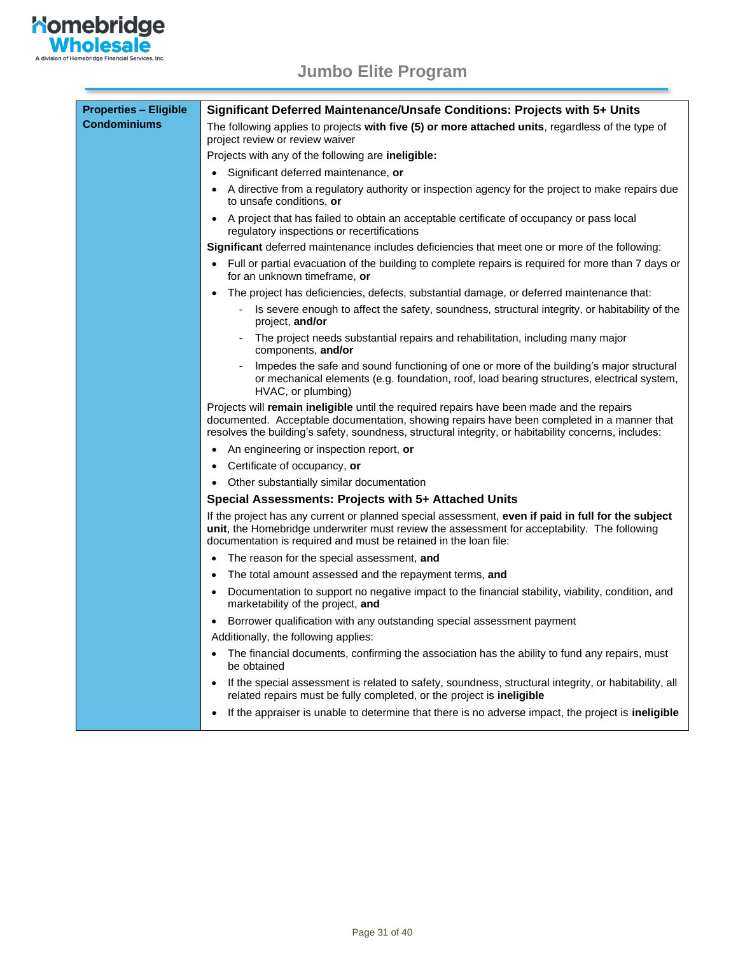

| <b>Properties - Eligible</b> | Significant Deferred Maintenance/Unsafe Conditions: Projects with 5+ Units                                                                                                                                                                                                                      |
|------------------------------|-------------------------------------------------------------------------------------------------------------------------------------------------------------------------------------------------------------------------------------------------------------------------------------------------|
| <b>Condominiums</b>          | The following applies to projects with five (5) or more attached units, regardless of the type of<br>project review or review waiver                                                                                                                                                            |
|                              | Projects with any of the following are <b>ineligible:</b>                                                                                                                                                                                                                                       |
|                              | Significant deferred maintenance, or                                                                                                                                                                                                                                                            |
|                              | A directive from a regulatory authority or inspection agency for the project to make repairs due<br>to unsafe conditions, or                                                                                                                                                                    |
|                              | A project that has failed to obtain an acceptable certificate of occupancy or pass local<br>$\bullet$<br>regulatory inspections or recertifications                                                                                                                                             |
|                              | <b>Significant</b> deferred maintenance includes deficiencies that meet one or more of the following:                                                                                                                                                                                           |
|                              | Full or partial evacuation of the building to complete repairs is required for more than 7 days or<br>$\bullet$<br>for an unknown timeframe, or                                                                                                                                                 |
|                              | The project has deficiencies, defects, substantial damage, or deferred maintenance that:<br>$\bullet$                                                                                                                                                                                           |
|                              | Is severe enough to affect the safety, soundness, structural integrity, or habitability of the<br>project, and/or                                                                                                                                                                               |
|                              | The project needs substantial repairs and rehabilitation, including many major<br>components, and/or                                                                                                                                                                                            |
|                              | Impedes the safe and sound functioning of one or more of the building's major structural<br>or mechanical elements (e.g. foundation, roof, load bearing structures, electrical system,<br>HVAC, or plumbing)                                                                                    |
|                              | Projects will remain ineligible until the required repairs have been made and the repairs<br>documented. Acceptable documentation, showing repairs have been completed in a manner that<br>resolves the building's safety, soundness, structural integrity, or habitability concerns, includes: |
|                              | An engineering or inspection report, or<br>$\bullet$                                                                                                                                                                                                                                            |
|                              | Certificate of occupancy, or<br>$\bullet$                                                                                                                                                                                                                                                       |
|                              | Other substantially similar documentation                                                                                                                                                                                                                                                       |
|                              | Special Assessments: Projects with 5+ Attached Units                                                                                                                                                                                                                                            |
|                              | If the project has any current or planned special assessment, even if paid in full for the subject<br>unit, the Homebridge underwriter must review the assessment for acceptability. The following<br>documentation is required and must be retained in the loan file:                          |
|                              | The reason for the special assessment, and<br>$\bullet$                                                                                                                                                                                                                                         |
|                              | The total amount assessed and the repayment terms, and<br>$\bullet$                                                                                                                                                                                                                             |
|                              | Documentation to support no negative impact to the financial stability, viability, condition, and<br>$\bullet$<br>marketability of the project, and                                                                                                                                             |
|                              | Borrower qualification with any outstanding special assessment payment<br>$\bullet$                                                                                                                                                                                                             |
|                              | Additionally, the following applies:                                                                                                                                                                                                                                                            |
|                              | The financial documents, confirming the association has the ability to fund any repairs, must<br>$\bullet$<br>be obtained                                                                                                                                                                       |
|                              | If the special assessment is related to safety, soundness, structural integrity, or habitability, all<br>$\bullet$<br>related repairs must be fully completed, or the project is ineligible                                                                                                     |
|                              | If the appraiser is unable to determine that there is no adverse impact, the project is ineligible                                                                                                                                                                                              |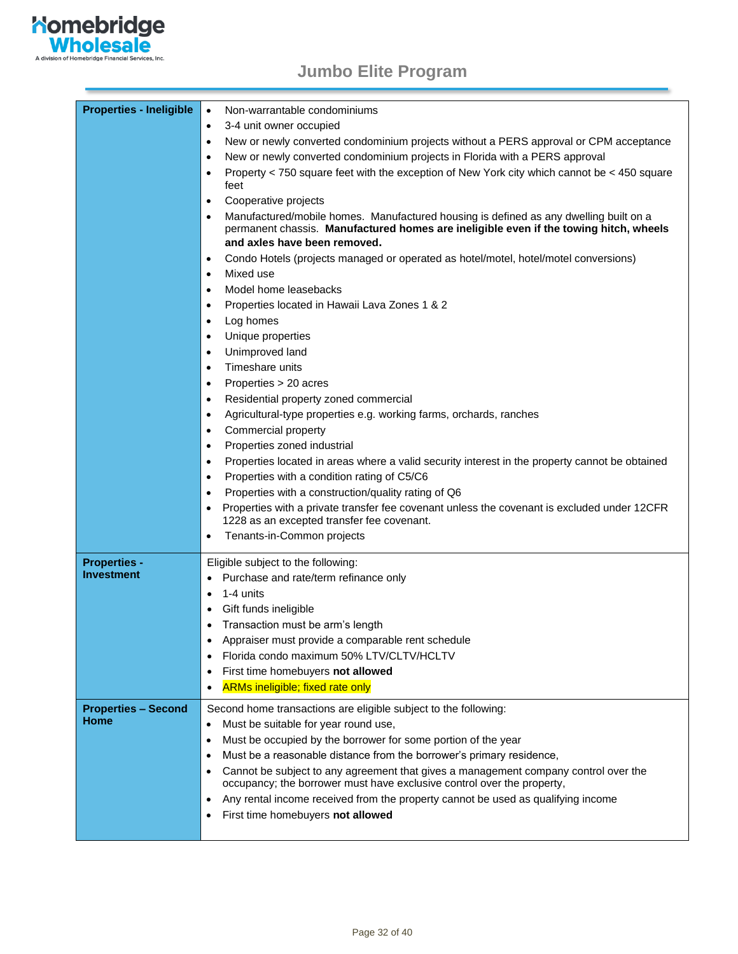

<span id="page-31-1"></span><span id="page-31-0"></span>

| <b>Properties - Ineligible</b> | $\bullet$<br>Non-warrantable condominiums                                                                                                                                                                                   |
|--------------------------------|-----------------------------------------------------------------------------------------------------------------------------------------------------------------------------------------------------------------------------|
|                                | 3-4 unit owner occupied<br>$\bullet$                                                                                                                                                                                        |
|                                | New or newly converted condominium projects without a PERS approval or CPM acceptance<br>$\bullet$                                                                                                                          |
|                                | New or newly converted condominium projects in Florida with a PERS approval<br>$\bullet$                                                                                                                                    |
|                                | Property < 750 square feet with the exception of New York city which cannot be < 450 square<br>$\bullet$<br>feet                                                                                                            |
|                                | Cooperative projects<br>$\bullet$                                                                                                                                                                                           |
|                                | Manufactured/mobile homes. Manufactured housing is defined as any dwelling built on a<br>$\bullet$<br>permanent chassis. Manufactured homes are ineligible even if the towing hitch, wheels<br>and axles have been removed. |
|                                | Condo Hotels (projects managed or operated as hotel/motel, hotel/motel conversions)<br>$\bullet$                                                                                                                            |
|                                | Mixed use<br>$\bullet$                                                                                                                                                                                                      |
|                                | Model home leasebacks<br>$\bullet$                                                                                                                                                                                          |
|                                | Properties located in Hawaii Lava Zones 1 & 2<br>$\bullet$                                                                                                                                                                  |
|                                | Log homes<br>$\bullet$                                                                                                                                                                                                      |
|                                | Unique properties<br>$\bullet$                                                                                                                                                                                              |
|                                | Unimproved land<br>$\bullet$                                                                                                                                                                                                |
|                                | Timeshare units<br>$\bullet$                                                                                                                                                                                                |
|                                | Properties > 20 acres<br>$\bullet$                                                                                                                                                                                          |
|                                | Residential property zoned commercial<br>$\bullet$                                                                                                                                                                          |
|                                | Agricultural-type properties e.g. working farms, orchards, ranches<br>$\bullet$                                                                                                                                             |
|                                | Commercial property<br>$\bullet$                                                                                                                                                                                            |
|                                | Properties zoned industrial<br>$\bullet$                                                                                                                                                                                    |
|                                | Properties located in areas where a valid security interest in the property cannot be obtained<br>$\bullet$                                                                                                                 |
|                                | Properties with a condition rating of C5/C6<br>$\bullet$                                                                                                                                                                    |
|                                | Properties with a construction/quality rating of Q6<br>$\bullet$                                                                                                                                                            |
|                                | Properties with a private transfer fee covenant unless the covenant is excluded under 12CFR<br>$\bullet$<br>1228 as an excepted transfer fee covenant.                                                                      |
|                                | Tenants-in-Common projects<br>$\bullet$                                                                                                                                                                                     |
| <b>Properties -</b>            | Eligible subject to the following:                                                                                                                                                                                          |
| Investment                     | Purchase and rate/term refinance only<br>$\bullet$                                                                                                                                                                          |
|                                | 1-4 units<br>$\bullet$                                                                                                                                                                                                      |
|                                | Gift funds ineligible<br>$\bullet$                                                                                                                                                                                          |
|                                | Transaction must be arm's length<br>$\bullet$                                                                                                                                                                               |
|                                | Appraiser must provide a comparable rent schedule                                                                                                                                                                           |
|                                | Florida condo maximum 50% LTV/CLTV/HCLTV<br>$\bullet$                                                                                                                                                                       |
|                                | First time homebuyers not allowed<br>$\bullet$                                                                                                                                                                              |
|                                | <b>ARMs ineligible; fixed rate only</b><br>$\bullet$                                                                                                                                                                        |
| <b>Properties - Second</b>     | Second home transactions are eligible subject to the following:                                                                                                                                                             |
| Home                           | Must be suitable for year round use,<br>$\bullet$                                                                                                                                                                           |
|                                | Must be occupied by the borrower for some portion of the year<br>$\bullet$                                                                                                                                                  |
|                                | Must be a reasonable distance from the borrower's primary residence,<br>٠                                                                                                                                                   |
|                                | Cannot be subject to any agreement that gives a management company control over the<br>$\bullet$<br>occupancy; the borrower must have exclusive control over the property,                                                  |
|                                | Any rental income received from the property cannot be used as qualifying income<br>$\bullet$                                                                                                                               |
|                                | First time homebuyers not allowed<br>$\bullet$                                                                                                                                                                              |
|                                |                                                                                                                                                                                                                             |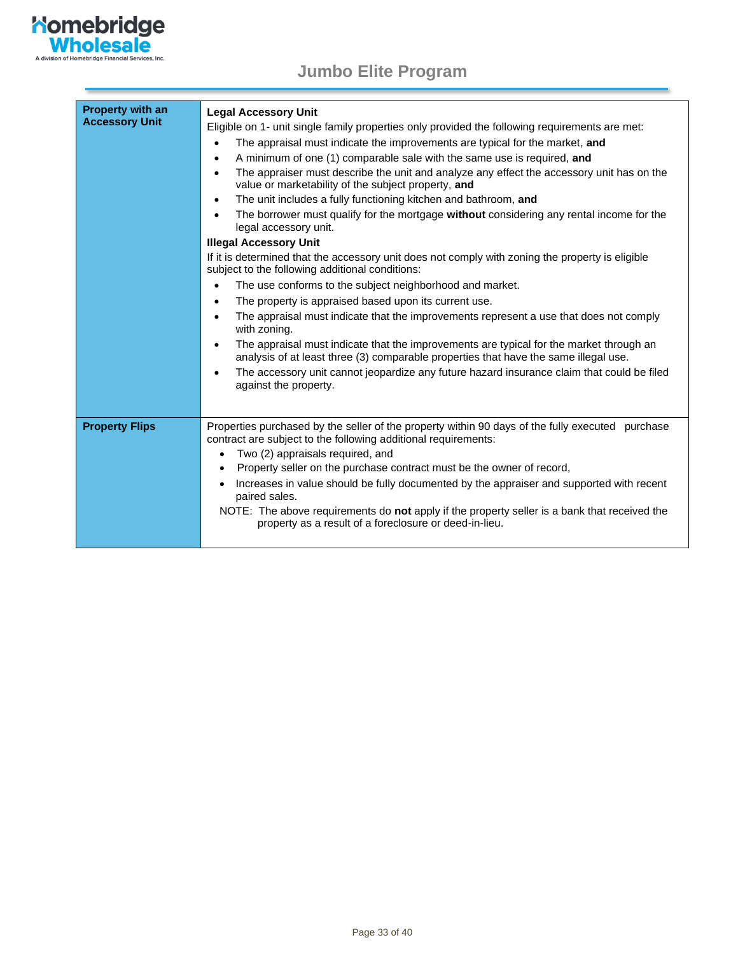

| <b>Property with an</b><br><b>Accessory Unit</b> | <b>Legal Accessory Unit</b><br>Eligible on 1- unit single family properties only provided the following requirements are met:<br>The appraisal must indicate the improvements are typical for the market, and<br>$\bullet$<br>A minimum of one (1) comparable sale with the same use is required, and<br>$\bullet$<br>The appraiser must describe the unit and analyze any effect the accessory unit has on the<br>$\bullet$<br>value or marketability of the subject property, and<br>The unit includes a fully functioning kitchen and bathroom, and<br>$\bullet$<br>The borrower must qualify for the mortgage without considering any rental income for the<br>٠<br>legal accessory unit.<br><b>Illegal Accessory Unit</b><br>If it is determined that the accessory unit does not comply with zoning the property is eligible<br>subject to the following additional conditions:<br>The use conforms to the subject neighborhood and market.<br>$\bullet$<br>The property is appraised based upon its current use.<br>$\bullet$<br>The appraisal must indicate that the improvements represent a use that does not comply<br>$\bullet$<br>with zoning.<br>The appraisal must indicate that the improvements are typical for the market through an<br>$\bullet$<br>analysis of at least three (3) comparable properties that have the same illegal use.<br>The accessory unit cannot jeopardize any future hazard insurance claim that could be filed<br>against the property. |
|--------------------------------------------------|------------------------------------------------------------------------------------------------------------------------------------------------------------------------------------------------------------------------------------------------------------------------------------------------------------------------------------------------------------------------------------------------------------------------------------------------------------------------------------------------------------------------------------------------------------------------------------------------------------------------------------------------------------------------------------------------------------------------------------------------------------------------------------------------------------------------------------------------------------------------------------------------------------------------------------------------------------------------------------------------------------------------------------------------------------------------------------------------------------------------------------------------------------------------------------------------------------------------------------------------------------------------------------------------------------------------------------------------------------------------------------------------------------------------------------------------------------------------------------|
| <b>Property Flips</b>                            | Properties purchased by the seller of the property within 90 days of the fully executed purchase<br>contract are subject to the following additional requirements:<br>Two (2) appraisals required, and<br>$\bullet$<br>Property seller on the purchase contract must be the owner of record,<br>Increases in value should be fully documented by the appraiser and supported with recent<br>paired sales.<br>NOTE: The above requirements do not apply if the property seller is a bank that received the<br>property as a result of a foreclosure or deed-in-lieu.                                                                                                                                                                                                                                                                                                                                                                                                                                                                                                                                                                                                                                                                                                                                                                                                                                                                                                                |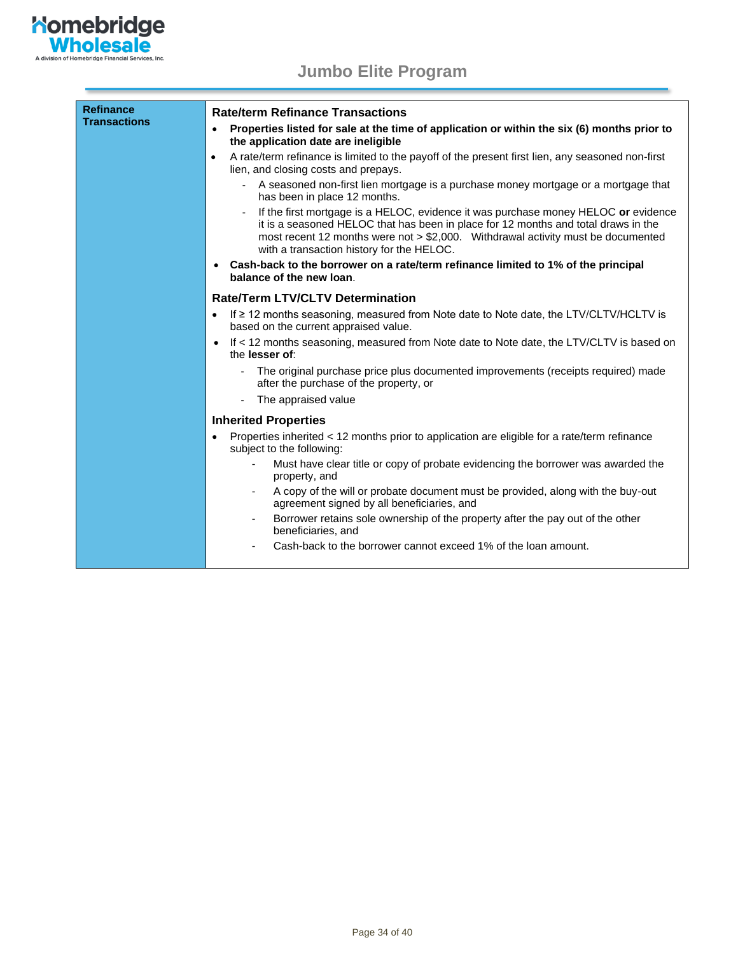

| <b>Refinance</b><br><b>Transactions</b> | <b>Rate/term Refinance Transactions</b>                                                                                                                                                                                                                                                                   |
|-----------------------------------------|-----------------------------------------------------------------------------------------------------------------------------------------------------------------------------------------------------------------------------------------------------------------------------------------------------------|
|                                         | Properties listed for sale at the time of application or within the six (6) months prior to<br>$\bullet$<br>the application date are ineligible                                                                                                                                                           |
|                                         | A rate/term refinance is limited to the payoff of the present first lien, any seasoned non-first<br>$\bullet$<br>lien, and closing costs and prepays.                                                                                                                                                     |
|                                         | A seasoned non-first lien mortgage is a purchase money mortgage or a mortgage that<br>has been in place 12 months.                                                                                                                                                                                        |
|                                         | If the first mortgage is a HELOC, evidence it was purchase money HELOC or evidence<br>it is a seasoned HELOC that has been in place for 12 months and total draws in the<br>most recent 12 months were not > \$2,000. Withdrawal activity must be documented<br>with a transaction history for the HELOC. |
|                                         | Cash-back to the borrower on a rate/term refinance limited to 1% of the principal<br>$\bullet$<br>balance of the new loan.                                                                                                                                                                                |
|                                         | <b>Rate/Term LTV/CLTV Determination</b>                                                                                                                                                                                                                                                                   |
|                                         | If ≥ 12 months seasoning, measured from Note date to Note date, the LTV/CLTV/HCLTV is<br>$\bullet$<br>based on the current appraised value.                                                                                                                                                               |
|                                         | If < 12 months seasoning, measured from Note date to Note date, the LTV/CLTV is based on<br>$\bullet$<br>the lesser of:                                                                                                                                                                                   |
|                                         | The original purchase price plus documented improvements (receipts required) made<br>after the purchase of the property, or                                                                                                                                                                               |
|                                         | The appraised value<br>$\sim$                                                                                                                                                                                                                                                                             |
|                                         | <b>Inherited Properties</b>                                                                                                                                                                                                                                                                               |
|                                         | Properties inherited < 12 months prior to application are eligible for a rate/term refinance<br>$\bullet$<br>subject to the following:                                                                                                                                                                    |
|                                         | Must have clear title or copy of probate evidencing the borrower was awarded the<br>property, and                                                                                                                                                                                                         |
|                                         | A copy of the will or probate document must be provided, along with the buy-out<br>agreement signed by all beneficiaries, and                                                                                                                                                                             |
|                                         | Borrower retains sole ownership of the property after the pay out of the other<br>$\overline{\phantom{a}}$<br>beneficiaries, and                                                                                                                                                                          |
|                                         | Cash-back to the borrower cannot exceed 1% of the loan amount.                                                                                                                                                                                                                                            |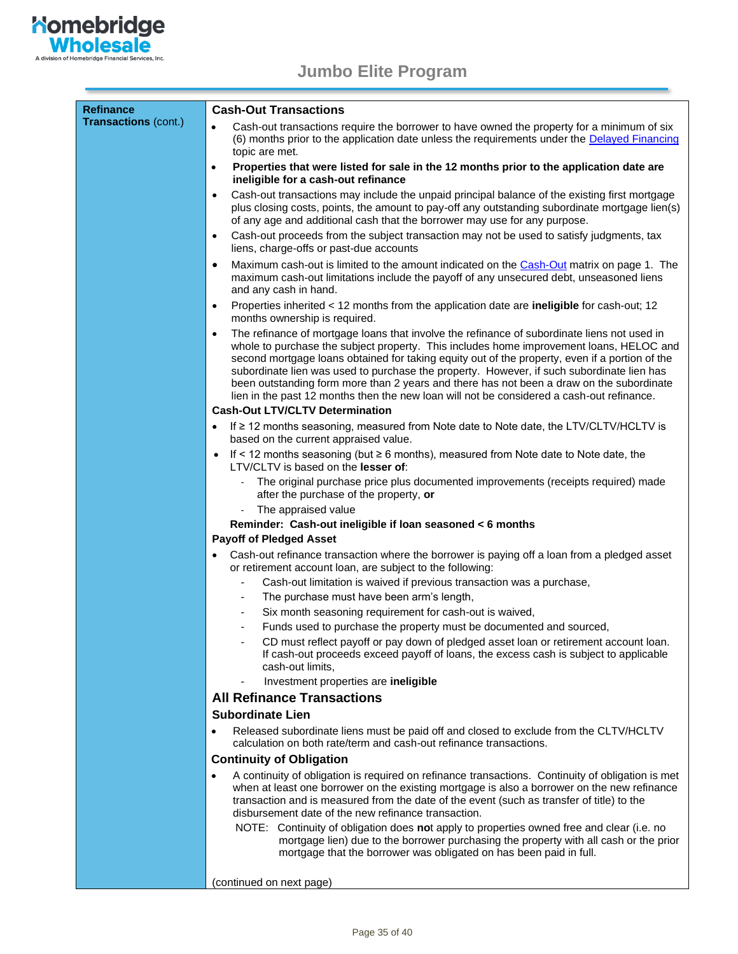

<span id="page-34-0"></span>

| <b>Refinance</b><br><b>Transactions (cont.)</b> | <b>Cash-Out Transactions</b>                                                                                                                                                                                                                                                                                                                                                                                                                                                                                                                                                                |
|-------------------------------------------------|---------------------------------------------------------------------------------------------------------------------------------------------------------------------------------------------------------------------------------------------------------------------------------------------------------------------------------------------------------------------------------------------------------------------------------------------------------------------------------------------------------------------------------------------------------------------------------------------|
|                                                 | Cash-out transactions require the borrower to have owned the property for a minimum of six<br>$\bullet$<br>(6) months prior to the application date unless the requirements under the <b>Delayed Financing</b><br>topic are met.                                                                                                                                                                                                                                                                                                                                                            |
|                                                 | Properties that were listed for sale in the 12 months prior to the application date are<br>$\bullet$<br>ineligible for a cash-out refinance                                                                                                                                                                                                                                                                                                                                                                                                                                                 |
|                                                 | Cash-out transactions may include the unpaid principal balance of the existing first mortgage<br>$\bullet$<br>plus closing costs, points, the amount to pay-off any outstanding subordinate mortgage lien(s)<br>of any age and additional cash that the borrower may use for any purpose.                                                                                                                                                                                                                                                                                                   |
|                                                 | Cash-out proceeds from the subject transaction may not be used to satisfy judgments, tax<br>$\bullet$<br>liens, charge-offs or past-due accounts                                                                                                                                                                                                                                                                                                                                                                                                                                            |
|                                                 | Maximum cash-out is limited to the amount indicated on the Cash-Out matrix on page 1. The<br>$\bullet$<br>maximum cash-out limitations include the payoff of any unsecured debt, unseasoned liens<br>and any cash in hand.                                                                                                                                                                                                                                                                                                                                                                  |
|                                                 | Properties inherited < 12 months from the application date are ineligible for cash-out; 12<br>$\bullet$<br>months ownership is required.                                                                                                                                                                                                                                                                                                                                                                                                                                                    |
|                                                 | The refinance of mortgage loans that involve the refinance of subordinate liens not used in<br>$\bullet$<br>whole to purchase the subject property. This includes home improvement loans, HELOC and<br>second mortgage loans obtained for taking equity out of the property, even if a portion of the<br>subordinate lien was used to purchase the property. However, if such subordinate lien has<br>been outstanding form more than 2 years and there has not been a draw on the subordinate<br>lien in the past 12 months then the new loan will not be considered a cash-out refinance. |
|                                                 | <b>Cash-Out LTV/CLTV Determination</b>                                                                                                                                                                                                                                                                                                                                                                                                                                                                                                                                                      |
|                                                 | If ≥ 12 months seasoning, measured from Note date to Note date, the LTV/CLTV/HCLTV is<br>$\bullet$<br>based on the current appraised value.                                                                                                                                                                                                                                                                                                                                                                                                                                                 |
|                                                 | If < 12 months seasoning (but $\geq 6$ months), measured from Note date to Note date, the<br>$\bullet$<br>LTV/CLTV is based on the <b>lesser of:</b>                                                                                                                                                                                                                                                                                                                                                                                                                                        |
|                                                 | The original purchase price plus documented improvements (receipts required) made<br>after the purchase of the property, or                                                                                                                                                                                                                                                                                                                                                                                                                                                                 |
|                                                 | The appraised value                                                                                                                                                                                                                                                                                                                                                                                                                                                                                                                                                                         |
|                                                 | Reminder: Cash-out ineligible if loan seasoned < 6 months<br><b>Payoff of Pledged Asset</b>                                                                                                                                                                                                                                                                                                                                                                                                                                                                                                 |
|                                                 | Cash-out refinance transaction where the borrower is paying off a loan from a pledged asset                                                                                                                                                                                                                                                                                                                                                                                                                                                                                                 |
|                                                 | or retirement account loan, are subject to the following:<br>Cash-out limitation is waived if previous transaction was a purchase,                                                                                                                                                                                                                                                                                                                                                                                                                                                          |
|                                                 | The purchase must have been arm's length,                                                                                                                                                                                                                                                                                                                                                                                                                                                                                                                                                   |
|                                                 | Six month seasoning requirement for cash-out is waived,                                                                                                                                                                                                                                                                                                                                                                                                                                                                                                                                     |
|                                                 | Funds used to purchase the property must be documented and sourced,                                                                                                                                                                                                                                                                                                                                                                                                                                                                                                                         |
|                                                 | CD must reflect payoff or pay down of pledged asset loan or retirement account loan.<br>If cash-out proceeds exceed payoff of loans, the excess cash is subject to applicable<br>cash-out limits,                                                                                                                                                                                                                                                                                                                                                                                           |
|                                                 | Investment properties are ineligible<br><b>All Refinance Transactions</b>                                                                                                                                                                                                                                                                                                                                                                                                                                                                                                                   |
|                                                 | <b>Subordinate Lien</b>                                                                                                                                                                                                                                                                                                                                                                                                                                                                                                                                                                     |
|                                                 | Released subordinate liens must be paid off and closed to exclude from the CLTV/HCLTV                                                                                                                                                                                                                                                                                                                                                                                                                                                                                                       |
|                                                 | ٠<br>calculation on both rate/term and cash-out refinance transactions.                                                                                                                                                                                                                                                                                                                                                                                                                                                                                                                     |
|                                                 | <b>Continuity of Obligation</b>                                                                                                                                                                                                                                                                                                                                                                                                                                                                                                                                                             |
|                                                 | A continuity of obligation is required on refinance transactions. Continuity of obligation is met<br>$\bullet$<br>when at least one borrower on the existing mortgage is also a borrower on the new refinance<br>transaction and is measured from the date of the event (such as transfer of title) to the<br>disbursement date of the new refinance transaction.                                                                                                                                                                                                                           |
|                                                 | NOTE: Continuity of obligation does not apply to properties owned free and clear (i.e. no<br>mortgage lien) due to the borrower purchasing the property with all cash or the prior<br>mortgage that the borrower was obligated on has been paid in full.                                                                                                                                                                                                                                                                                                                                    |

(continued on next page)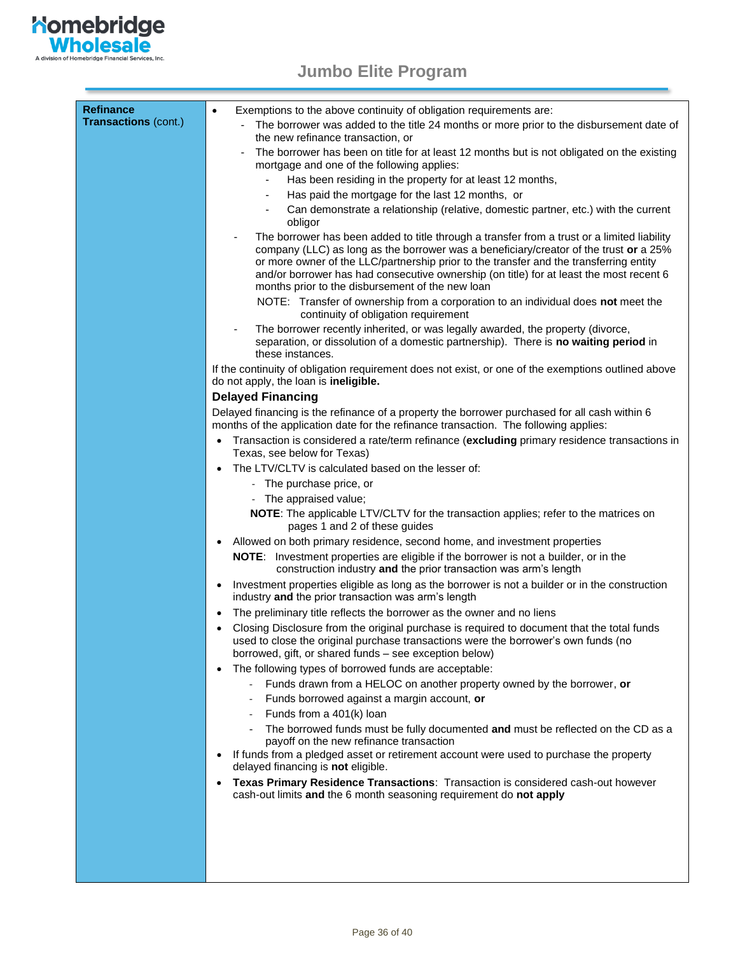

| <b>Refinance</b><br><b>Transactions (cont.)</b> | Exemptions to the above continuity of obligation requirements are:<br>$\bullet$<br>The borrower was added to the title 24 months or more prior to the disbursement date of<br>the new refinance transaction, or<br>The borrower has been on title for at least 12 months but is not obligated on the existing<br>mortgage and one of the following applies:<br>Has been residing in the property for at least 12 months,<br>Has paid the mortgage for the last 12 months, or<br>Can demonstrate a relationship (relative, domestic partner, etc.) with the current<br>obligor<br>The borrower has been added to title through a transfer from a trust or a limited liability<br>company (LLC) as long as the borrower was a beneficiary/creator of the trust or a 25%<br>or more owner of the LLC/partnership prior to the transfer and the transferring entity<br>and/or borrower has had consecutive ownership (on title) for at least the most recent 6<br>months prior to the disbursement of the new loan<br>NOTE: Transfer of ownership from a corporation to an individual does not meet the<br>continuity of obligation requirement<br>The borrower recently inherited, or was legally awarded, the property (divorce,<br>separation, or dissolution of a domestic partnership). There is no waiting period in<br>these instances.<br>If the continuity of obligation requirement does not exist, or one of the exemptions outlined above<br>do not apply, the loan is ineligible.<br><b>Delayed Financing</b><br>Delayed financing is the refinance of a property the borrower purchased for all cash within 6<br>months of the application date for the refinance transaction. The following applies:<br>Transaction is considered a rate/term refinance (excluding primary residence transactions in<br>$\bullet$<br>Texas, see below for Texas)<br>The LTV/CLTV is calculated based on the lesser of:<br>- The purchase price, or<br>- The appraised value;<br>NOTE: The applicable LTV/CLTV for the transaction applies; refer to the matrices on<br>pages 1 and 2 of these guides<br>Allowed on both primary residence, second home, and investment properties<br><b>NOTE:</b> Investment properties are eligible if the borrower is not a builder, or in the |
|-------------------------------------------------|-----------------------------------------------------------------------------------------------------------------------------------------------------------------------------------------------------------------------------------------------------------------------------------------------------------------------------------------------------------------------------------------------------------------------------------------------------------------------------------------------------------------------------------------------------------------------------------------------------------------------------------------------------------------------------------------------------------------------------------------------------------------------------------------------------------------------------------------------------------------------------------------------------------------------------------------------------------------------------------------------------------------------------------------------------------------------------------------------------------------------------------------------------------------------------------------------------------------------------------------------------------------------------------------------------------------------------------------------------------------------------------------------------------------------------------------------------------------------------------------------------------------------------------------------------------------------------------------------------------------------------------------------------------------------------------------------------------------------------------------------------------------------------------------------------------------------------------------------------------------------------------------------------------------------------------------------------------------------------------------------------------------------------------------------------------------------------------------------------------------------------------------------------------------------------------------------------------------------------------------------------------------------------|
|                                                 |                                                                                                                                                                                                                                                                                                                                                                                                                                                                                                                                                                                                                                                                                                                                                                                                                                                                                                                                                                                                                                                                                                                                                                                                                                                                                                                                                                                                                                                                                                                                                                                                                                                                                                                                                                                                                                                                                                                                                                                                                                                                                                                                                                                                                                                                             |
|                                                 |                                                                                                                                                                                                                                                                                                                                                                                                                                                                                                                                                                                                                                                                                                                                                                                                                                                                                                                                                                                                                                                                                                                                                                                                                                                                                                                                                                                                                                                                                                                                                                                                                                                                                                                                                                                                                                                                                                                                                                                                                                                                                                                                                                                                                                                                             |
|                                                 |                                                                                                                                                                                                                                                                                                                                                                                                                                                                                                                                                                                                                                                                                                                                                                                                                                                                                                                                                                                                                                                                                                                                                                                                                                                                                                                                                                                                                                                                                                                                                                                                                                                                                                                                                                                                                                                                                                                                                                                                                                                                                                                                                                                                                                                                             |
|                                                 |                                                                                                                                                                                                                                                                                                                                                                                                                                                                                                                                                                                                                                                                                                                                                                                                                                                                                                                                                                                                                                                                                                                                                                                                                                                                                                                                                                                                                                                                                                                                                                                                                                                                                                                                                                                                                                                                                                                                                                                                                                                                                                                                                                                                                                                                             |
|                                                 |                                                                                                                                                                                                                                                                                                                                                                                                                                                                                                                                                                                                                                                                                                                                                                                                                                                                                                                                                                                                                                                                                                                                                                                                                                                                                                                                                                                                                                                                                                                                                                                                                                                                                                                                                                                                                                                                                                                                                                                                                                                                                                                                                                                                                                                                             |
|                                                 |                                                                                                                                                                                                                                                                                                                                                                                                                                                                                                                                                                                                                                                                                                                                                                                                                                                                                                                                                                                                                                                                                                                                                                                                                                                                                                                                                                                                                                                                                                                                                                                                                                                                                                                                                                                                                                                                                                                                                                                                                                                                                                                                                                                                                                                                             |
|                                                 |                                                                                                                                                                                                                                                                                                                                                                                                                                                                                                                                                                                                                                                                                                                                                                                                                                                                                                                                                                                                                                                                                                                                                                                                                                                                                                                                                                                                                                                                                                                                                                                                                                                                                                                                                                                                                                                                                                                                                                                                                                                                                                                                                                                                                                                                             |
|                                                 | construction industry and the prior transaction was arm's length                                                                                                                                                                                                                                                                                                                                                                                                                                                                                                                                                                                                                                                                                                                                                                                                                                                                                                                                                                                                                                                                                                                                                                                                                                                                                                                                                                                                                                                                                                                                                                                                                                                                                                                                                                                                                                                                                                                                                                                                                                                                                                                                                                                                            |
|                                                 | Investment properties eligible as long as the borrower is not a builder or in the construction<br>$\bullet$<br>industry and the prior transaction was arm's length                                                                                                                                                                                                                                                                                                                                                                                                                                                                                                                                                                                                                                                                                                                                                                                                                                                                                                                                                                                                                                                                                                                                                                                                                                                                                                                                                                                                                                                                                                                                                                                                                                                                                                                                                                                                                                                                                                                                                                                                                                                                                                          |
|                                                 | The preliminary title reflects the borrower as the owner and no liens<br>Closing Disclosure from the original purchase is required to document that the total funds<br>$\bullet$<br>used to close the original purchase transactions were the borrower's own funds (no<br>borrowed, gift, or shared funds - see exception below)                                                                                                                                                                                                                                                                                                                                                                                                                                                                                                                                                                                                                                                                                                                                                                                                                                                                                                                                                                                                                                                                                                                                                                                                                                                                                                                                                                                                                                                                                                                                                                                                                                                                                                                                                                                                                                                                                                                                            |
|                                                 | The following types of borrowed funds are acceptable:<br>Funds drawn from a HELOC on another property owned by the borrower, or                                                                                                                                                                                                                                                                                                                                                                                                                                                                                                                                                                                                                                                                                                                                                                                                                                                                                                                                                                                                                                                                                                                                                                                                                                                                                                                                                                                                                                                                                                                                                                                                                                                                                                                                                                                                                                                                                                                                                                                                                                                                                                                                             |
|                                                 | Funds borrowed against a margin account, or<br>Funds from a 401(k) loan                                                                                                                                                                                                                                                                                                                                                                                                                                                                                                                                                                                                                                                                                                                                                                                                                                                                                                                                                                                                                                                                                                                                                                                                                                                                                                                                                                                                                                                                                                                                                                                                                                                                                                                                                                                                                                                                                                                                                                                                                                                                                                                                                                                                     |
|                                                 | The borrowed funds must be fully documented and must be reflected on the CD as a<br>payoff on the new refinance transaction<br>If funds from a pledged asset or retirement account were used to purchase the property<br>delayed financing is not eligible.                                                                                                                                                                                                                                                                                                                                                                                                                                                                                                                                                                                                                                                                                                                                                                                                                                                                                                                                                                                                                                                                                                                                                                                                                                                                                                                                                                                                                                                                                                                                                                                                                                                                                                                                                                                                                                                                                                                                                                                                                 |
|                                                 | Texas Primary Residence Transactions: Transaction is considered cash-out however<br>$\bullet$<br>cash-out limits and the 6 month seasoning requirement do not apply                                                                                                                                                                                                                                                                                                                                                                                                                                                                                                                                                                                                                                                                                                                                                                                                                                                                                                                                                                                                                                                                                                                                                                                                                                                                                                                                                                                                                                                                                                                                                                                                                                                                                                                                                                                                                                                                                                                                                                                                                                                                                                         |
|                                                 |                                                                                                                                                                                                                                                                                                                                                                                                                                                                                                                                                                                                                                                                                                                                                                                                                                                                                                                                                                                                                                                                                                                                                                                                                                                                                                                                                                                                                                                                                                                                                                                                                                                                                                                                                                                                                                                                                                                                                                                                                                                                                                                                                                                                                                                                             |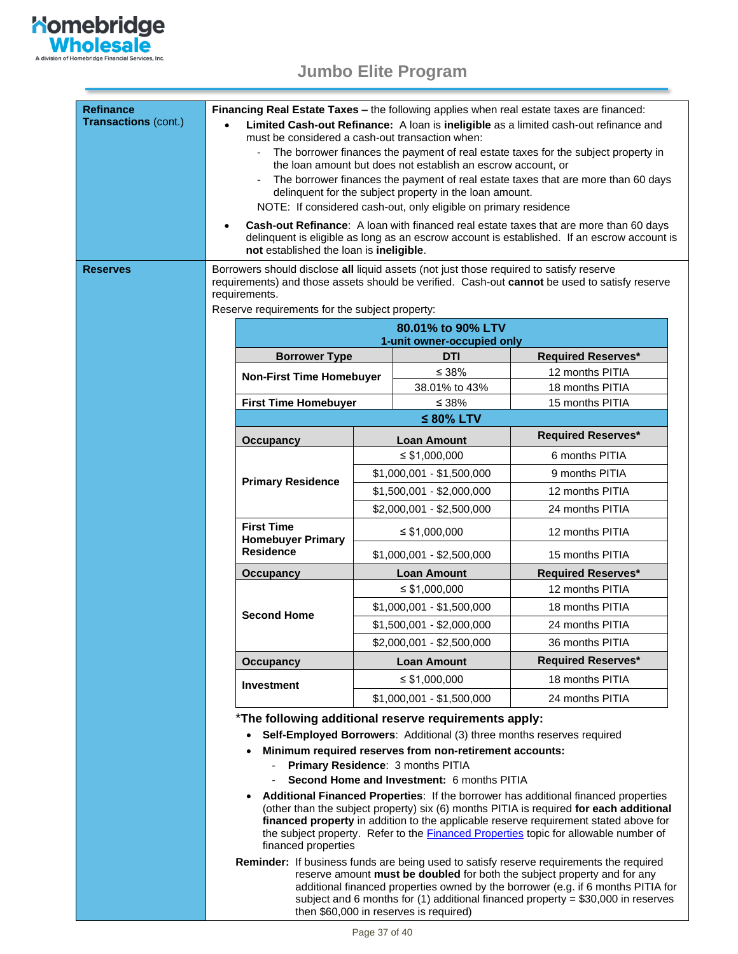

<span id="page-36-0"></span>

| <b>Refinance</b><br>Transactions (cont.) | <b>Financing Real Estate Taxes – the following applies when real estate taxes are financed:</b><br>Limited Cash-out Refinance: A loan is ineligible as a limited cash-out refinance and                                                                                                                                                                                                                 |                                                                                                                                       |                           |                                          |                           |  |  |  |  |
|------------------------------------------|---------------------------------------------------------------------------------------------------------------------------------------------------------------------------------------------------------------------------------------------------------------------------------------------------------------------------------------------------------------------------------------------------------|---------------------------------------------------------------------------------------------------------------------------------------|---------------------------|------------------------------------------|---------------------------|--|--|--|--|
|                                          |                                                                                                                                                                                                                                                                                                                                                                                                         | must be considered a cash-out transaction when:<br>The borrower finances the payment of real estate taxes for the subject property in |                           |                                          |                           |  |  |  |  |
|                                          | the loan amount but does not establish an escrow account, or<br>The borrower finances the payment of real estate taxes that are more than 60 days                                                                                                                                                                                                                                                       |                                                                                                                                       |                           |                                          |                           |  |  |  |  |
|                                          |                                                                                                                                                                                                                                                                                                                                                                                                         | delinquent for the subject property in the loan amount.<br>NOTE: If considered cash-out, only eligible on primary residence           |                           |                                          |                           |  |  |  |  |
|                                          |                                                                                                                                                                                                                                                                                                                                                                                                         |                                                                                                                                       |                           |                                          |                           |  |  |  |  |
|                                          | Cash-out Refinance: A loan with financed real estate taxes that are more than 60 days<br>delinquent is eligible as long as an escrow account is established. If an escrow account is<br>not established the loan is ineligible.                                                                                                                                                                         |                                                                                                                                       |                           |                                          |                           |  |  |  |  |
| Reserves                                 | Borrowers should disclose all liquid assets (not just those required to satisfy reserve<br>requirements) and those assets should be verified. Cash-out cannot be used to satisfy reserve<br>requirements.                                                                                                                                                                                               |                                                                                                                                       |                           |                                          |                           |  |  |  |  |
|                                          | Reserve requirements for the subject property:                                                                                                                                                                                                                                                                                                                                                          |                                                                                                                                       |                           |                                          |                           |  |  |  |  |
|                                          |                                                                                                                                                                                                                                                                                                                                                                                                         | 80.01% to 90% LTV<br>1-unit owner-occupied only                                                                                       |                           |                                          |                           |  |  |  |  |
|                                          |                                                                                                                                                                                                                                                                                                                                                                                                         | <b>Borrower Type</b>                                                                                                                  |                           | <b>DTI</b>                               | <b>Required Reserves*</b> |  |  |  |  |
|                                          |                                                                                                                                                                                                                                                                                                                                                                                                         | <b>Non-First Time Homebuyer</b>                                                                                                       |                           | ≤ 38%                                    | 12 months PITIA           |  |  |  |  |
|                                          |                                                                                                                                                                                                                                                                                                                                                                                                         |                                                                                                                                       |                           | 38.01% to 43%                            | 18 months PITIA           |  |  |  |  |
|                                          |                                                                                                                                                                                                                                                                                                                                                                                                         | <b>First Time Homebuyer</b>                                                                                                           |                           | ≤ 38%<br>$\leq 80\%$ LTV                 | 15 months PITIA           |  |  |  |  |
|                                          |                                                                                                                                                                                                                                                                                                                                                                                                         |                                                                                                                                       |                           |                                          | <b>Required Reserves*</b> |  |  |  |  |
|                                          |                                                                                                                                                                                                                                                                                                                                                                                                         | <b>Occupancy</b>                                                                                                                      |                           | <b>Loan Amount</b><br>$\leq$ \$1,000,000 | 6 months PITIA            |  |  |  |  |
|                                          |                                                                                                                                                                                                                                                                                                                                                                                                         |                                                                                                                                       | $$1,000,001 - $1,500,000$ |                                          | 9 months PITIA            |  |  |  |  |
|                                          |                                                                                                                                                                                                                                                                                                                                                                                                         | <b>Primary Residence</b>                                                                                                              | $$1,500,001 - $2,000,000$ |                                          | 12 months PITIA           |  |  |  |  |
|                                          |                                                                                                                                                                                                                                                                                                                                                                                                         |                                                                                                                                       | \$2,000,001 - \$2,500,000 |                                          | 24 months PITIA           |  |  |  |  |
|                                          |                                                                                                                                                                                                                                                                                                                                                                                                         | <b>First Time</b><br><b>Homebuyer Primary</b><br><b>Residence</b>                                                                     | $\leq$ \$1,000,000        |                                          | 12 months PITIA           |  |  |  |  |
|                                          |                                                                                                                                                                                                                                                                                                                                                                                                         |                                                                                                                                       | $$1,000,001 - $2,500,000$ |                                          | 15 months PITIA           |  |  |  |  |
|                                          |                                                                                                                                                                                                                                                                                                                                                                                                         | <b>Loan Amount</b><br><b>Occupancy</b>                                                                                                |                           | <b>Required Reserves*</b>                |                           |  |  |  |  |
|                                          |                                                                                                                                                                                                                                                                                                                                                                                                         |                                                                                                                                       | $\leq$ \$1,000,000        |                                          | 12 months PITIA           |  |  |  |  |
|                                          |                                                                                                                                                                                                                                                                                                                                                                                                         | <b>Second Home</b>                                                                                                                    |                           | $$1,000,001 - $1,500,000$                | 18 months PITIA           |  |  |  |  |
|                                          |                                                                                                                                                                                                                                                                                                                                                                                                         |                                                                                                                                       | $$1,500,001 - $2,000,000$ |                                          | 24 months PITIA           |  |  |  |  |
|                                          |                                                                                                                                                                                                                                                                                                                                                                                                         |                                                                                                                                       | \$2,000,001 - \$2,500,000 |                                          | 36 months PITIA           |  |  |  |  |
|                                          |                                                                                                                                                                                                                                                                                                                                                                                                         | <b>Occupancy</b>                                                                                                                      | <b>Loan Amount</b>        |                                          | <b>Required Reserves*</b> |  |  |  |  |
|                                          |                                                                                                                                                                                                                                                                                                                                                                                                         | Investment                                                                                                                            | $\leq$ \$1.000.000        |                                          | 18 months PITIA           |  |  |  |  |
|                                          |                                                                                                                                                                                                                                                                                                                                                                                                         |                                                                                                                                       |                           | $$1,000,001 - $1,500,000$                | 24 months PITIA           |  |  |  |  |
|                                          | *The following additional reserve requirements apply:                                                                                                                                                                                                                                                                                                                                                   |                                                                                                                                       |                           |                                          |                           |  |  |  |  |
|                                          | Self-Employed Borrowers: Additional (3) three months reserves required<br>Minimum required reserves from non-retirement accounts:<br>Primary Residence: 3 months PITIA                                                                                                                                                                                                                                  |                                                                                                                                       |                           |                                          |                           |  |  |  |  |
|                                          |                                                                                                                                                                                                                                                                                                                                                                                                         |                                                                                                                                       |                           |                                          |                           |  |  |  |  |
|                                          |                                                                                                                                                                                                                                                                                                                                                                                                         | Second Home and Investment: 6 months PITIA                                                                                            |                           |                                          |                           |  |  |  |  |
|                                          | Additional Financed Properties: If the borrower has additional financed properties<br>$\bullet$<br>(other than the subject property) six (6) months PITIA is required for each additional<br>financed property in addition to the applicable reserve requirement stated above for<br>the subject property. Refer to the <b>Financed Properties</b> topic for allowable number of<br>financed properties |                                                                                                                                       |                           |                                          |                           |  |  |  |  |
|                                          | Reminder: If business funds are being used to satisfy reserve requirements the required<br>reserve amount must be doubled for both the subject property and for any<br>additional financed properties owned by the borrower (e.g. if 6 months PITIA for<br>subject and 6 months for (1) additional financed property = $$30,000$ in reserves<br>then \$60,000 in reserves is required)                  |                                                                                                                                       |                           |                                          |                           |  |  |  |  |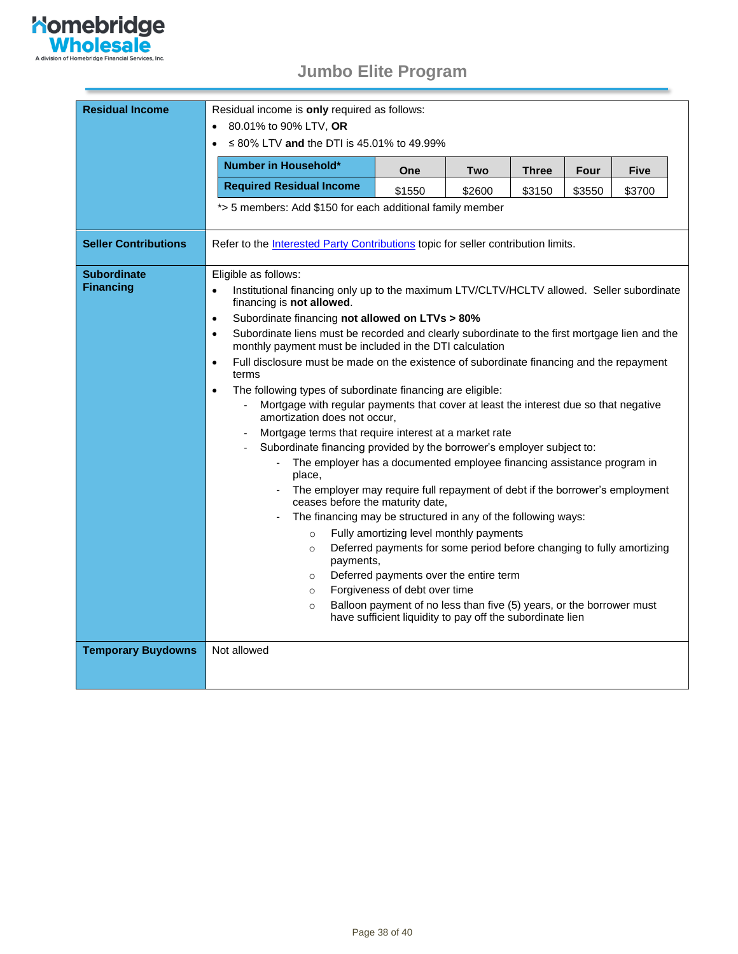

<span id="page-37-0"></span>

| <b>Residual Income</b>                 | Residual income is only required as follows:                                                                                                                                                                       |                                                                                                                                   |        |              |             |             |  |  |
|----------------------------------------|--------------------------------------------------------------------------------------------------------------------------------------------------------------------------------------------------------------------|-----------------------------------------------------------------------------------------------------------------------------------|--------|--------------|-------------|-------------|--|--|
|                                        | 80.01% to 90% LTV, OR                                                                                                                                                                                              |                                                                                                                                   |        |              |             |             |  |  |
|                                        | ≤ 80% LTV and the DTI is 45.01% to 49.99%                                                                                                                                                                          |                                                                                                                                   |        |              |             |             |  |  |
|                                        | Number in Household*                                                                                                                                                                                               | One                                                                                                                               | Two    | <b>Three</b> | <b>Four</b> | <b>Five</b> |  |  |
|                                        | <b>Required Residual Income</b>                                                                                                                                                                                    | \$1550                                                                                                                            | \$2600 | \$3150       | \$3550      | \$3700      |  |  |
|                                        | *> 5 members: Add \$150 for each additional family member                                                                                                                                                          |                                                                                                                                   |        |              |             |             |  |  |
| <b>Seller Contributions</b>            | Refer to the <b>Interested Party Contributions</b> topic for seller contribution limits.                                                                                                                           |                                                                                                                                   |        |              |             |             |  |  |
| <b>Subordinate</b><br><b>Financing</b> | Eligible as follows:<br>Institutional financing only up to the maximum LTV/CLTV/HCLTV allowed. Seller subordinate<br>financing is not allowed.<br>Subordinate financing not allowed on LTVs > 80%<br>$\bullet$     |                                                                                                                                   |        |              |             |             |  |  |
|                                        | Subordinate liens must be recorded and clearly subordinate to the first mortgage lien and the<br>$\bullet$<br>monthly payment must be included in the DTI calculation                                              |                                                                                                                                   |        |              |             |             |  |  |
|                                        | Full disclosure must be made on the existence of subordinate financing and the repayment<br>$\bullet$<br>terms                                                                                                     |                                                                                                                                   |        |              |             |             |  |  |
|                                        | The following types of subordinate financing are eligible:<br>$\bullet$                                                                                                                                            |                                                                                                                                   |        |              |             |             |  |  |
|                                        | Mortgage with regular payments that cover at least the interest due so that negative<br>amortization does not occur,                                                                                               |                                                                                                                                   |        |              |             |             |  |  |
|                                        | Mortgage terms that require interest at a market rate<br>Subordinate financing provided by the borrower's employer subject to:<br>The employer has a documented employee financing assistance program in<br>place, |                                                                                                                                   |        |              |             |             |  |  |
|                                        |                                                                                                                                                                                                                    |                                                                                                                                   |        |              |             |             |  |  |
|                                        |                                                                                                                                                                                                                    |                                                                                                                                   |        |              |             |             |  |  |
|                                        | The employer may require full repayment of debt if the borrower's employment<br>ceases before the maturity date,                                                                                                   |                                                                                                                                   |        |              |             |             |  |  |
|                                        | The financing may be structured in any of the following ways:                                                                                                                                                      |                                                                                                                                   |        |              |             |             |  |  |
|                                        | $\circ$                                                                                                                                                                                                            | Fully amortizing level monthly payments                                                                                           |        |              |             |             |  |  |
|                                        | $\circ$<br>payments,                                                                                                                                                                                               | Deferred payments for some period before changing to fully amortizing                                                             |        |              |             |             |  |  |
|                                        | $\circ$                                                                                                                                                                                                            | Deferred payments over the entire term                                                                                            |        |              |             |             |  |  |
|                                        | $\circ$                                                                                                                                                                                                            | Forgiveness of debt over time                                                                                                     |        |              |             |             |  |  |
|                                        | $\circ$                                                                                                                                                                                                            | Balloon payment of no less than five (5) years, or the borrower must<br>have sufficient liquidity to pay off the subordinate lien |        |              |             |             |  |  |
| <b>Temporary Buydowns</b>              | Not allowed                                                                                                                                                                                                        |                                                                                                                                   |        |              |             |             |  |  |
|                                        |                                                                                                                                                                                                                    |                                                                                                                                   |        |              |             |             |  |  |
|                                        |                                                                                                                                                                                                                    |                                                                                                                                   |        |              |             |             |  |  |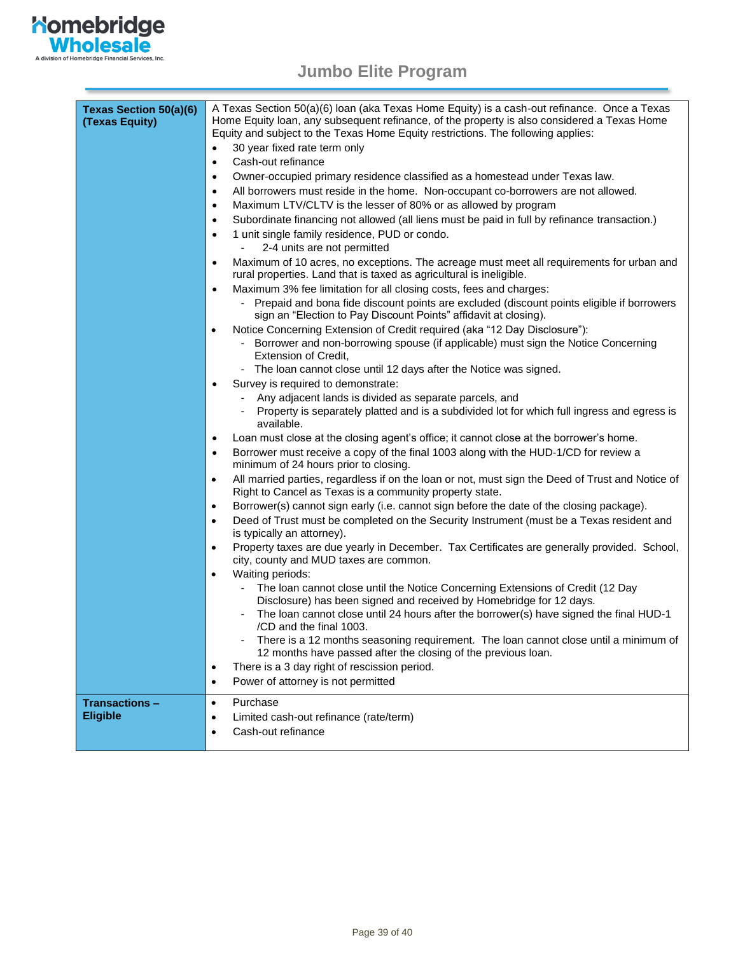

| <b>Texas Section 50(a)(6)</b><br>(Texas Equity) | A Texas Section 50(a)(6) Ioan (aka Texas Home Equity) is a cash-out refinance. Once a Texas<br>Home Equity loan, any subsequent refinance, of the property is also considered a Texas Home<br>Equity and subject to the Texas Home Equity restrictions. The following applies:<br>30 year fixed rate term only |
|-------------------------------------------------|----------------------------------------------------------------------------------------------------------------------------------------------------------------------------------------------------------------------------------------------------------------------------------------------------------------|
|                                                 | Cash-out refinance<br>$\bullet$                                                                                                                                                                                                                                                                                |
|                                                 | Owner-occupied primary residence classified as a homestead under Texas law.<br>٠                                                                                                                                                                                                                               |
|                                                 | All borrowers must reside in the home. Non-occupant co-borrowers are not allowed.<br>$\bullet$                                                                                                                                                                                                                 |
|                                                 | Maximum LTV/CLTV is the lesser of 80% or as allowed by program<br>$\bullet$                                                                                                                                                                                                                                    |
|                                                 | Subordinate financing not allowed (all liens must be paid in full by refinance transaction.)<br>٠                                                                                                                                                                                                              |
|                                                 | 1 unit single family residence, PUD or condo.<br>$\bullet$                                                                                                                                                                                                                                                     |
|                                                 | 2-4 units are not permitted                                                                                                                                                                                                                                                                                    |
|                                                 | Maximum of 10 acres, no exceptions. The acreage must meet all requirements for urban and<br>$\bullet$<br>rural properties. Land that is taxed as agricultural is ineligible.                                                                                                                                   |
|                                                 | Maximum 3% fee limitation for all closing costs, fees and charges:<br>$\bullet$                                                                                                                                                                                                                                |
|                                                 | - Prepaid and bona fide discount points are excluded (discount points eligible if borrowers<br>sign an "Election to Pay Discount Points" affidavit at closing).                                                                                                                                                |
|                                                 | Notice Concerning Extension of Credit required (aka "12 Day Disclosure"):<br>$\bullet$<br>Borrower and non-borrowing spouse (if applicable) must sign the Notice Concerning<br>Extension of Credit,                                                                                                            |
|                                                 | - The loan cannot close until 12 days after the Notice was signed.                                                                                                                                                                                                                                             |
|                                                 | Survey is required to demonstrate:<br>$\bullet$                                                                                                                                                                                                                                                                |
|                                                 | Any adjacent lands is divided as separate parcels, and                                                                                                                                                                                                                                                         |
|                                                 | Property is separately platted and is a subdivided lot for which full ingress and egress is<br>$\blacksquare$<br>available.                                                                                                                                                                                    |
|                                                 | Loan must close at the closing agent's office; it cannot close at the borrower's home.<br>$\bullet$                                                                                                                                                                                                            |
|                                                 | Borrower must receive a copy of the final 1003 along with the HUD-1/CD for review a<br>$\bullet$<br>minimum of 24 hours prior to closing.                                                                                                                                                                      |
|                                                 | All married parties, regardless if on the loan or not, must sign the Deed of Trust and Notice of<br>$\bullet$<br>Right to Cancel as Texas is a community property state.                                                                                                                                       |
|                                                 | Borrower(s) cannot sign early (i.e. cannot sign before the date of the closing package).<br>$\bullet$                                                                                                                                                                                                          |
|                                                 | Deed of Trust must be completed on the Security Instrument (must be a Texas resident and<br>$\bullet$<br>is typically an attorney).                                                                                                                                                                            |
|                                                 | Property taxes are due yearly in December. Tax Certificates are generally provided. School,<br>$\bullet$<br>city, county and MUD taxes are common.                                                                                                                                                             |
|                                                 | Waiting periods:<br>$\bullet$                                                                                                                                                                                                                                                                                  |
|                                                 | The loan cannot close until the Notice Concerning Extensions of Credit (12 Day<br>Disclosure) has been signed and received by Homebridge for 12 days.                                                                                                                                                          |
|                                                 | The loan cannot close until 24 hours after the borrower(s) have signed the final HUD-1<br>/CD and the final 1003.                                                                                                                                                                                              |
|                                                 | There is a 12 months seasoning requirement. The loan cannot close until a minimum of<br>12 months have passed after the closing of the previous loan.                                                                                                                                                          |
|                                                 | There is a 3 day right of rescission period.<br>$\bullet$                                                                                                                                                                                                                                                      |
|                                                 | Power of attorney is not permitted<br>$\bullet$                                                                                                                                                                                                                                                                |
| <b>Transactions -</b>                           | Purchase<br>$\bullet$                                                                                                                                                                                                                                                                                          |
| <b>Eligible</b>                                 | Limited cash-out refinance (rate/term)<br>$\bullet$                                                                                                                                                                                                                                                            |
|                                                 | Cash-out refinance<br>$\bullet$                                                                                                                                                                                                                                                                                |
|                                                 |                                                                                                                                                                                                                                                                                                                |